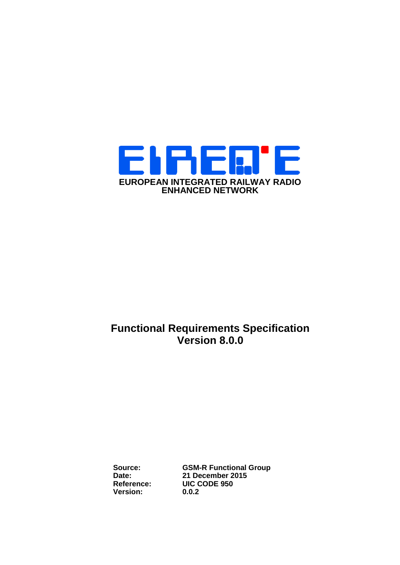

# **Functional Requirements Specification Version 8.0.0**

**Version: 0.0.2**

Source: **GSM-R Functional Group**<br>Date: 21 December 2015 **Date: 21 December 2015 Reference: UIC CODE 950**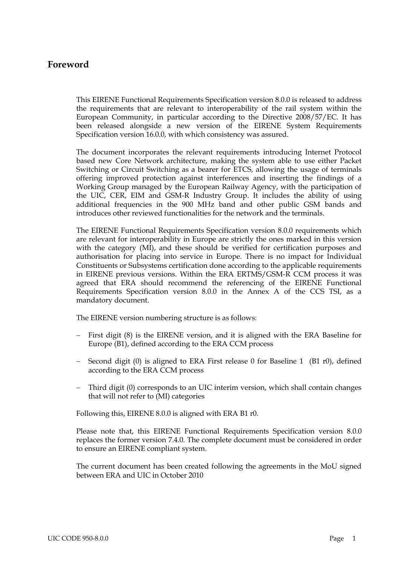# **Foreword**

This EIRENE Functional Requirements Specification version 8.0.0 is released to address the requirements that are relevant to interoperability of the rail system within the European Community, in particular according to the Directive 2008/57/EC. It has been released alongside a new version of the EIRENE System Requirements Specification version 16.0.0, with which consistency was assured.

The document incorporates the relevant requirements introducing Internet Protocol based new Core Network architecture, making the system able to use either Packet Switching or Circuit Switching as a bearer for ETCS, allowing the usage of terminals offering improved protection against interferences and inserting the findings of a Working Group managed by the European Railway Agency, with the participation of the UIC, CER, EIM and GSM-R Industry Group. It includes the ability of using additional frequencies in the 900 MHz band and other public GSM bands and introduces other reviewed functionalities for the network and the terminals.

The EIRENE Functional Requirements Specification version 8.0.0 requirements which are relevant for interoperability in Europe are strictly the ones marked in this version with the category (MI), and these should be verified for certification purposes and authorisation for placing into service in Europe. There is no impact for Individual Constituents or Subsystems certification done according to the applicable requirements in EIRENE previous versions. Within the ERA ERTMS/GSM-R CCM process it was agreed that ERA should recommend the referencing of the EIRENE Functional Requirements Specification version 8.0.0 in the Annex A of the CCS TSI, as a mandatory document.

The EIRENE version numbering structure is as follows:

- First digit (8) is the EIRENE version, and it is aligned with the ERA Baseline for Europe (B1), defined according to the ERA CCM process
- $-$  Second digit (0) is aligned to ERA First release 0 for Baseline 1 (B1 r0), defined according to the ERA CCM process
- Third digit (0) corresponds to an UIC interim version, which shall contain changes that will not refer to (MI) categories

Following this, EIRENE 8.0.0 is aligned with ERA B1 r0.

Please note that, this EIRENE Functional Requirements Specification version 8.0.0 replaces the former version 7.4.0. The complete document must be considered in order to ensure an EIRENE compliant system.

The current document has been created following the agreements in the MoU signed between ERA and UIC in October 2010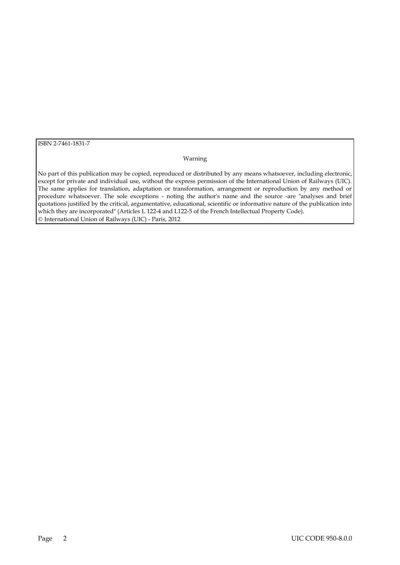ISBN 2-7461-1831-7

#### Warning

No part of this publication may be copied, reproduced or distributed by any means whatsoever, including electronic, except for private and individual use, without the express permission of the International Union of Railways (UIC). The same applies for translation, adaptation or transformation, arrangement or reproduction by any method or procedure whatsoever. The sole exceptions - noting the author's name and the source -are "analyses and brief quotations justified by the critical, argumentative, educational, scientific or informative nature of the publication into which they are incorporated" (Articles L 122-4 and L122-5 of the French Intellectual Property Code). International Union of Railways (UIC) - Paris, 2012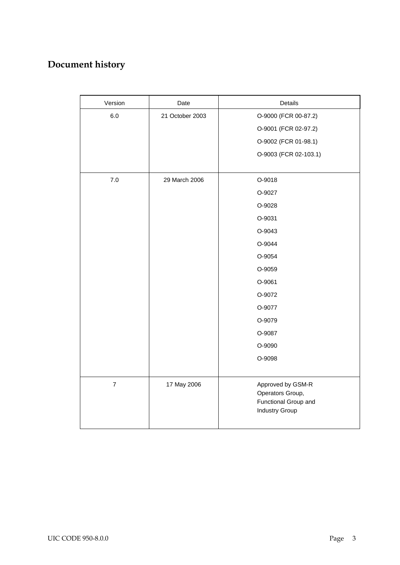# **Document history**

| Version        | Date            | Details                                  |
|----------------|-----------------|------------------------------------------|
| 6.0            | 21 October 2003 | O-9000 (FCR 00-87.2)                     |
|                |                 | O-9001 (FCR 02-97.2)                     |
|                |                 | O-9002 (FCR 01-98.1)                     |
|                |                 | O-9003 (FCR 02-103.1)                    |
|                |                 |                                          |
| $7.0\,$        | 29 March 2006   | O-9018                                   |
|                |                 | O-9027                                   |
|                |                 | O-9028                                   |
|                |                 | O-9031                                   |
|                |                 | O-9043                                   |
|                |                 | O-9044                                   |
|                |                 | O-9054                                   |
|                |                 | O-9059                                   |
|                |                 | O-9061                                   |
|                |                 | O-9072                                   |
|                |                 | O-9077                                   |
|                |                 | O-9079                                   |
|                |                 | O-9087                                   |
|                |                 | O-9090                                   |
|                |                 | O-9098                                   |
|                |                 |                                          |
| $\overline{7}$ | 17 May 2006     | Approved by GSM-R                        |
|                |                 | Operators Group,<br>Functional Group and |
|                |                 | <b>Industry Group</b>                    |
|                |                 |                                          |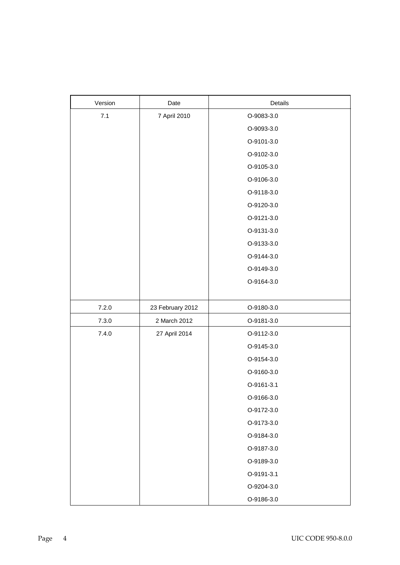| Version | Date             | Details    |
|---------|------------------|------------|
| 7.1     | 7 April 2010     | O-9083-3.0 |
|         |                  | O-9093-3.0 |
|         |                  | O-9101-3.0 |
|         |                  | O-9102-3.0 |
|         |                  | O-9105-3.0 |
|         |                  | O-9106-3.0 |
|         |                  | O-9118-3.0 |
|         |                  | O-9120-3.0 |
|         |                  | O-9121-3.0 |
|         |                  | O-9131-3.0 |
|         |                  | O-9133-3.0 |
|         |                  | O-9144-3.0 |
|         |                  | O-9149-3.0 |
|         |                  | O-9164-3.0 |
|         |                  |            |
| 7.2.0   | 23 February 2012 | O-9180-3.0 |
| 7.3.0   | 2 March 2012     | O-9181-3.0 |
| 7.4.0   | 27 April 2014    | O-9112-3.0 |
|         |                  | O-9145-3.0 |
|         |                  | O-9154-3.0 |
|         |                  | O-9160-3.0 |
|         |                  | O-9161-3.1 |
|         |                  | O-9166-3.0 |
|         |                  | O-9172-3.0 |
|         |                  | O-9173-3.0 |
|         |                  | O-9184-3.0 |
|         |                  | O-9187-3.0 |
|         |                  | O-9189-3.0 |
|         |                  | O-9191-3.1 |
|         |                  | O-9204-3.0 |
|         |                  | O-9186-3.0 |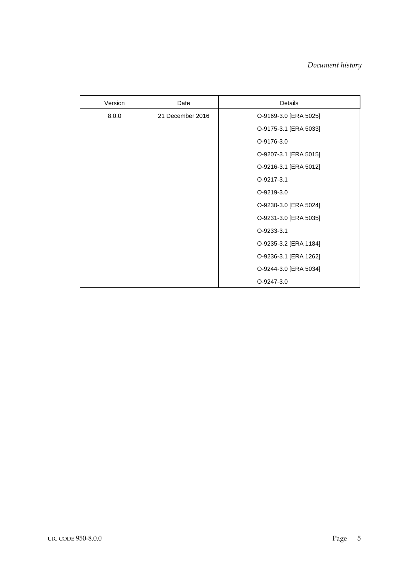| Version | Date             | Details               |
|---------|------------------|-----------------------|
| 8.0.0   | 21 December 2016 | O-9169-3.0 [ERA 5025] |
|         |                  | O-9175-3.1 [ERA 5033] |
|         |                  | O-9176-3.0            |
|         |                  | O-9207-3.1 [ERA 5015] |
|         |                  | O-9216-3.1 [ERA 5012] |
|         |                  | $O-9217-3.1$          |
|         |                  | O-9219-3.0            |
|         |                  | O-9230-3.0 [ERA 5024] |
|         |                  | O-9231-3.0 [ERA 5035] |
|         |                  | O-9233-3.1            |
|         |                  | O-9235-3.2 [ERA 1184] |
|         |                  | O-9236-3.1 [ERA 1262] |
|         |                  | O-9244-3.0 [ERA 5034] |
|         |                  | $O-9247-3.0$          |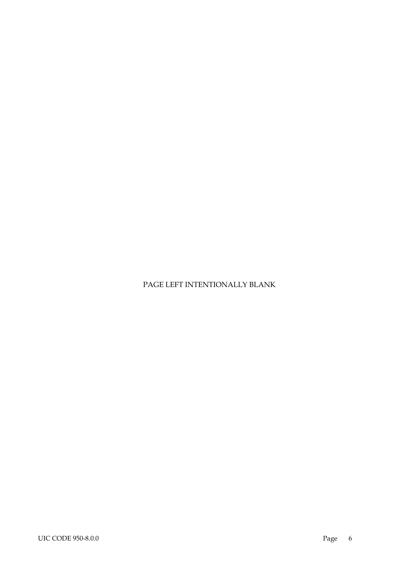PAGE LEFT INTENTIONALLY BLANK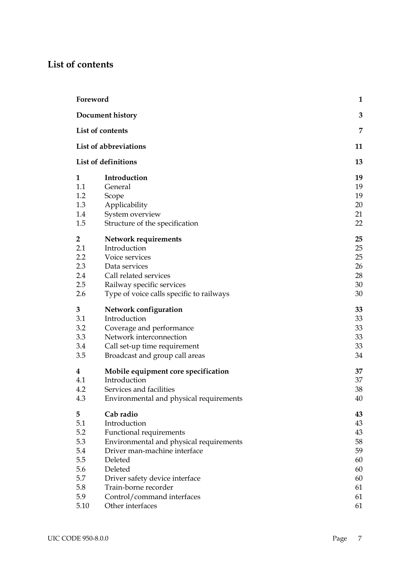# **List of contents**

| Foreword   |                                          | 1        |
|------------|------------------------------------------|----------|
|            | Document history                         | 3        |
|            | List of contents                         | 7        |
|            | List of abbreviations                    | 11       |
|            | <b>List of definitions</b>               | 13       |
| 1          | Introduction                             | 19       |
| 1.1        | General                                  | 19       |
| 1.2        | Scope                                    | 19       |
| 1.3        | Applicability                            | 20       |
| 1.4        | System overview                          | 21       |
| 1.5        | Structure of the specification           | 22       |
| 2          | <b>Network requirements</b>              | 25       |
| 2.1        | Introduction                             | 25       |
| 2.2        | Voice services                           | 25       |
| 2.3        | Data services                            | 26       |
| 2.4        | Call related services                    | 28       |
| 2.5<br>2.6 | Railway specific services                | 30<br>30 |
|            | Type of voice calls specific to railways |          |
| 3          | Network configuration                    | 33       |
| 3.1        | Introduction                             | 33       |
| 3.2        | Coverage and performance                 | 33       |
| 3.3        | Network interconnection                  | 33       |
| 3.4        | Call set-up time requirement             | 33       |
| 3.5        | Broadcast and group call areas           | 34       |
| 4          | Mobile equipment core specification      | 37       |
| 4.1        | Introduction                             | 37       |
| 4.2        | Services and facilities                  | 38       |
| 4.3        | Environmental and physical requirements  | 40       |
| 5          | Cab radio                                | 43       |
| 5.1        | Introduction                             | 43       |
| 5.2        | Functional requirements                  | 43       |
| 5.3        | Environmental and physical requirements  | 58       |
| 5.4        | Driver man-machine interface             | 59       |
| 5.5        | Deleted                                  | 60       |
| 5.6        | Deleted                                  | 60       |
| 5.7        | Driver safety device interface           | 60       |
| 5.8        | Train-borne recorder                     | 61       |
| 5.9        | Control/command interfaces               | 61       |
| 5.10       | Other interfaces                         | 61       |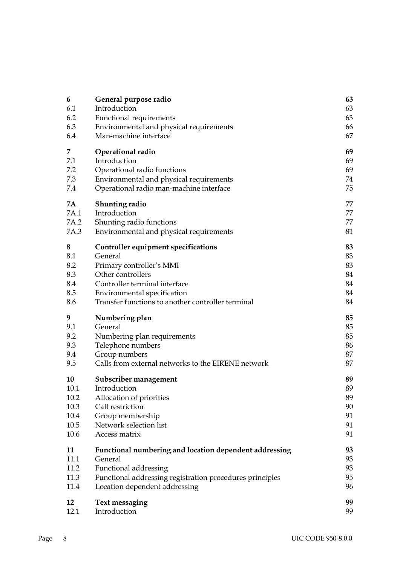| 6    | General purpose radio                                    | 63 |
|------|----------------------------------------------------------|----|
| 6.1  | Introduction                                             | 63 |
| 6.2  | Functional requirements                                  | 63 |
| 6.3  | Environmental and physical requirements                  | 66 |
| 6.4  | Man-machine interface                                    | 67 |
| 7    | Operational radio                                        | 69 |
| 7.1  | Introduction                                             | 69 |
| 7.2  | Operational radio functions                              | 69 |
| 7.3  | Environmental and physical requirements                  | 74 |
| 7.4  | Operational radio man-machine interface                  | 75 |
| 7A   | <b>Shunting radio</b>                                    | 77 |
| 7A.1 | Introduction                                             | 77 |
| 7A.2 | Shunting radio functions                                 | 77 |
| 7A.3 | Environmental and physical requirements                  | 81 |
| 8    | <b>Controller equipment specifications</b>               | 83 |
| 8.1  | General                                                  | 83 |
| 8.2  | Primary controller's MMI                                 | 83 |
| 8.3  | Other controllers                                        | 84 |
| 8.4  | Controller terminal interface                            | 84 |
| 8.5  | Environmental specification                              | 84 |
| 8.6  | Transfer functions to another controller terminal        | 84 |
| 9    | Numbering plan                                           | 85 |
| 9.1  | General                                                  | 85 |
| 9.2  | Numbering plan requirements                              | 85 |
| 9.3  | Telephone numbers                                        | 86 |
| 9.4  | Group numbers                                            | 87 |
| 9.5  | Calls from external networks to the EIRENE network       | 87 |
| 10   | Subscriber management                                    | 89 |
| 10.1 | Introduction                                             | 89 |
| 10.2 | Allocation of priorities                                 | 89 |
| 10.3 | Call restriction                                         | 90 |
| 10.4 | Group membership                                         | 91 |
| 10.5 | Network selection list                                   | 91 |
| 10.6 | Access matrix                                            | 91 |
| 11   | Functional numbering and location dependent addressing   | 93 |
| 11.1 | General                                                  | 93 |
| 11.2 | Functional addressing                                    | 93 |
| 11.3 | Functional addressing registration procedures principles | 95 |
| 11.4 | Location dependent addressing                            | 96 |
| 12   | <b>Text messaging</b>                                    | 99 |
| 12.1 | Introduction                                             | 99 |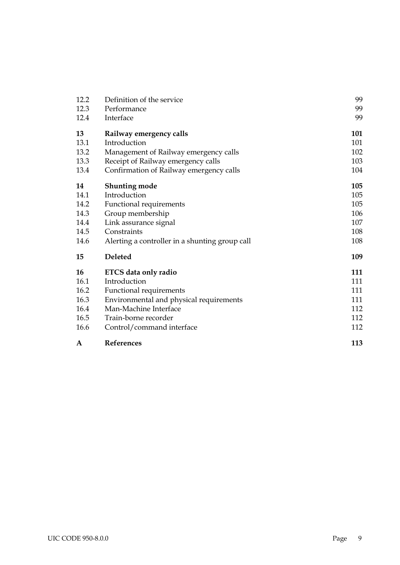| 12.2 | Definition of the service                      | 99  |
|------|------------------------------------------------|-----|
| 12.3 | Performance                                    | 99  |
| 12.4 | Interface                                      | 99  |
| 13   | Railway emergency calls                        | 101 |
| 13.1 | Introduction                                   | 101 |
| 13.2 | Management of Railway emergency calls          | 102 |
| 13.3 | Receipt of Railway emergency calls             | 103 |
| 13.4 | Confirmation of Railway emergency calls        | 104 |
| 14   | <b>Shunting mode</b>                           | 105 |
| 14.1 | Introduction                                   | 105 |
| 14.2 | Functional requirements                        | 105 |
| 14.3 | Group membership                               | 106 |
| 14.4 | Link assurance signal                          | 107 |
| 14.5 | Constraints                                    | 108 |
| 14.6 | Alerting a controller in a shunting group call | 108 |
| 15   | Deleted                                        | 109 |
| 16   | <b>ETCS</b> data only radio                    | 111 |
| 16.1 | Introduction                                   | 111 |
| 16.2 | Functional requirements                        | 111 |
| 16.3 | Environmental and physical requirements        | 111 |
| 16.4 | Man-Machine Interface                          | 112 |
| 16.5 | Train-borne recorder                           | 112 |
| 16.6 | Control/command interface                      | 112 |
| A    | <b>References</b>                              | 113 |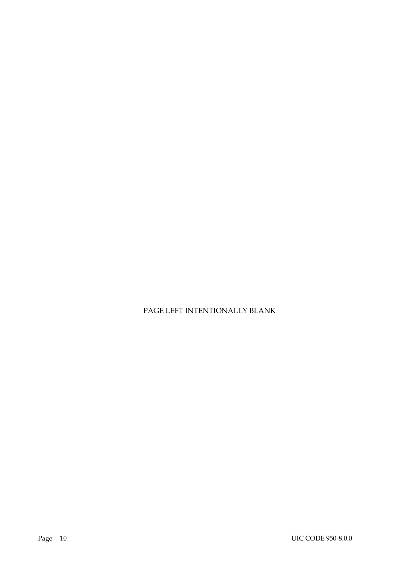PAGE LEFT INTENTIONALLY BLANK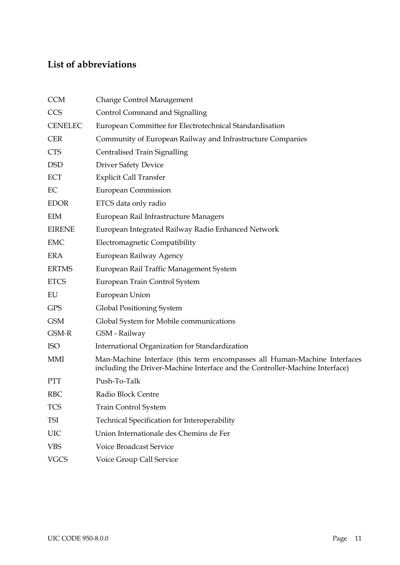# **List of abbreviations**

| <b>CCM</b>     | Change Control Management                                                                                                                                 |
|----------------|-----------------------------------------------------------------------------------------------------------------------------------------------------------|
| CCS            | Control Command and Signalling                                                                                                                            |
| <b>CENELEC</b> | European Committee for Electrotechnical Standardisation                                                                                                   |
| <b>CER</b>     | Community of European Railway and Infrastructure Companies                                                                                                |
| <b>CTS</b>     | Centralised Train Signalling                                                                                                                              |
| <b>DSD</b>     | <b>Driver Safety Device</b>                                                                                                                               |
| ECT            | <b>Explicit Call Transfer</b>                                                                                                                             |
| EC             | <b>European Commission</b>                                                                                                                                |
| <b>EDOR</b>    | ETCS data only radio                                                                                                                                      |
| <b>EIM</b>     | European Rail Infrastructure Managers                                                                                                                     |
| <b>EIRENE</b>  | European Integrated Railway Radio Enhanced Network                                                                                                        |
| EMC            | Electromagnetic Compatibility                                                                                                                             |
| <b>ERA</b>     | European Railway Agency                                                                                                                                   |
| <b>ERTMS</b>   | European Rail Traffic Management System                                                                                                                   |
| <b>ETCS</b>    | European Train Control System                                                                                                                             |
| EU             | European Union                                                                                                                                            |
| <b>GPS</b>     | Global Positioning System                                                                                                                                 |
| <b>GSM</b>     | Global System for Mobile communications                                                                                                                   |
| GSM-R          | GSM - Railway                                                                                                                                             |
| <b>ISO</b>     | International Organization for Standardization                                                                                                            |
| <b>MMI</b>     | Man-Machine Interface (this term encompasses all Human-Machine Interfaces<br>including the Driver-Machine Interface and the Controller-Machine Interface) |
| <b>PTT</b>     | Push-To-Talk                                                                                                                                              |
| RBC            | Radio Block Centre                                                                                                                                        |
| <b>TCS</b>     | <b>Train Control System</b>                                                                                                                               |
| <b>TSI</b>     | Technical Specification for Interoperability                                                                                                              |
| <b>UIC</b>     | Union Internationale des Chemins de Fer                                                                                                                   |
| <b>VBS</b>     | Voice Broadcast Service                                                                                                                                   |
| <b>VGCS</b>    | Voice Group Call Service                                                                                                                                  |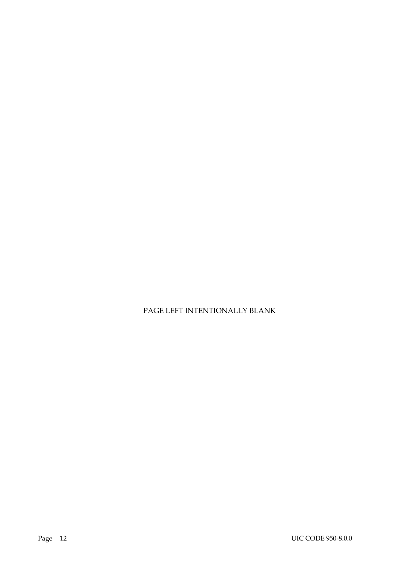PAGE LEFT INTENTIONALLY BLANK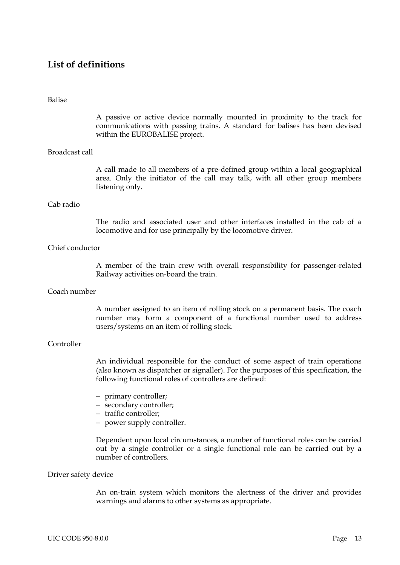# **List of definitions**

#### Balise

A passive or active device normally mounted in proximity to the track for communications with passing trains. A standard for balises has been devised within the EUROBALISE project.

#### Broadcast call

A call made to all members of a pre-defined group within a local geographical area. Only the initiator of the call may talk, with all other group members listening only.

### Cab radio

The radio and associated user and other interfaces installed in the cab of a locomotive and for use principally by the locomotive driver.

#### Chief conductor

A member of the train crew with overall responsibility for passenger-related Railway activities on-board the train.

#### Coach number

A number assigned to an item of rolling stock on a permanent basis. The coach number may form a component of a functional number used to address users/systems on an item of rolling stock.

# Controller

An individual responsible for the conduct of some aspect of train operations (also known as dispatcher or signaller). For the purposes of this specification, the following functional roles of controllers are defined:

- primary controller;
- secondary controller;
- traffic controller;
- power supply controller.

Dependent upon local circumstances, a number of functional roles can be carried out by a single controller or a single functional role can be carried out by a number of controllers.

#### Driver safety device

An on-train system which monitors the alertness of the driver and provides warnings and alarms to other systems as appropriate.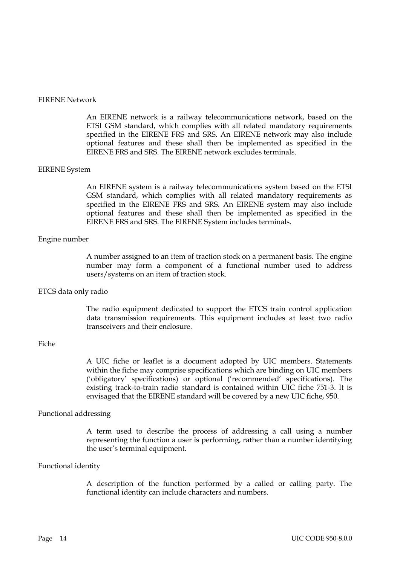#### EIRENE Network

An EIRENE network is a railway telecommunications network, based on the ETSI GSM standard, which complies with all related mandatory requirements specified in the EIRENE FRS and SRS. An EIRENE network may also include optional features and these shall then be implemented as specified in the EIRENE FRS and SRS. The EIRENE network excludes terminals.

#### EIRENE System

An EIRENE system is a railway telecommunications system based on the ETSI GSM standard, which complies with all related mandatory requirements as specified in the EIRENE FRS and SRS. An EIRENE system may also include optional features and these shall then be implemented as specified in the EIRENE FRS and SRS. The EIRENE System includes terminals.

#### Engine number

A number assigned to an item of traction stock on a permanent basis. The engine number may form a component of a functional number used to address users/systems on an item of traction stock.

#### ETCS data only radio

The radio equipment dedicated to support the ETCS train control application data transmission requirements. This equipment includes at least two radio transceivers and their enclosure.

#### Fiche

A UIC fiche or leaflet is a document adopted by UIC members. Statements within the fiche may comprise specifications which are binding on UIC members ('obligatory' specifications) or optional ('recommended' specifications). The existing track-to-train radio standard is contained within UIC fiche 751-3. It is envisaged that the EIRENE standard will be covered by a new UIC fiche, 950.

#### Functional addressing

A term used to describe the process of addressing a call using a number representing the function a user is performing, rather than a number identifying the user's terminal equipment.

#### Functional identity

A description of the function performed by a called or calling party. The functional identity can include characters and numbers.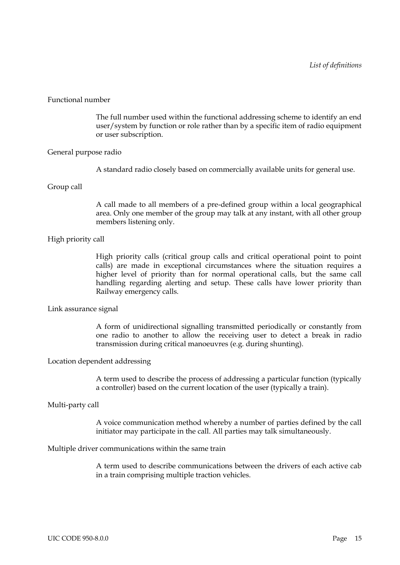#### Functional number

The full number used within the functional addressing scheme to identify an end user/system by function or role rather than by a specific item of radio equipment or user subscription.

# General purpose radio

A standard radio closely based on commercially available units for general use.

# Group call

A call made to all members of a pre-defined group within a local geographical area. Only one member of the group may talk at any instant, with all other group members listening only.

# High priority call

High priority calls (critical group calls and critical operational point to point calls) are made in exceptional circumstances where the situation requires a higher level of priority than for normal operational calls, but the same call handling regarding alerting and setup. These calls have lower priority than Railway emergency calls.

#### Link assurance signal

A form of unidirectional signalling transmitted periodically or constantly from one radio to another to allow the receiving user to detect a break in radio transmission during critical manoeuvres (e.g. during shunting).

#### Location dependent addressing

A term used to describe the process of addressing a particular function (typically a controller) based on the current location of the user (typically a train).

# Multi-party call

A voice communication method whereby a number of parties defined by the call initiator may participate in the call. All parties may talk simultaneously.

Multiple driver communications within the same train

A term used to describe communications between the drivers of each active cab in a train comprising multiple traction vehicles.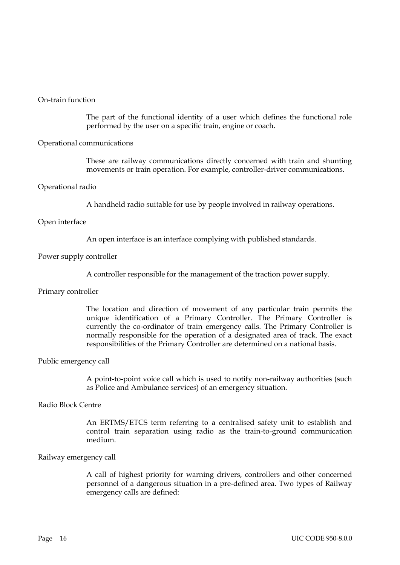# On-train function

The part of the functional identity of a user which defines the functional role performed by the user on a specific train, engine or coach.

### Operational communications

These are railway communications directly concerned with train and shunting movements or train operation. For example, controller-driver communications.

#### Operational radio

A handheld radio suitable for use by people involved in railway operations.

#### Open interface

An open interface is an interface complying with published standards.

#### Power supply controller

A controller responsible for the management of the traction power supply.

#### Primary controller

The location and direction of movement of any particular train permits the unique identification of a Primary Controller. The Primary Controller is currently the co-ordinator of train emergency calls. The Primary Controller is normally responsible for the operation of a designated area of track. The exact responsibilities of the Primary Controller are determined on a national basis.

#### Public emergency call

A point-to-point voice call which is used to notify non-railway authorities (such as Police and Ambulance services) of an emergency situation.

#### Radio Block Centre

An ERTMS/ETCS term referring to a centralised safety unit to establish and control train separation using radio as the train-to-ground communication medium.

#### Railway emergency call

A call of highest priority for warning drivers, controllers and other concerned personnel of a dangerous situation in a pre-defined area. Two types of Railway emergency calls are defined: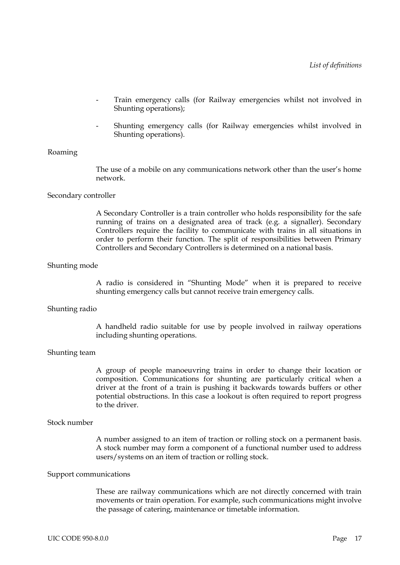- Train emergency calls (for Railway emergencies whilst not involved in Shunting operations);
- Shunting emergency calls (for Railway emergencies whilst involved in Shunting operations).

#### Roaming

The use of a mobile on any communications network other than the user's home network.

#### Secondary controller

A Secondary Controller is a train controller who holds responsibility for the safe running of trains on a designated area of track (e.g. a signaller). Secondary Controllers require the facility to communicate with trains in all situations in order to perform their function. The split of responsibilities between Primary Controllers and Secondary Controllers is determined on a national basis.

#### Shunting mode

A radio is considered in "Shunting Mode" when it is prepared to receive shunting emergency calls but cannot receive train emergency calls.

#### Shunting radio

A handheld radio suitable for use by people involved in railway operations including shunting operations.

#### Shunting team

A group of people manoeuvring trains in order to change their location or composition. Communications for shunting are particularly critical when a driver at the front of a train is pushing it backwards towards buffers or other potential obstructions. In this case a lookout is often required to report progress to the driver.

#### Stock number

A number assigned to an item of traction or rolling stock on a permanent basis. A stock number may form a component of a functional number used to address users/systems on an item of traction or rolling stock.

#### Support communications

These are railway communications which are not directly concerned with train movements or train operation. For example, such communications might involve the passage of catering, maintenance or timetable information.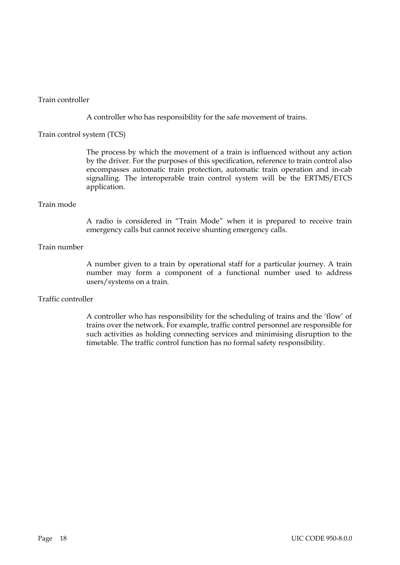# Train controller

A controller who has responsibility for the safe movement of trains.

# Train control system (TCS)

The process by which the movement of a train is influenced without any action by the driver. For the purposes of this specification, reference to train control also encompasses automatic train protection, automatic train operation and in-cab signalling. The interoperable train control system will be the ERTMS/ETCS application.

#### Train mode

A radio is considered in "Train Mode" when it is prepared to receive train emergency calls but cannot receive shunting emergency calls.

### Train number

A number given to a train by operational staff for a particular journey. A train number may form a component of a functional number used to address users/systems on a train.

### Traffic controller

A controller who has responsibility for the scheduling of trains and the 'flow' of trains over the network. For example, traffic control personnel are responsible for such activities as holding connecting services and minimising disruption to the timetable. The traffic control function has no formal safety responsibility.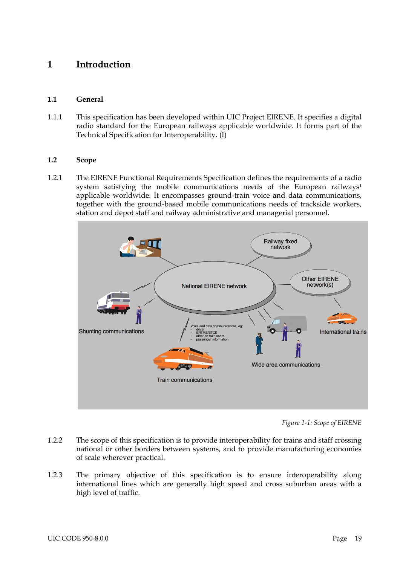# **1 Introduction**

# **1.1 General**

1.1.1 This specification has been developed within UIC Project EIRENE. It specifies a digital radio standard for the European railways applicable worldwide. It forms part of the Technical Specification for Interoperability. (I)

# **1.2 Scope**

1.2.1 The EIRENE Functional Requirements Specification defines the requirements of a radio system satisfying the mobile communications needs of the European railways<sup>1</sup> applicable worldwide. It encompasses ground-train voice and data communications, together with the ground-based mobile communications needs of trackside workers, station and depot staff and railway administrative and managerial personnel.



*Figure 1-1: Scope of EIRENE*

- 1.2.2 The scope of this specification is to provide interoperability for trains and staff crossing national or other borders between systems, and to provide manufacturing economies of scale wherever practical.
- 1.2.3 The primary objective of this specification is to ensure interoperability along international lines which are generally high speed and cross suburban areas with a high level of traffic.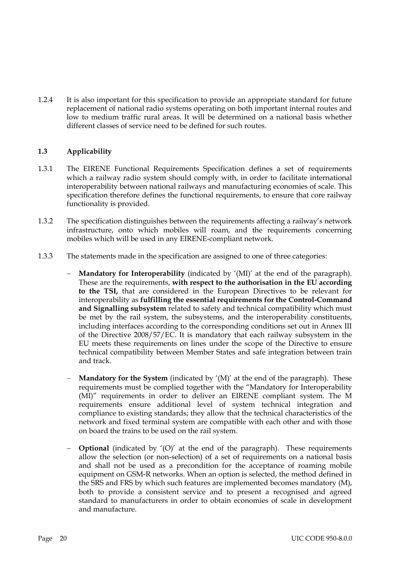1.2.4 It is also important for this specification to provide an appropriate standard for future replacement of national radio systems operating on both important internal routes and low to medium traffic rural areas. It will be determined on a national basis whether different classes of service need to be defined for such routes.

# **1.3 Applicability**

- 1.3.1 The EIRENE Functional Requirements Specification defines a set of requirements which a railway radio system should comply with, in order to facilitate international interoperability between national railways and manufacturing economies of scale. This specification therefore defines the functional requirements, to ensure that core railway functionality is provided.
- 1.3.2 The specification distinguishes between the requirements affecting a railway's network infrastructure, onto which mobiles will roam, and the requirements concerning mobiles which will be used in any EIRENE-compliant network.
- 1.3.3 The statements made in the specification are assigned to one of three categories:
	- **Mandatory for Interoperability** (indicated by '(MI)' at the end of the paragraph). These are the requirements, **with respect to the authorisation in the EU according to the TSI,** that are considered in the European Directives to be relevant for interoperability as **fulfilling the essential requirements for the Control-Command and Signalling subsystem** related to safety and technical compatibility which must be met by the rail system, the subsystems, and the interoperability constituents, including interfaces according to the corresponding conditions set out in Annex III of the Directive 2008/57/EC. It is mandatory that each railway subsystem in the EU meets these requirements on lines under the scope of the Directive to ensure technical compatibility between Member States and safe integration between train and track.
	- **Mandatory for the System** (indicated by '(M)' at the end of the paragraph). These requirements must be complied together with the "Mandatory for Interoperability (MI)" requirements in order to deliver an EIRENE compliant system. The M requirements ensure additional level of system technical integration and compliance to existing standards; they allow that the technical characteristics of the network and fixed terminal system are compatible with each other and with those on board the trains to be used on the rail system.
	- **Optional** (indicated by '(O)' at the end of the paragraph). These requirements allow the selection (or non-selection) of a set of requirements on a national basis and shall not be used as a precondition for the acceptance of roaming mobile equipment on GSM-R networks. When an option is selected, the method defined in the SRS and FRS by which such features are implemented becomes mandatory (M), both to provide a consistent service and to present a recognised and agreed standard to manufacturers in order to obtain economies of scale in development and manufacture.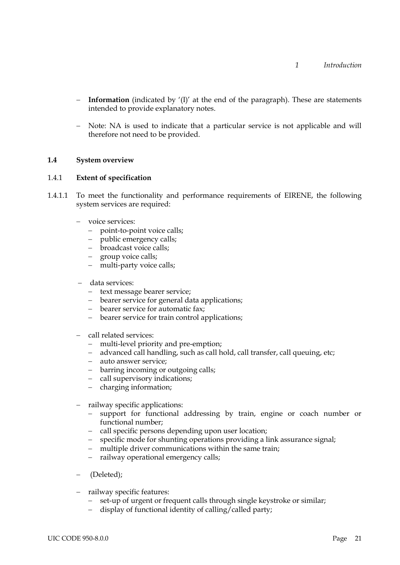- **Information** (indicated by '(I)' at the end of the paragraph). These are statements intended to provide explanatory notes.
- Note: NA is used to indicate that a particular service is not applicable and will therefore not need to be provided.

# **1.4 System overview**

#### 1.4.1 **Extent of specification**

- 1.4.1.1 To meet the functionality and performance requirements of EIRENE, the following system services are required:
	- voice services:
		- point-to-point voice calls;
		- public emergency calls;
		- broadcast voice calls;
		- group voice calls;
		- multi-party voice calls;
	- data services:
		- text message bearer service;
		- bearer service for general data applications;
		- bearer service for automatic fax;
		- bearer service for train control applications;
	- call related services:
		- multi-level priority and pre-emption;
		- advanced call handling, such as call hold, call transfer, call queuing, etc;
		- auto answer service;
		- barring incoming or outgoing calls;
		- call supervisory indications;
		- charging information;
	- railway specific applications:
		- support for functional addressing by train, engine or coach number or functional number;
		- call specific persons depending upon user location;
		- specific mode for shunting operations providing a link assurance signal;
		- multiple driver communications within the same train;
		- railway operational emergency calls;
	- (Deleted);
	- railway specific features:
		- set-up of urgent or frequent calls through single keystroke or similar;
		- display of functional identity of calling/called party;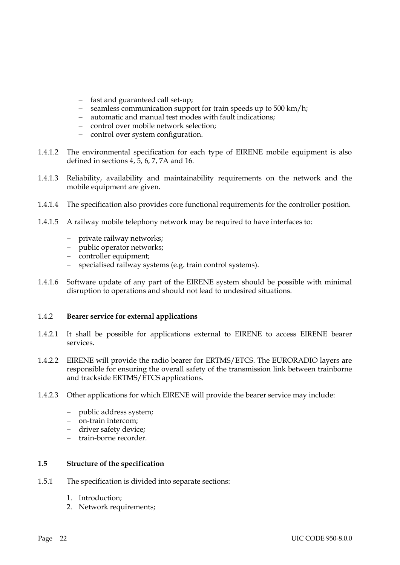- fast and guaranteed call set-up;
- seamless communication support for train speeds up to 500 km/h;
- automatic and manual test modes with fault indications;
- control over mobile network selection;
- control over system configuration.
- 1.4.1.2 The environmental specification for each type of EIRENE mobile equipment is also defined in sections 4, 5, 6, 7, 7A and 16.
- 1.4.1.3 Reliability, availability and maintainability requirements on the network and the mobile equipment are given.
- 1.4.1.4 The specification also provides core functional requirements for the controller position.
- 1.4.1.5 A railway mobile telephony network may be required to have interfaces to:
	- private railway networks;
	- public operator networks;
	- controller equipment;
	- specialised railway systems (e.g. train control systems).
- 1.4.1.6 Software update of any part of the EIRENE system should be possible with minimal disruption to operations and should not lead to undesired situations.

#### 1.4.2 **Bearer service for external applications**

- 1.4.2.1 It shall be possible for applications external to EIRENE to access EIRENE bearer services.
- 1.4.2.2 EIRENE will provide the radio bearer for ERTMS/ETCS. The EURORADIO layers are responsible for ensuring the overall safety of the transmission link between trainborne and trackside ERTMS/ETCS applications.
- 1.4.2.3 Other applications for which EIRENE will provide the bearer service may include:
	- public address system;
	- on-train intercom:
	- driver safety device;
	- train-borne recorder.

#### **1.5 Structure of the specification**

- 1.5.1 The specification is divided into separate sections:
	- 1. Introduction;
	- 2. Network requirements;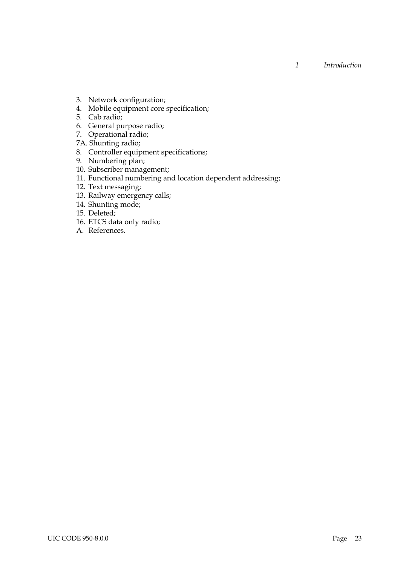*1 Introduction*

- 3. Network configuration;
- 4. Mobile equipment core specification;
- 5. Cab radio;
- 6. General purpose radio;
- 7. Operational radio;
- 7A. Shunting radio;
- 8. Controller equipment specifications;
- 9. Numbering plan;
- 10. Subscriber management;
- 11. Functional numbering and location dependent addressing;
- 12. Text messaging;
- 13. Railway emergency calls;
- 14. Shunting mode;
- 15. Deleted;
- 16. ETCS data only radio;
- A. References.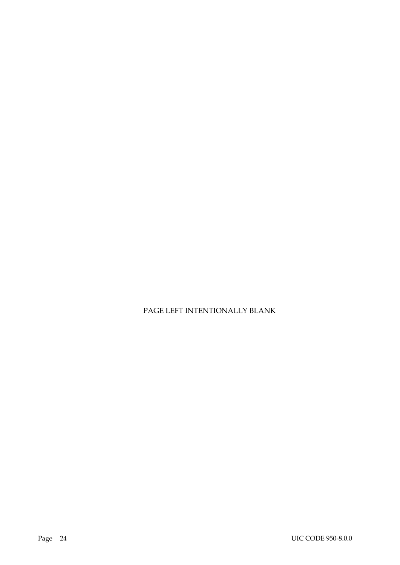PAGE LEFT INTENTIONALLY BLANK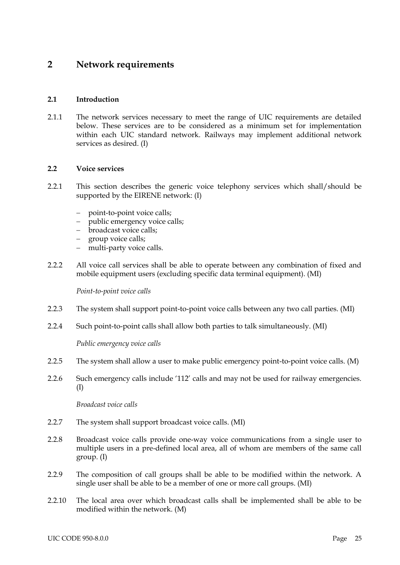# **2 Network requirements**

# **2.1 Introduction**

2.1.1 The network services necessary to meet the range of UIC requirements are detailed below. These services are to be considered as a minimum set for implementation within each UIC standard network. Railways may implement additional network services as desired. (I)

# **2.2 Voice services**

- 2.2.1 This section describes the generic voice telephony services which shall/should be supported by the EIRENE network: (I)
	- point-to-point voice calls;
	- public emergency voice calls;
	- broadcast voice calls:
	- group voice calls;
	- multi-party voice calls.
- 2.2.2 All voice call services shall be able to operate between any combination of fixed and mobile equipment users (excluding specific data terminal equipment). (MI)

*Point-to-point voice calls*

- 2.2.3 The system shall support point-to-point voice calls between any two call parties. (MI)
- 2.2.4 Such point-to-point calls shall allow both parties to talk simultaneously. (MI)

*Public emergency voice calls*

- 2.2.5 The system shall allow a user to make public emergency point-to-point voice calls. (M)
- 2.2.6 Such emergency calls include '112' calls and may not be used for railway emergencies. (I)

*Broadcast voice calls*

- 2.2.7 The system shall support broadcast voice calls. (MI)
- 2.2.8 Broadcast voice calls provide one-way voice communications from a single user to multiple users in a pre-defined local area, all of whom are members of the same call group. (I)
- 2.2.9 The composition of call groups shall be able to be modified within the network. A single user shall be able to be a member of one or more call groups. (MI)
- 2.2.10 The local area over which broadcast calls shall be implemented shall be able to be modified within the network. (M)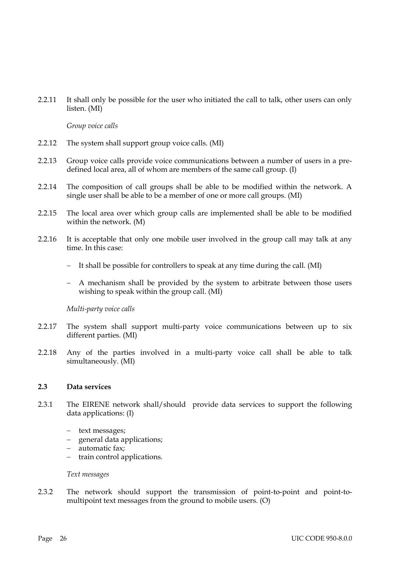2.2.11 It shall only be possible for the user who initiated the call to talk, other users can only listen. (MI)

*Group voice calls*

- 2.2.12 The system shall support group voice calls. (MI)
- 2.2.13 Group voice calls provide voice communications between a number of users in a predefined local area, all of whom are members of the same call group. (I)
- 2.2.14 The composition of call groups shall be able to be modified within the network. A single user shall be able to be a member of one or more call groups. (MI)
- 2.2.15 The local area over which group calls are implemented shall be able to be modified within the network. (M)
- 2.2.16 It is acceptable that only one mobile user involved in the group call may talk at any time. In this case:
	- It shall be possible for controllers to speak at any time during the call. (MI)
	- A mechanism shall be provided by the system to arbitrate between those users wishing to speak within the group call. (MI)

*Multi-party voice calls*

- 2.2.17 The system shall support multi-party voice communications between up to six different parties. (MI)
- 2.2.18 Any of the parties involved in a multi-party voice call shall be able to talk simultaneously. (MI)

#### **2.3 Data services**

- 2.3.1 The EIRENE network shall/should provide data services to support the following data applications: (I)
	- text messages;
	- general data applications;
	- automatic fax;
	- train control applications.

#### *Text messages*

2.3.2 The network should support the transmission of point-to-point and point-tomultipoint text messages from the ground to mobile users. (O)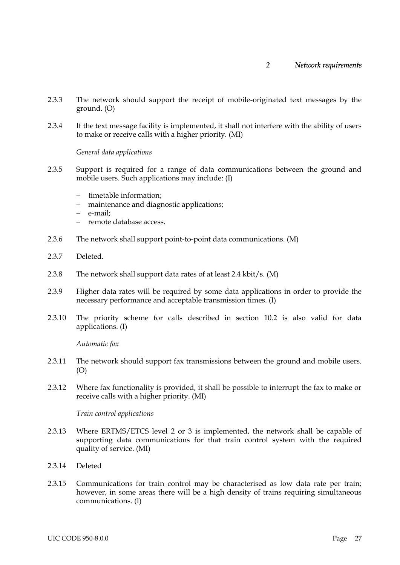### *2 Network requirements requir*

- 2.3.3 The network should support the receipt of mobile-originated text messages by the ground. (O)
- 2.3.4 If the text message facility is implemented, it shall not interfere with the ability of users to make or receive calls with a higher priority. (MI)

*General data applications*

- 2.3.5 Support is required for a range of data communications between the ground and mobile users. Such applications may include: (I)
	- timetable information:
	- maintenance and diagnostic applications;
	- e-mail;
	- remote database access.
- 2.3.6 The network shall support point-to-point data communications. (M)
- 2.3.7 Deleted.
- 2.3.8 The network shall support data rates of at least 2.4 kbit/s. (M)
- 2.3.9 Higher data rates will be required by some data applications in order to provide the necessary performance and acceptable transmission times. (I)
- 2.3.10 The priority scheme for calls described in section 10.2 is also valid for data applications. (I)

*Automatic fax*

- 2.3.11 The network should support fax transmissions between the ground and mobile users. (O)
- 2.3.12 Where fax functionality is provided, it shall be possible to interrupt the fax to make or receive calls with a higher priority. (MI)

*Train control applications*

- 2.3.13 Where ERTMS/ETCS level 2 or 3 is implemented, the network shall be capable of supporting data communications for that train control system with the required quality of service. (MI)
- 2.3.14 Deleted
- 2.3.15 Communications for train control may be characterised as low data rate per train; however, in some areas there will be a high density of trains requiring simultaneous communications. (I)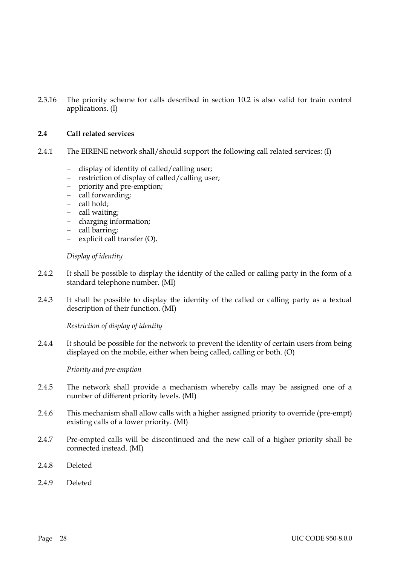2.3.16 The priority scheme for calls described in section 10.2 is also valid for train control applications. (I)

# **2.4 Call related services**

- 2.4.1 The EIRENE network shall/should support the following call related services: (I)
	- display of identity of called/calling user;
	- restriction of display of called/calling user;
	- priority and pre-emption;
	- call forwarding;
	- call hold;
	- call waiting;
	- charging information;
	- call barring;
	- explicit call transfer (O).

*Display of identity*

- 2.4.2 It shall be possible to display the identity of the called or calling party in the form of a standard telephone number. (MI)
- 2.4.3 It shall be possible to display the identity of the called or calling party as a textual description of their function. (MI)

*Restriction of display of identity*

2.4.4 It should be possible for the network to prevent the identity of certain users from being displayed on the mobile, either when being called, calling or both. (O)

*Priority and pre-emption*

- 2.4.5 The network shall provide a mechanism whereby calls may be assigned one of a number of different priority levels. (MI)
- 2.4.6 This mechanism shall allow calls with a higher assigned priority to override (pre-empt) existing calls of a lower priority. (MI)
- 2.4.7 Pre-empted calls will be discontinued and the new call of a higher priority shall be connected instead. (MI)
- 2.4.8 Deleted
- 2.4.9 Deleted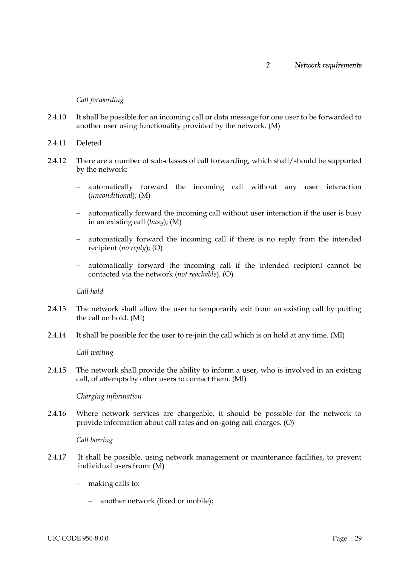# *Call forwarding*

- 2.4.10 It shall be possible for an incoming call or data message for one user to be forwarded to another user using functionality provided by the network. (M)
- 2.4.11 Deleted
- 2.4.12 There are a number of sub-classes of call forwarding, which shall/should be supported by the network:
	- automatically forward the incoming call without any user interaction (*unconditional*); (M)
	- automatically forward the incoming call without user interaction if the user is busy in an existing call (*busy*); (M)
	- automatically forward the incoming call if there is no reply from the intended recipient (*no reply*); (O)
	- automatically forward the incoming call if the intended recipient cannot be contacted via the network (*not reachable*). (O)

# *Call hold*

- 2.4.13 The network shall allow the user to temporarily exit from an existing call by putting the call on hold. (MI)
- 2.4.14 It shall be possible for the user to re-join the call which is on hold at any time. (MI)

#### *Call waiting*

2.4.15 The network shall provide the ability to inform a user, who is involved in an existing call, of attempts by other users to contact them. (MI)

#### *Charging information*

2.4.16 Where network services are chargeable, it should be possible for the network to provide information about call rates and on-going call charges. (O)

#### *Call barring*

- 2.4.17 It shall be possible, using network management or maintenance facilities, to prevent individual users from: (M)
	- making calls to:
		- another network (fixed or mobile);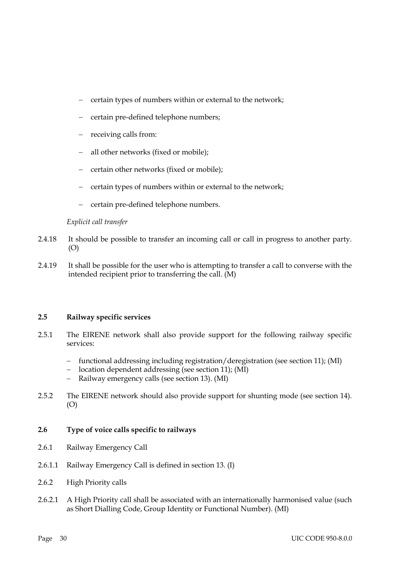- certain types of numbers within or external to the network;
- certain pre-defined telephone numbers;
- receiving calls from:
- all other networks (fixed or mobile);
- certain other networks (fixed or mobile);
- certain types of numbers within or external to the network;
- certain pre-defined telephone numbers.

# *Explicit call transfer*

- 2.4.18 It should be possible to transfer an incoming call or call in progress to another party. (O)
- 2.4.19 It shall be possible for the user who is attempting to transfer a call to converse with the intended recipient prior to transferring the call. (M)

#### **2.5 Railway specific services**

- 2.5.1 The EIRENE network shall also provide support for the following railway specific services:
	- functional addressing including registration/deregistration (see section 11); (MI)
	- location dependent addressing (see section 11); (MI)
	- Railway emergency calls (see section 13). (MI)
- 2.5.2 The EIRENE network should also provide support for shunting mode (see section 14). (O)

# **2.6 Type of voice calls specific to railways**

- 2.6.1 Railway Emergency Call
- 2.6.1.1 Railway Emergency Call is defined in section 13. (I)
- 2.6.2 High Priority calls
- 2.6.2.1 A High Priority call shall be associated with an internationally harmonised value (such as Short Dialling Code, Group Identity or Functional Number). (MI)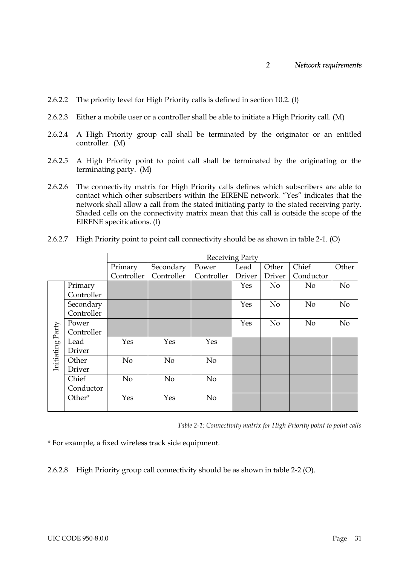- 2.6.2.2 The priority level for High Priority calls is defined in section 10.2. (I)
- 2.6.2.3 Either a mobile user or a controller shall be able to initiate a High Priority call. (M)
- 2.6.2.4 A High Priority group call shall be terminated by the originator or an entitled controller. (M)
- 2.6.2.5 A High Priority point to point call shall be terminated by the originating or the terminating party. (M)
- 2.6.2.6 The connectivity matrix for High Priority calls defines which subscribers are able to contact which other subscribers within the EIRENE network. "Yes" indicates that the network shall allow a call from the stated initiating party to the stated receiving party. Shaded cells on the connectivity matrix mean that this call is outside the scope of the EIRENE specifications. (I)

|                  |            | <b>Receiving Party</b> |                |            |        |                |                |                |
|------------------|------------|------------------------|----------------|------------|--------|----------------|----------------|----------------|
|                  |            | Primary                | Secondary      | Power      | Lead   | Other          | Chief          | Other          |
|                  |            | Controller             | Controller     | Controller | Driver | Driver         | Conductor      |                |
|                  | Primary    |                        |                |            | Yes    | N <sub>o</sub> | N <sub>0</sub> | No             |
|                  | Controller |                        |                |            |        |                |                |                |
|                  | Secondary  |                        |                |            | Yes    | No             | No             | No             |
|                  | Controller |                        |                |            |        |                |                |                |
|                  | Power      |                        |                |            | Yes    | No             | No             | N <sub>o</sub> |
|                  | Controller |                        |                |            |        |                |                |                |
| Initiating Party | Lead       | Yes                    | Yes            | Yes        |        |                |                |                |
|                  | Driver     |                        |                |            |        |                |                |                |
|                  | Other      | No                     | No             | No         |        |                |                |                |
|                  | Driver     |                        |                |            |        |                |                |                |
|                  | Chief      | No                     | N <sub>o</sub> | No         |        |                |                |                |
|                  | Conductor  |                        |                |            |        |                |                |                |
|                  | Other*     | Yes                    | Yes            | No         |        |                |                |                |
|                  |            |                        |                |            |        |                |                |                |

2.6.2.7 High Priority point to point call connectivity should be as shown in table 2-1. (O)

*Table 2-1: Connectivity matrix for High Priority point to point calls*

\* For example, a fixed wireless track side equipment.

2.6.2.8 High Priority group call connectivity should be as shown in table 2-2 (O).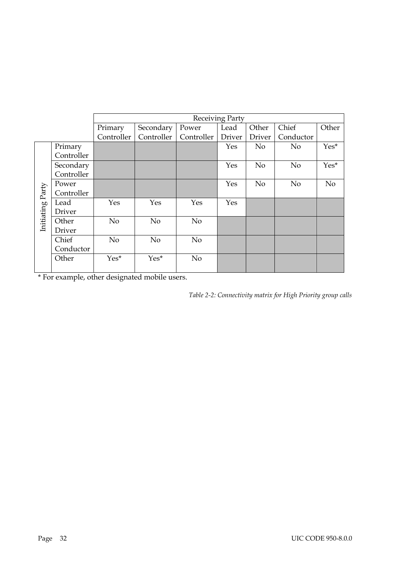|                  |            | <b>Receiving Party</b> |                |                |        |                |                |       |
|------------------|------------|------------------------|----------------|----------------|--------|----------------|----------------|-------|
|                  |            | Primary                | Secondary      | Power          | Lead   | Other          | Chief          | Other |
|                  |            | Controller             | Controller     | Controller     | Driver | Driver         | Conductor      |       |
|                  | Primary    |                        |                |                | Yes    | N <sub>o</sub> | N <sub>o</sub> | Yes*  |
|                  | Controller |                        |                |                |        |                |                |       |
|                  | Secondary  |                        |                |                | Yes    | No             | No             | Yes*  |
|                  | Controller |                        |                |                |        |                |                |       |
|                  | Power      |                        |                |                | Yes    | N <sub>o</sub> | N <sub>o</sub> | No    |
|                  | Controller |                        |                |                |        |                |                |       |
| Initiating Party | Lead       | Yes                    | Yes            | Yes            | Yes    |                |                |       |
|                  | Driver     |                        |                |                |        |                |                |       |
|                  | Other      | No                     | No             | No             |        |                |                |       |
|                  | Driver     |                        |                |                |        |                |                |       |
|                  | Chief      | N <sub>o</sub>         | N <sub>o</sub> | N <sub>o</sub> |        |                |                |       |
|                  | Conductor  |                        |                |                |        |                |                |       |
|                  | Other      | Yes*                   | Yes*           | N <sub>o</sub> |        |                |                |       |
|                  |            |                        |                |                |        |                |                |       |

\* For example, other designated mobile users.

*Table 2-2: Connectivity matrix for High Priority group calls*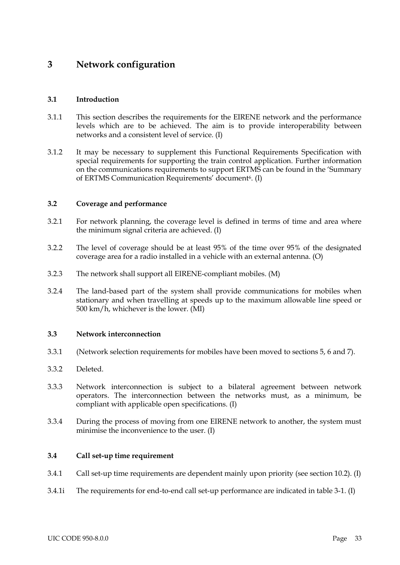# **3 Network configuration**

# **3.1 Introduction**

- 3.1.1 This section describes the requirements for the EIRENE network and the performance levels which are to be achieved. The aim is to provide interoperability between networks and a consistent level of service. (I)
- 3.1.2 It may be necessary to supplement this Functional Requirements Specification with special requirements for supporting the train control application. Further information on the communications requirements to support ERTMS can be found in the 'Summary of ERTMS Communication Requirements' document<sup>6</sup>. (I)

# **3.2 Coverage and performance**

- 3.2.1 For network planning, the coverage level is defined in terms of time and area where the minimum signal criteria are achieved. (I)
- 3.2.2 The level of coverage should be at least 95% of the time over 95% of the designated coverage area for a radio installed in a vehicle with an external antenna. (O)
- 3.2.3 The network shall support all EIRENE-compliant mobiles. (M)
- 3.2.4 The land-based part of the system shall provide communications for mobiles when stationary and when travelling at speeds up to the maximum allowable line speed or 500 km/h, whichever is the lower. (MI)

#### **3.3 Network interconnection**

- 3.3.1 (Network selection requirements for mobiles have been moved to sections 5, 6 and 7).
- 3.3.2 Deleted.
- 3.3.3 Network interconnection is subject to a bilateral agreement between network operators. The interconnection between the networks must, as a minimum, be compliant with applicable open specifications. (I)
- 3.3.4 During the process of moving from one EIRENE network to another, the system must minimise the inconvenience to the user. (I)

#### **3.4 Call set-up time requirement**

- 3.4.1 Call set-up time requirements are dependent mainly upon priority (see section 10.2). (I)
- 3.4.1i The requirements for end-to-end call set-up performance are indicated in table 3-1. (I)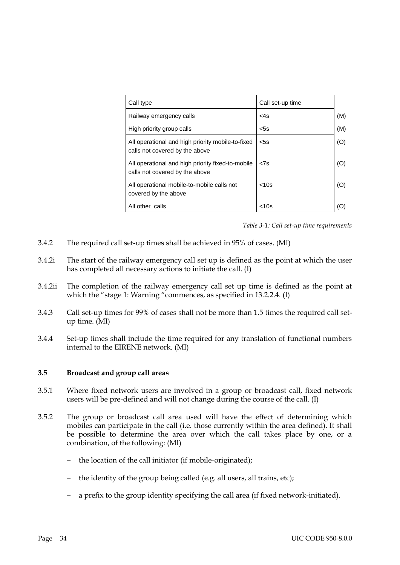| Call type                                                                           | Call set-up time |     |
|-------------------------------------------------------------------------------------|------------------|-----|
| Railway emergency calls                                                             | <4s              | (M) |
| High priority group calls                                                           | $<$ 5 $s$        | (M) |
| All operational and high priority mobile-to-fixed<br>calls not covered by the above | $<$ 5s           | (O) |
| All operational and high priority fixed-to-mobile<br>calls not covered by the above | <7s              | (O) |
| All operational mobile-to-mobile calls not<br>covered by the above                  | <10s             | (O) |
| All other calls                                                                     | ەد10s            | O   |

*Table 3-1: Call set-up time requirements*

- 3.4.2 The required call set-up times shall be achieved in 95% of cases. (MI)
- 3.4.2i The start of the railway emergency call set up is defined as the point at which the user has completed all necessary actions to initiate the call. (I)
- 3.4.2ii The completion of the railway emergency call set up time is defined as the point at which the "stage 1: Warning "commences, as specified in 13.2.2.4. (I)
- 3.4.3 Call set-up times for 99% of cases shall not be more than 1.5 times the required call setup time. (MI)
- 3.4.4 Set-up times shall include the time required for any translation of functional numbers internal to the EIRENE network. (MI)

# **3.5 Broadcast and group call areas**

- 3.5.1 Where fixed network users are involved in a group or broadcast call, fixed network users will be pre-defined and will not change during the course of the call. (I)
- 3.5.2 The group or broadcast call area used will have the effect of determining which mobiles can participate in the call (i.e. those currently within the area defined). It shall be possible to determine the area over which the call takes place by one, or a combination, of the following: (MI)
	- the location of the call initiator (if mobile-originated);
	- the identity of the group being called (e.g. all users, all trains, etc);
	- a prefix to the group identity specifying the call area (if fixed network-initiated).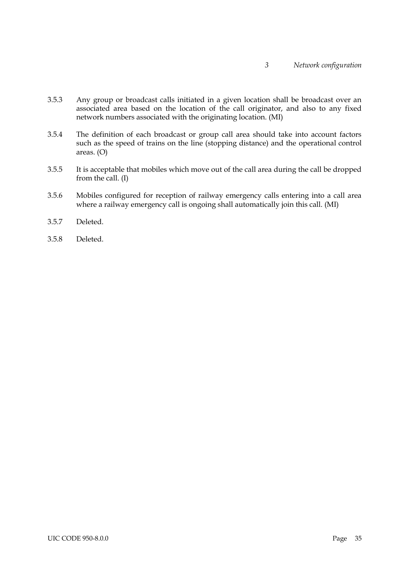- 3.5.3 Any group or broadcast calls initiated in a given location shall be broadcast over an associated area based on the location of the call originator, and also to any fixed network numbers associated with the originating location. (MI)
- 3.5.4 The definition of each broadcast or group call area should take into account factors such as the speed of trains on the line (stopping distance) and the operational control areas. (O)
- 3.5.5 It is acceptable that mobiles which move out of the call area during the call be dropped from the call. (I)
- 3.5.6 Mobiles configured for reception of railway emergency calls entering into a call area where a railway emergency call is ongoing shall automatically join this call. (MI)
- 3.5.7 Deleted.
- 3.5.8 Deleted.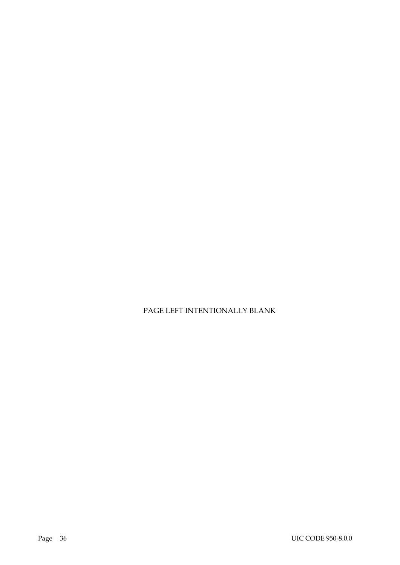PAGE LEFT INTENTIONALLY BLANK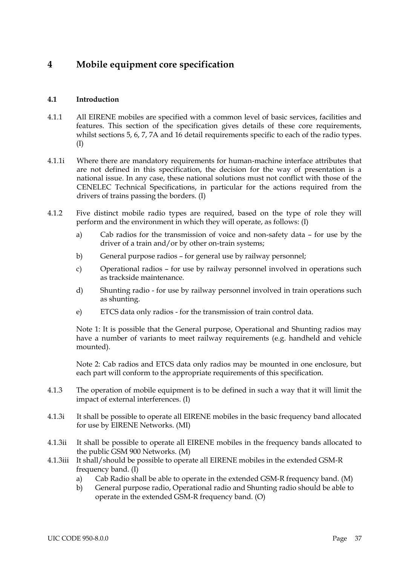# **4 Mobile equipment core specification**

# **4.1 Introduction**

- 4.1.1 All EIRENE mobiles are specified with a common level of basic services, facilities and features. This section of the specification gives details of these core requirements, whilst sections 5, 6, 7, 7A and 16 detail requirements specific to each of the radio types. (I)
- 4.1.1i Where there are mandatory requirements for human-machine interface attributes that are not defined in this specification, the decision for the way of presentation is a national issue. In any case, these national solutions must not conflict with those of the CENELEC Technical Specifications, in particular for the actions required from the drivers of trains passing the borders. (I)
- 4.1.2 Five distinct mobile radio types are required, based on the type of role they will perform and the environment in which they will operate, as follows: (I)
	- a) Cab radios for the transmission of voice and non-safety data for use by the driver of a train and/or by other on-train systems;
	- b) General purpose radios for general use by railway personnel;
	- c) Operational radios for use by railway personnel involved in operations such as trackside maintenance.
	- d) Shunting radio for use by railway personnel involved in train operations such as shunting.
	- e) ETCS data only radios for the transmission of train control data.

Note 1: It is possible that the General purpose, Operational and Shunting radios may have a number of variants to meet railway requirements (e.g. handheld and vehicle mounted).

Note 2: Cab radios and ETCS data only radios may be mounted in one enclosure, but each part will conform to the appropriate requirements of this specification.

- 4.1.3 The operation of mobile equipment is to be defined in such a way that it will limit the impact of external interferences. (I)
- 4.1.3i It shall be possible to operate all EIRENE mobiles in the basic frequency band allocated for use by EIRENE Networks. (MI)
- 4.1.3ii It shall be possible to operate all EIRENE mobiles in the frequency bands allocated to the public GSM 900 Networks. (M)
- 4.1.3iii It shall/should be possible to operate all EIRENE mobiles in the extended GSM-R frequency band. (I)
	- a) Cab Radio shall be able to operate in the extended GSM-R frequency band. (M)
	- b) General purpose radio, Operational radio and Shunting radio should be able to operate in the extended GSM-R frequency band. (O)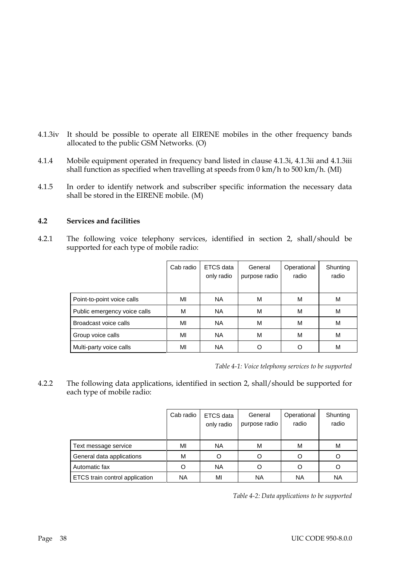- 4.1.3iv It should be possible to operate all EIRENE mobiles in the other frequency bands allocated to the public GSM Networks. (O)
- 4.1.4 Mobile equipment operated in frequency band listed in clause 4.1.3i, 4.1.3ii and 4.1.3iii shall function as specified when travelling at speeds from 0 km/h to 500 km/h. (MI)
- 4.1.5 In order to identify network and subscriber specific information the necessary data shall be stored in the EIRENE mobile. (M)

# **4.2 Services and facilities**

4.2.1 The following voice telephony services, identified in section 2, shall/should be supported for each type of mobile radio:

|                              | Cab radio | ETCS data<br>only radio | General<br>purpose radio | Operational<br>radio | Shunting<br>radio |
|------------------------------|-----------|-------------------------|--------------------------|----------------------|-------------------|
| Point-to-point voice calls   | MI        | <b>NA</b>               | м                        | м                    | м                 |
| Public emergency voice calls | M         | <b>NA</b>               | M                        | м                    | М                 |
| Broadcast voice calls        | MI        | <b>NA</b>               | M                        | м                    | м                 |
| Group voice calls            | MI        | <b>NA</b>               | М                        | м                    | М                 |
| Multi-party voice calls      | MI        | <b>NA</b>               |                          |                      | M                 |

*Table 4-1: Voice telephony services to be supported*

4.2.2 The following data applications, identified in section 2, shall/should be supported for each type of mobile radio:

|                                | Cab radio | ETCS data<br>only radio | General<br>purpose radio | Operational<br>radio | Shunting<br>radio |
|--------------------------------|-----------|-------------------------|--------------------------|----------------------|-------------------|
| Text message service           | ΜI        | <b>NA</b>               | М                        | М                    | М                 |
| General data applications      | M         | O                       |                          |                      |                   |
| Automatic fax                  |           | <b>NA</b>               |                          | O                    |                   |
| ETCS train control application | NA        | MI                      | ΝA                       | <b>NA</b>            | <b>NA</b>         |

*Table 4-2: Data applications to be supported*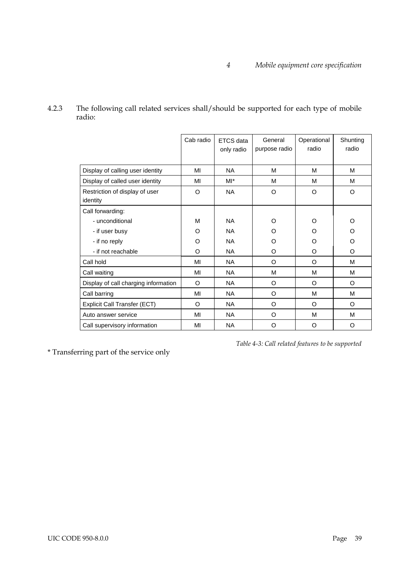|                                            | Cab radio | ETCS data<br>only radio | General<br>purpose radio | Operational<br>radio | Shunting<br>radio |
|--------------------------------------------|-----------|-------------------------|--------------------------|----------------------|-------------------|
| Display of calling user identity           | MI        | <b>NA</b>               | M                        | м                    | м                 |
| Display of called user identity            | MI        | $M*$                    | M                        | м                    | M                 |
| Restriction of display of user<br>identity | O         | <b>NA</b>               | O                        | O                    | O                 |
| Call forwarding:                           |           |                         |                          |                      |                   |
| - unconditional                            | м         | <b>NA</b>               | O                        | O                    | O                 |
| - if user busy                             | ∩         | <b>NA</b>               | O                        | Ω                    | ∩                 |
| - if no reply                              | $\Omega$  | <b>NA</b>               | O                        | $\Omega$             | Ω                 |
| - if not reachable                         | O         | <b>NA</b>               | O                        | O                    | O                 |
| Call hold                                  | MI        | <b>NA</b>               | O                        | O                    | М                 |
| Call waiting                               | MI        | <b>NA</b>               | M                        | М                    | м                 |
| Display of call charging information       | O         | <b>NA</b>               | O                        | O                    | O                 |
| Call barring                               | MI        | <b>NA</b>               | O                        | М                    | М                 |
| Explicit Call Transfer (ECT)               | O         | <b>NA</b>               | O                        | O                    | O                 |
| Auto answer service                        | MI        | <b>NA</b>               | O                        | М                    | М                 |
| Call supervisory information               | MI        | <b>NA</b>               | O                        | O                    | O                 |

4.2.3 The following call related services shall/should be supported for each type of mobile radio:

\* Transferring part of the service only

*Table 4-3: Call related features to be supported*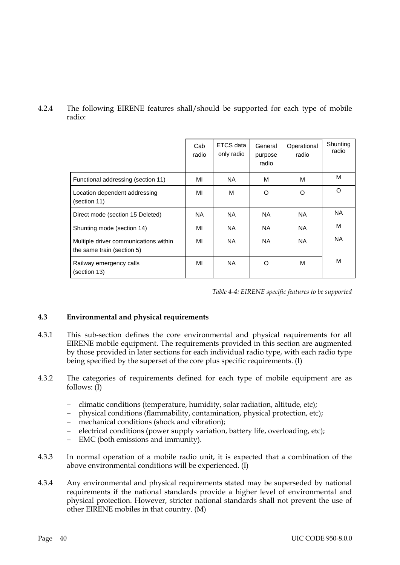4.2.4 The following EIRENE features shall/should be supported for each type of mobile radio:

|                                                                     | Cab<br>radio | ETCS data<br>only radio | General<br>purpose<br>radio | Operational<br>radio | Shunting<br>radio |
|---------------------------------------------------------------------|--------------|-------------------------|-----------------------------|----------------------|-------------------|
| Functional addressing (section 11)                                  | MI           | NA.                     | м                           | М                    | м                 |
| Location dependent addressing<br>(section 11)                       | MI           | м                       | $\Omega$                    | $\Omega$             | O                 |
| Direct mode (section 15 Deleted)                                    | NA.          | <b>NA</b>               | NA.                         | NA.                  | <b>NA</b>         |
| Shunting mode (section 14)                                          | MI           | <b>NA</b>               | NA.                         | NA.                  | м                 |
| Multiple driver communications within<br>the same train (section 5) | MI           | NA.                     | NA.                         | NA.                  | <b>NA</b>         |
| Railway emergency calls<br>(section 13)                             | MI           | <b>NA</b>               | ∩                           | м                    | м                 |

*Table 4-4: EIRENE specific features to be supported*

# **4.3 Environmental and physical requirements**

- 4.3.1 This sub-section defines the core environmental and physical requirements for all EIRENE mobile equipment. The requirements provided in this section are augmented by those provided in later sections for each individual radio type, with each radio type being specified by the superset of the core plus specific requirements. (I)
- 4.3.2 The categories of requirements defined for each type of mobile equipment are as follows: (I)
	- climatic conditions (temperature, humidity, solar radiation, altitude, etc);
	- physical conditions (flammability, contamination, physical protection, etc);
	- mechanical conditions (shock and vibration);
	- electrical conditions (power supply variation, battery life, overloading, etc);
	- EMC (both emissions and immunity).
- 4.3.3 In normal operation of a mobile radio unit, it is expected that a combination of the above environmental conditions will be experienced. (I)
- 4.3.4 Any environmental and physical requirements stated may be superseded by national requirements if the national standards provide a higher level of environmental and physical protection. However, stricter national standards shall not prevent the use of other EIRENE mobiles in that country. (M)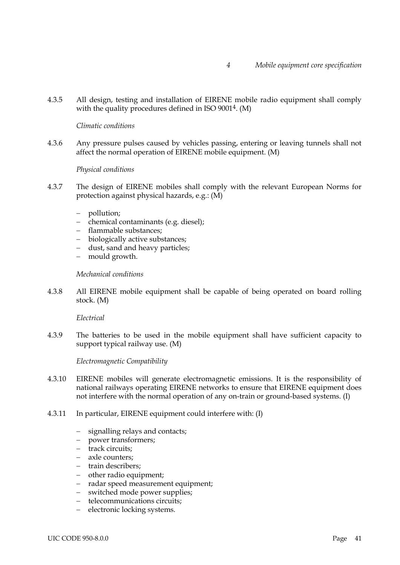4.3.5 All design, testing and installation of EIRENE mobile radio equipment shall comply with the quality procedures defined in ISO 9001<sup>4</sup>. (M)

*Climatic conditions*

4.3.6 Any pressure pulses caused by vehicles passing, entering or leaving tunnels shall not affect the normal operation of EIRENE mobile equipment. (M)

*Physical conditions*

- 4.3.7 The design of EIRENE mobiles shall comply with the relevant European Norms for protection against physical hazards, e.g.: (M)
	- pollution;
	- chemical contaminants (e.g. diesel);
	- flammable substances;
	- biologically active substances;
	- dust, sand and heavy particles;
	- mould growth.

## *Mechanical conditions*

4.3.8 All EIRENE mobile equipment shall be capable of being operated on board rolling stock. (M)

*Electrical*

4.3.9 The batteries to be used in the mobile equipment shall have sufficient capacity to support typical railway use. (M)

*Electromagnetic Compatibility*

- 4.3.10 EIRENE mobiles will generate electromagnetic emissions. It is the responsibility of national railways operating EIRENE networks to ensure that EIRENE equipment does not interfere with the normal operation of any on-train or ground-based systems. (I)
- 4.3.11 In particular, EIRENE equipment could interfere with: (I)
	- signalling relays and contacts;
	- power transformers;
	- track circuits;
	- axle counters;
	- train describers;
	- other radio equipment;
	- radar speed measurement equipment;
	- switched mode power supplies;
	- telecommunications circuits;
	- electronic locking systems.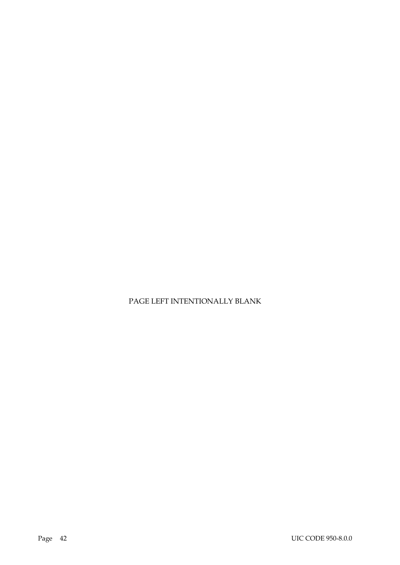PAGE LEFT INTENTIONALLY BLANK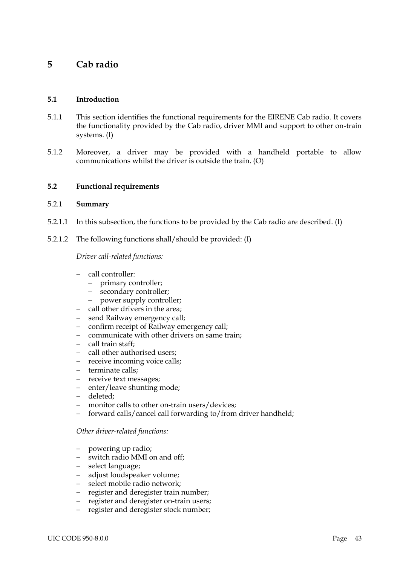# **5 Cab radio**

# **5.1 Introduction**

- 5.1.1 This section identifies the functional requirements for the EIRENE Cab radio. It covers the functionality provided by the Cab radio, driver MMI and support to other on-train systems. (I)
- 5.1.2 Moreover, a driver may be provided with a handheld portable to allow communications whilst the driver is outside the train. (O)

## **5.2 Functional requirements**

# 5.2.1 **Summary**

- 5.2.1.1 In this subsection, the functions to be provided by the Cab radio are described. (I)
- 5.2.1.2 The following functions shall/should be provided: (I)

# *Driver call-related functions:*

- call controller:
	- primary controller;
	- secondary controller;
	- power supply controller;
- call other drivers in the area;
- send Railway emergency call;
- confirm receipt of Railway emergency call;
- communicate with other drivers on same train;
- call train staff;
- call other authorised users;
- receive incoming voice calls;
- terminate calls;
- receive text messages;
- enter/leave shunting mode;
- deleted;
- monitor calls to other on-train users/devices;
- forward calls/cancel call forwarding to/from driver handheld;

## *Other driver-related functions:*

- powering up radio;
- switch radio MMI on and off;
- select language;
- adjust loudspeaker volume;
- select mobile radio network;
- register and deregister train number;
- register and deregister on-train users;
- register and deregister stock number;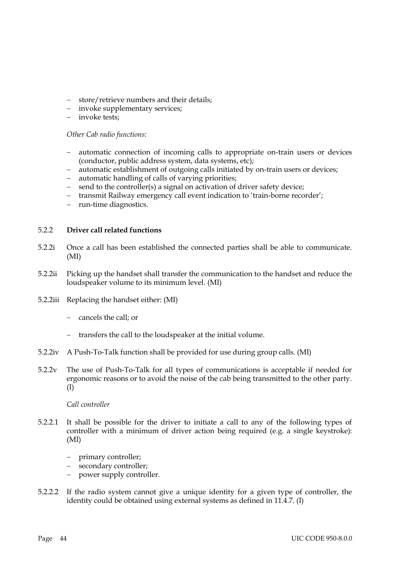- store/retrieve numbers and their details;
- invoke supplementary services;
- invoke tests;

*Other Cab radio functions:*

- automatic connection of incoming calls to appropriate on-train users or devices (conductor, public address system, data systems, etc);
- automatic establishment of outgoing calls initiated by on-train users or devices;
- automatic handling of calls of varying priorities;
- send to the controller(s) a signal on activation of driver safety device;
- transmit Railway emergency call event indication to 'train-borne recorder';
- run-time diagnostics.

# 5.2.2 **Driver call related functions**

- 5.2.2i Once a call has been established the connected parties shall be able to communicate. (MI)
- 5.2.2ii Picking up the handset shall transfer the communication to the handset and reduce the loudspeaker volume to its minimum level. (MI)
- 5.2.2iii Replacing the handset either: (MI)
	- cancels the call; or
	- transfers the call to the loudspeaker at the initial volume.
- 5.2.2iv A Push-To-Talk function shall be provided for use during group calls. (MI)
- 5.2.2v The use of Push-To-Talk for all types of communications is acceptable if needed for ergonomic reasons or to avoid the noise of the cab being transmitted to the other party. (I)

*Call controller*

- 5.2.2.1 It shall be possible for the driver to initiate a call to any of the following types of controller with a minimum of driver action being required (e.g. a single keystroke): (MI)
	- primary controller;
	- secondary controller;
	- power supply controller.
- 5.2.2.2 If the radio system cannot give a unique identity for a given type of controller, the identity could be obtained using external systems as defined in 11.4.7. (I)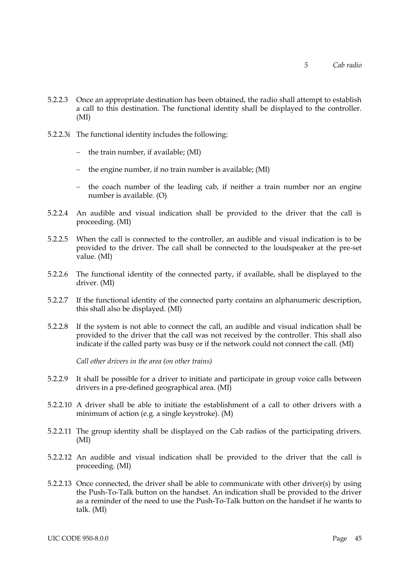- 5.2.2.3 Once an appropriate destination has been obtained, the radio shall attempt to establish a call to this destination. The functional identity shall be displayed to the controller. (MI)
- 5.2.2.3i The functional identity includes the following:
	- the train number, if available;  $(MI)$
	- the engine number, if no train number is available;  $(MI)$
	- $-$  the coach number of the leading cab, if neither a train number nor an engine number is available. (O)
- 5.2.2.4 An audible and visual indication shall be provided to the driver that the call is proceeding. (MI)
- 5.2.2.5 When the call is connected to the controller, an audible and visual indication is to be provided to the driver. The call shall be connected to the loudspeaker at the pre-set value. (MI)
- 5.2.2.6 The functional identity of the connected party, if available, shall be displayed to the driver. (MI)
- 5.2.2.7 If the functional identity of the connected party contains an alphanumeric description, this shall also be displayed. (MI)
- 5.2.2.8 If the system is not able to connect the call, an audible and visual indication shall be provided to the driver that the call was not received by the controller. This shall also indicate if the called party was busy or if the network could not connect the call. (MI)

*Call other drivers in the area (on other trains)*

- 5.2.2.9 It shall be possible for a driver to initiate and participate in group voice calls between drivers in a pre-defined geographical area. (MI)
- 5.2.2.10 A driver shall be able to initiate the establishment of a call to other drivers with a minimum of action (e.g. a single keystroke). (M)
- 5.2.2.11 The group identity shall be displayed on the Cab radios of the participating drivers. (MI)
- 5.2.2.12 An audible and visual indication shall be provided to the driver that the call is proceeding. (MI)
- 5.2.2.13 Once connected, the driver shall be able to communicate with other driver(s) by using the Push-To-Talk button on the handset. An indication shall be provided to the driver as a reminder of the need to use the Push-To-Talk button on the handset if he wants to talk. (MI)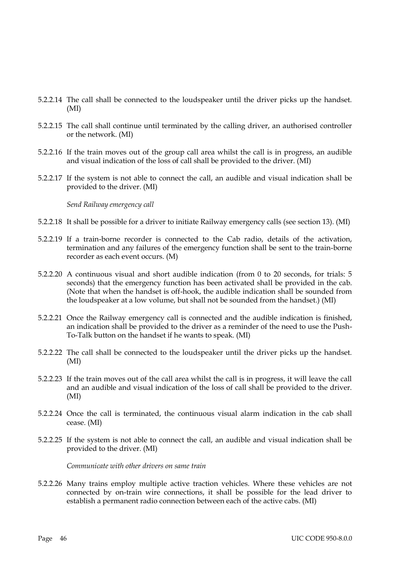- 5.2.2.14 The call shall be connected to the loudspeaker until the driver picks up the handset. (MI)
- 5.2.2.15 The call shall continue until terminated by the calling driver, an authorised controller or the network. (MI)
- 5.2.2.16 If the train moves out of the group call area whilst the call is in progress, an audible and visual indication of the loss of call shall be provided to the driver. (MI)
- 5.2.2.17 If the system is not able to connect the call, an audible and visual indication shall be provided to the driver. (MI)

*Send Railway emergency call* 

- 5.2.2.18 It shall be possible for a driver to initiate Railway emergency calls (see section 13). (MI)
- 5.2.2.19 If a train-borne recorder is connected to the Cab radio, details of the activation, termination and any failures of the emergency function shall be sent to the train-borne recorder as each event occurs. (M)
- 5.2.2.20 A continuous visual and short audible indication (from 0 to 20 seconds, for trials: 5 seconds) that the emergency function has been activated shall be provided in the cab. (Note that when the handset is off-hook, the audible indication shall be sounded from the loudspeaker at a low volume, but shall not be sounded from the handset.) (MI)
- 5.2.2.21 Once the Railway emergency call is connected and the audible indication is finished, an indication shall be provided to the driver as a reminder of the need to use the Push-To-Talk button on the handset if he wants to speak. (MI)
- 5.2.2.22 The call shall be connected to the loudspeaker until the driver picks up the handset. (MI)
- 5.2.2.23 If the train moves out of the call area whilst the call is in progress, it will leave the call and an audible and visual indication of the loss of call shall be provided to the driver. (MI)
- 5.2.2.24 Once the call is terminated, the continuous visual alarm indication in the cab shall cease. (MI)
- 5.2.2.25 If the system is not able to connect the call, an audible and visual indication shall be provided to the driver. (MI)

*Communicate with other drivers on same train*

5.2.2.26 Many trains employ multiple active traction vehicles. Where these vehicles are not connected by on-train wire connections, it shall be possible for the lead driver to establish a permanent radio connection between each of the active cabs. (MI)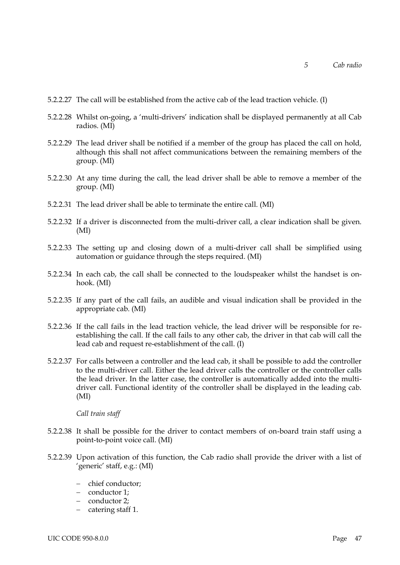- 5.2.2.27 The call will be established from the active cab of the lead traction vehicle. (I)
- 5.2.2.28 Whilst on-going, a 'multi-drivers' indication shall be displayed permanently at all Cab radios. (MI)
- 5.2.2.29 The lead driver shall be notified if a member of the group has placed the call on hold, although this shall not affect communications between the remaining members of the group. (MI)
- 5.2.2.30 At any time during the call, the lead driver shall be able to remove a member of the group. (MI)
- 5.2.2.31 The lead driver shall be able to terminate the entire call. (MI)
- 5.2.2.32 If a driver is disconnected from the multi-driver call, a clear indication shall be given. (MI)
- 5.2.2.33 The setting up and closing down of a multi-driver call shall be simplified using automation or guidance through the steps required. (MI)
- 5.2.2.34 In each cab, the call shall be connected to the loudspeaker whilst the handset is onhook. (MI)
- 5.2.2.35 If any part of the call fails, an audible and visual indication shall be provided in the appropriate cab. (MI)
- 5.2.2.36 If the call fails in the lead traction vehicle, the lead driver will be responsible for reestablishing the call. If the call fails to any other cab, the driver in that cab will call the lead cab and request re-establishment of the call. (I)
- 5.2.2.37 For calls between a controller and the lead cab, it shall be possible to add the controller to the multi-driver call. Either the lead driver calls the controller or the controller calls the lead driver. In the latter case, the controller is automatically added into the multidriver call. Functional identity of the controller shall be displayed in the leading cab. (MI)

*Call train staff*

- 5.2.2.38 It shall be possible for the driver to contact members of on-board train staff using a point-to-point voice call. (MI)
- 5.2.2.39 Upon activation of this function, the Cab radio shall provide the driver with a list of 'generic' staff, e.g.: (MI)
	- chief conductor:
	- conductor 1;
	- conductor 2;
	- catering staff 1.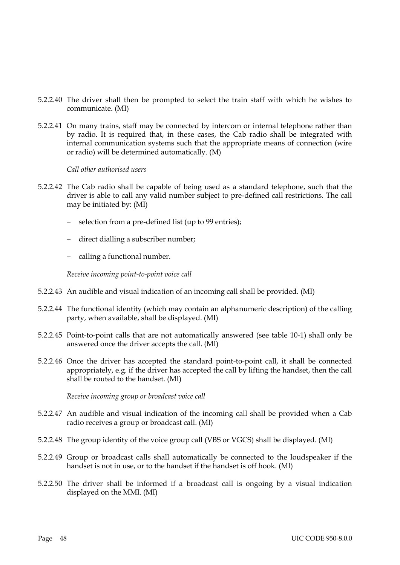- 5.2.2.40 The driver shall then be prompted to select the train staff with which he wishes to communicate. (MI)
- 5.2.2.41 On many trains, staff may be connected by intercom or internal telephone rather than by radio. It is required that, in these cases, the Cab radio shall be integrated with internal communication systems such that the appropriate means of connection (wire or radio) will be determined automatically. (M)

*Call other authorised users*

- 5.2.2.42 The Cab radio shall be capable of being used as a standard telephone, such that the driver is able to call any valid number subject to pre-defined call restrictions. The call may be initiated by: (MI)
	- selection from a pre-defined list (up to 99 entries);
	- direct dialling a subscriber number;
	- calling a functional number.

*Receive incoming point-to-point voice call*

- 5.2.2.43 An audible and visual indication of an incoming call shall be provided. (MI)
- 5.2.2.44 The functional identity (which may contain an alphanumeric description) of the calling party, when available, shall be displayed. (MI)
- 5.2.2.45 Point-to-point calls that are not automatically answered (see table 10-1) shall only be answered once the driver accepts the call. (MI)
- 5.2.2.46 Once the driver has accepted the standard point-to-point call, it shall be connected appropriately, e.g. if the driver has accepted the call by lifting the handset, then the call shall be routed to the handset. (MI)

*Receive incoming group or broadcast voice call*

- 5.2.2.47 An audible and visual indication of the incoming call shall be provided when a Cab radio receives a group or broadcast call. (MI)
- 5.2.2.48 The group identity of the voice group call (VBS or VGCS) shall be displayed. (MI)
- 5.2.2.49 Group or broadcast calls shall automatically be connected to the loudspeaker if the handset is not in use, or to the handset if the handset is off hook. (MI)
- 5.2.2.50 The driver shall be informed if a broadcast call is ongoing by a visual indication displayed on the MMI. (MI)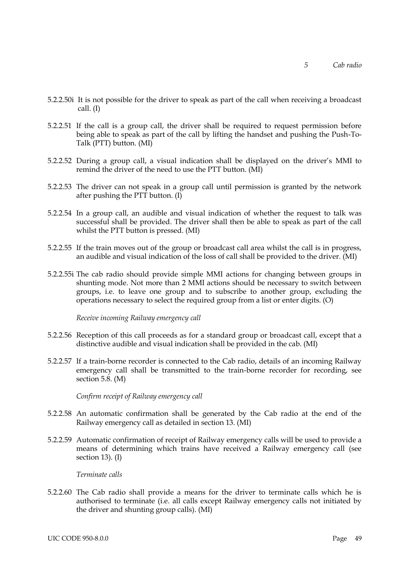- 5.2.2.50i It is not possible for the driver to speak as part of the call when receiving a broadcast call. (I)
- 5.2.2.51 If the call is a group call, the driver shall be required to request permission before being able to speak as part of the call by lifting the handset and pushing the Push-To-Talk (PTT) button. (MI)
- 5.2.2.52 During a group call, a visual indication shall be displayed on the driver's MMI to remind the driver of the need to use the PTT button. (MI)
- 5.2.2.53 The driver can not speak in a group call until permission is granted by the network after pushing the PTT button. (I)
- 5.2.2.54 In a group call, an audible and visual indication of whether the request to talk was successful shall be provided. The driver shall then be able to speak as part of the call whilst the PTT button is pressed. (MI)
- 5.2.2.55 If the train moves out of the group or broadcast call area whilst the call is in progress, an audible and visual indication of the loss of call shall be provided to the driver. (MI)
- 5.2.2.55i The cab radio should provide simple MMI actions for changing between groups in shunting mode. Not more than 2 MMI actions should be necessary to switch between groups, i.e. to leave one group and to subscribe to another group, excluding the operations necessary to select the required group from a list or enter digits. (O)

*Receive incoming Railway emergency call*

- 5.2.2.56 Reception of this call proceeds as for a standard group or broadcast call, except that a distinctive audible and visual indication shall be provided in the cab. (MI)
- 5.2.2.57 If a train-borne recorder is connected to the Cab radio, details of an incoming Railway emergency call shall be transmitted to the train-borne recorder for recording, see section 5.8. (M)

*Confirm receipt of Railway emergency call*

- 5.2.2.58 An automatic confirmation shall be generated by the Cab radio at the end of the Railway emergency call as detailed in section 13. (MI)
- 5.2.2.59 Automatic confirmation of receipt of Railway emergency calls will be used to provide a means of determining which trains have received a Railway emergency call (see section 13). (I)

*Terminate calls*

5.2.2.60 The Cab radio shall provide a means for the driver to terminate calls which he is authorised to terminate (i.e. all calls except Railway emergency calls not initiated by the driver and shunting group calls). (MI)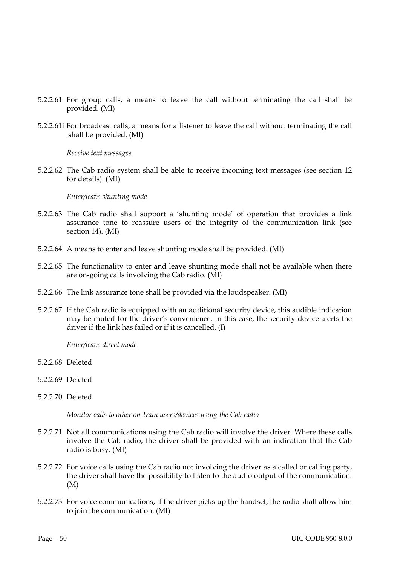- 5.2.2.61 For group calls, a means to leave the call without terminating the call shall be provided. (MI)
- 5.2.2.61i For broadcast calls, a means for a listener to leave the call without terminating the call shall be provided. (MI)

*Receive text messages*

5.2.2.62 The Cab radio system shall be able to receive incoming text messages (see section 12 for details). (MI)

*Enter/leave shunting mode*

- 5.2.2.63 The Cab radio shall support a 'shunting mode' of operation that provides a link assurance tone to reassure users of the integrity of the communication link (see section 14). (MI)
- 5.2.2.64 A means to enter and leave shunting mode shall be provided. (MI)
- 5.2.2.65 The functionality to enter and leave shunting mode shall not be available when there are on-going calls involving the Cab radio. (MI)
- 5.2.2.66 The link assurance tone shall be provided via the loudspeaker. (MI)
- 5.2.2.67 If the Cab radio is equipped with an additional security device, this audible indication may be muted for the driver's convenience. In this case, the security device alerts the driver if the link has failed or if it is cancelled. (I)

*Enter/leave direct mode*

- 5.2.2.68 Deleted
- 5.2.2.69 Deleted
- 5.2.2.70 Deleted

*Monitor calls to other on-train users/devices using the Cab radio*

- 5.2.2.71 Not all communications using the Cab radio will involve the driver. Where these calls involve the Cab radio, the driver shall be provided with an indication that the Cab radio is busy. (MI)
- 5.2.2.72 For voice calls using the Cab radio not involving the driver as a called or calling party, the driver shall have the possibility to listen to the audio output of the communication. (M)
- 5.2.2.73 For voice communications, if the driver picks up the handset, the radio shall allow him to join the communication. (MI)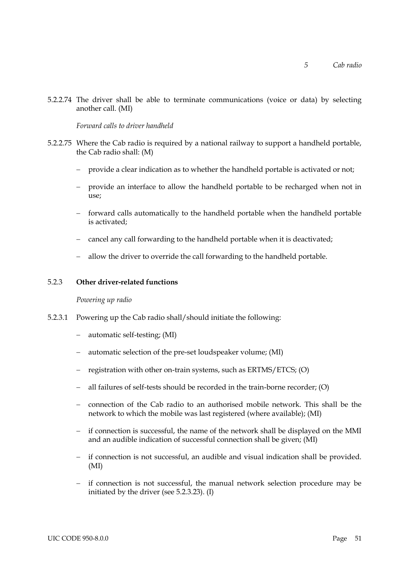5.2.2.74 The driver shall be able to terminate communications (voice or data) by selecting another call. (MI)

*Forward calls to driver handheld*

- 5.2.2.75 Where the Cab radio is required by a national railway to support a handheld portable, the Cab radio shall: (M)
	- provide a clear indication as to whether the handheld portable is activated or not;
	- provide an interface to allow the handheld portable to be recharged when not in use;
	- forward calls automatically to the handheld portable when the handheld portable is activated;
	- cancel any call forwarding to the handheld portable when it is deactivated;
	- allow the driver to override the call forwarding to the handheld portable.

#### 5.2.3 **Other driver-related functions**

*Powering up radio*

- 5.2.3.1 Powering up the Cab radio shall/should initiate the following:
	- automatic self-testing; (MI)
	- automatic selection of the pre-set loudspeaker volume; (MI)
	- registration with other on-train systems, such as ERTMS/ETCS; (O)
	- all failures of self-tests should be recorded in the train-borne recorder; (O)
	- connection of the Cab radio to an authorised mobile network. This shall be the network to which the mobile was last registered (where available); (MI)
	- if connection is successful, the name of the network shall be displayed on the MMI and an audible indication of successful connection shall be given; (MI)
	- if connection is not successful, an audible and visual indication shall be provided. (MI)
	- if connection is not successful, the manual network selection procedure may be initiated by the driver (see 5.2.3.23). (I)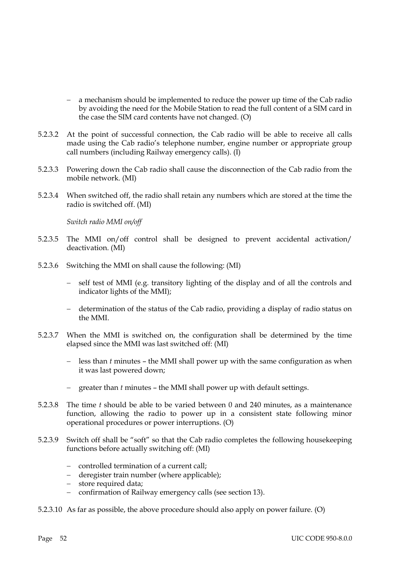- a mechanism should be implemented to reduce the power up time of the Cab radio by avoiding the need for the Mobile Station to read the full content of a SIM card in the case the SIM card contents have not changed. (O)
- 5.2.3.2 At the point of successful connection, the Cab radio will be able to receive all calls made using the Cab radio's telephone number, engine number or appropriate group call numbers (including Railway emergency calls). (I)
- 5.2.3.3 Powering down the Cab radio shall cause the disconnection of the Cab radio from the mobile network. (MI)
- 5.2.3.4 When switched off, the radio shall retain any numbers which are stored at the time the radio is switched off. (MI)

*Switch radio MMI on/off*

- 5.2.3.5 The MMI on/off control shall be designed to prevent accidental activation/ deactivation. (MI)
- 5.2.3.6 Switching the MMI on shall cause the following: (MI)
	- self test of MMI (e.g. transitory lighting of the display and of all the controls and indicator lights of the MMI);
	- determination of the status of the Cab radio, providing a display of radio status on the MMI.
- 5.2.3.7 When the MMI is switched on, the configuration shall be determined by the time elapsed since the MMI was last switched off: (MI)
	- less than *t* minutes the MMI shall power up with the same configuration as when it was last powered down;
	- greater than *t* minutes the MMI shall power up with default settings.
- 5.2.3.8 The time *t* should be able to be varied between 0 and 240 minutes, as a maintenance function, allowing the radio to power up in a consistent state following minor operational procedures or power interruptions. (O)
- 5.2.3.9 Switch off shall be "soft" so that the Cab radio completes the following housekeeping functions before actually switching off: (MI)
	- controlled termination of a current call;
	- deregister train number (where applicable);
	- store required data;
	- confirmation of Railway emergency calls (see section 13).
- 5.2.3.10 As far as possible, the above procedure should also apply on power failure. (O)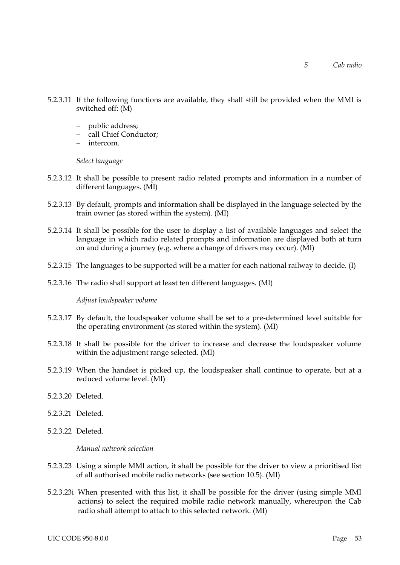- 5.2.3.11 If the following functions are available, they shall still be provided when the MMI is switched off: (M)
	- public address;
	- call Chief Conductor;
	- intercom.

*Select language*

- 5.2.3.12 It shall be possible to present radio related prompts and information in a number of different languages. (MI)
- 5.2.3.13 By default, prompts and information shall be displayed in the language selected by the train owner (as stored within the system). (MI)
- 5.2.3.14 It shall be possible for the user to display a list of available languages and select the language in which radio related prompts and information are displayed both at turn on and during a journey (e.g. where a change of drivers may occur). (MI)
- 5.2.3.15 The languages to be supported will be a matter for each national railway to decide. (I)
- 5.2.3.16 The radio shall support at least ten different languages. (MI)

*Adjust loudspeaker volume*

- 5.2.3.17 By default, the loudspeaker volume shall be set to a pre-determined level suitable for the operating environment (as stored within the system). (MI)
- 5.2.3.18 It shall be possible for the driver to increase and decrease the loudspeaker volume within the adjustment range selected. (MI)
- 5.2.3.19 When the handset is picked up, the loudspeaker shall continue to operate, but at a reduced volume level. (MI)
- 5.2.3.20 Deleted.
- 5.2.3.21 Deleted.
- 5.2.3.22 Deleted.

*Manual network selection*

- 5.2.3.23 Using a simple MMI action, it shall be possible for the driver to view a prioritised list of all authorised mobile radio networks (see section 10.5). (MI)
- 5.2.3.23i When presented with this list, it shall be possible for the driver (using simple MMI actions) to select the required mobile radio network manually, whereupon the Cab radio shall attempt to attach to this selected network. (MI)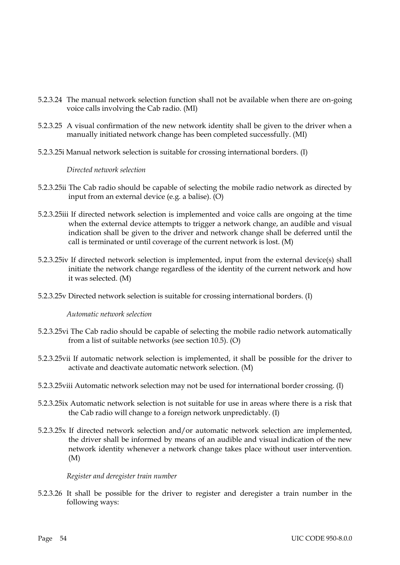- 5.2.3.24 The manual network selection function shall not be available when there are on-going voice calls involving the Cab radio. (MI)
- 5.2.3.25 A visual confirmation of the new network identity shall be given to the driver when a manually initiated network change has been completed successfully. (MI)
- 5.2.3.25i Manual network selection is suitable for crossing international borders. (I)

*Directed network selection*

- 5.2.3.25ii The Cab radio should be capable of selecting the mobile radio network as directed by input from an external device (e.g. a balise). (O)
- 5.2.3.25iii If directed network selection is implemented and voice calls are ongoing at the time when the external device attempts to trigger a network change, an audible and visual indication shall be given to the driver and network change shall be deferred until the call is terminated or until coverage of the current network is lost. (M)
- 5.2.3.25iv If directed network selection is implemented, input from the external device(s) shall initiate the network change regardless of the identity of the current network and how it was selected. (M)
- 5.2.3.25v Directed network selection is suitable for crossing international borders. (I)

*Automatic network selection*

- 5.2.3.25vi The Cab radio should be capable of selecting the mobile radio network automatically from a list of suitable networks (see section 10.5). (O)
- 5.2.3.25vii If automatic network selection is implemented, it shall be possible for the driver to activate and deactivate automatic network selection. (M)
- 5.2.3.25viii Automatic network selection may not be used for international border crossing. (I)
- 5.2.3.25ix Automatic network selection is not suitable for use in areas where there is a risk that the Cab radio will change to a foreign network unpredictably. (I)
- 5.2.3.25x If directed network selection and/or automatic network selection are implemented, the driver shall be informed by means of an audible and visual indication of the new network identity whenever a network change takes place without user intervention. (M)

## *Register and deregister train number*

5.2.3.26 It shall be possible for the driver to register and deregister a train number in the following ways: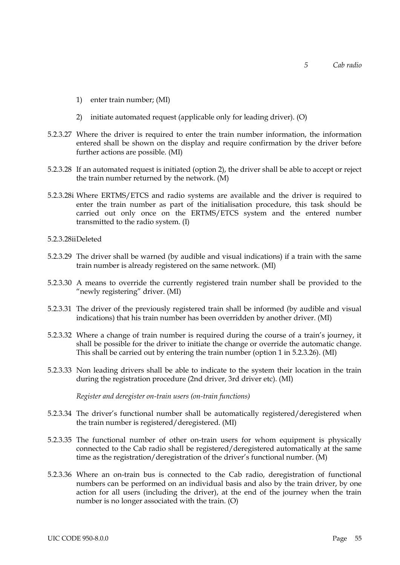- 1) enter train number; (MI)
- 2) initiate automated request (applicable only for leading driver). (O)
- 5.2.3.27 Where the driver is required to enter the train number information, the information entered shall be shown on the display and require confirmation by the driver before further actions are possible. (MI)
- 5.2.3.28 If an automated request is initiated (option 2), the driver shall be able to accept or reject the train number returned by the network. (M)
- 5.2.3.28i Where ERTMS/ETCS and radio systems are available and the driver is required to enter the train number as part of the initialisation procedure, this task should be carried out only once on the ERTMS/ETCS system and the entered number transmitted to the radio system. (I)
- 5.2.3.28iiDeleted
- 5.2.3.29 The driver shall be warned (by audible and visual indications) if a train with the same train number is already registered on the same network. (MI)
- 5.2.3.30 A means to override the currently registered train number shall be provided to the "newly registering" driver. (MI)
- 5.2.3.31 The driver of the previously registered train shall be informed (by audible and visual indications) that his train number has been overridden by another driver. (MI)
- 5.2.3.32 Where a change of train number is required during the course of a train's journey, it shall be possible for the driver to initiate the change or override the automatic change. This shall be carried out by entering the train number (option 1 in 5.2.3.26). (MI)
- 5.2.3.33 Non leading drivers shall be able to indicate to the system their location in the train during the registration procedure (2nd driver, 3rd driver etc). (MI)

*Register and deregister on-train users (on-train functions)*

- 5.2.3.34 The driver's functional number shall be automatically registered/deregistered when the train number is registered/deregistered. (MI)
- 5.2.3.35 The functional number of other on-train users for whom equipment is physically connected to the Cab radio shall be registered/deregistered automatically at the same time as the registration/deregistration of the driver's functional number. (M)
- 5.2.3.36 Where an on-train bus is connected to the Cab radio, deregistration of functional numbers can be performed on an individual basis and also by the train driver, by one action for all users (including the driver), at the end of the journey when the train number is no longer associated with the train. (O)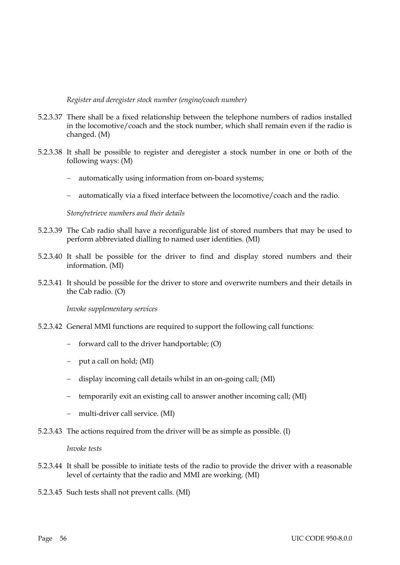*Register and deregister stock number (engine/coach number)*

- 5.2.3.37 There shall be a fixed relationship between the telephone numbers of radios installed in the locomotive/coach and the stock number, which shall remain even if the radio is changed. (M)
- 5.2.3.38 It shall be possible to register and deregister a stock number in one or both of the following ways: (M)
	- automatically using information from on-board systems;
	- automatically via a fixed interface between the locomotive/coach and the radio.

*Store/retrieve numbers and their details*

- 5.2.3.39 The Cab radio shall have a reconfigurable list of stored numbers that may be used to perform abbreviated dialling to named user identities. (MI)
- 5.2.3.40 It shall be possible for the driver to find and display stored numbers and their information. (MI)
- 5.2.3.41 It should be possible for the driver to store and overwrite numbers and their details in the Cab radio. (O)

*Invoke supplementary services*

- 5.2.3.42 General MMI functions are required to support the following call functions:
	- $-$  forward call to the driver handportable; (O)
	- put a call on hold; (MI)
	- display incoming call details whilst in an on-going call; (MI)
	- temporarily exit an existing call to answer another incoming call; (MI)
	- multi-driver call service. (MI)
- 5.2.3.43 The actions required from the driver will be as simple as possible. (I)

*Invoke tests*

- 5.2.3.44 It shall be possible to initiate tests of the radio to provide the driver with a reasonable level of certainty that the radio and MMI are working. (MI)
- 5.2.3.45 Such tests shall not prevent calls. (MI)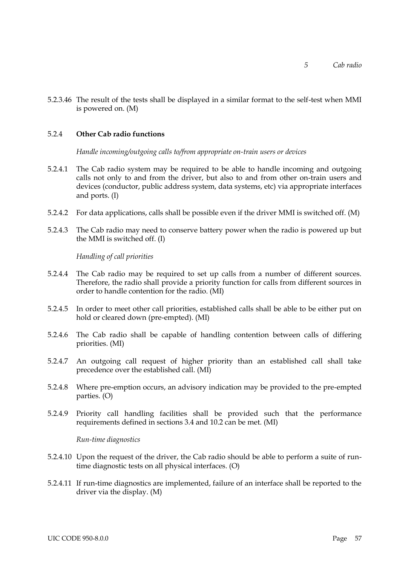5.2.3.46 The result of the tests shall be displayed in a similar format to the self-test when MMI is powered on. (M)

## 5.2.4 **Other Cab radio functions**

*Handle incoming/outgoing calls to/from appropriate on-train users or devices*

- 5.2.4.1 The Cab radio system may be required to be able to handle incoming and outgoing calls not only to and from the driver, but also to and from other on-train users and devices (conductor, public address system, data systems, etc) via appropriate interfaces and ports. (I)
- 5.2.4.2 For data applications, calls shall be possible even if the driver MMI is switched off. (M)
- 5.2.4.3 The Cab radio may need to conserve battery power when the radio is powered up but the MMI is switched off. (I)

*Handling of call priorities*

- 5.2.4.4 The Cab radio may be required to set up calls from a number of different sources. Therefore, the radio shall provide a priority function for calls from different sources in order to handle contention for the radio. (MI)
- 5.2.4.5 In order to meet other call priorities, established calls shall be able to be either put on hold or cleared down (pre-empted). (MI)
- 5.2.4.6 The Cab radio shall be capable of handling contention between calls of differing priorities. (MI)
- 5.2.4.7 An outgoing call request of higher priority than an established call shall take precedence over the established call. (MI)
- 5.2.4.8 Where pre-emption occurs, an advisory indication may be provided to the pre-empted parties. (O)
- 5.2.4.9 Priority call handling facilities shall be provided such that the performance requirements defined in sections 3.4 and 10.2 can be met. (MI)

*Run-time diagnostics*

- 5.2.4.10 Upon the request of the driver, the Cab radio should be able to perform a suite of runtime diagnostic tests on all physical interfaces. (O)
- 5.2.4.11 If run-time diagnostics are implemented, failure of an interface shall be reported to the driver via the display. (M)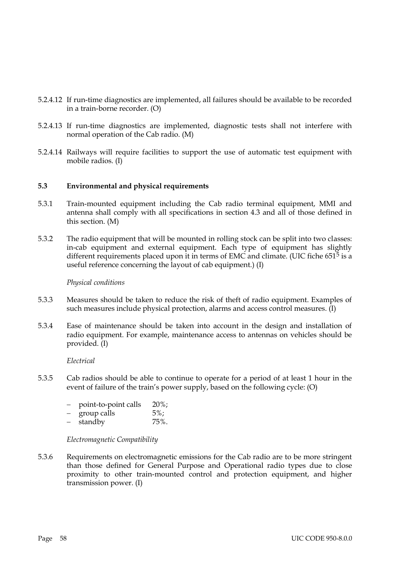- 5.2.4.12 If run-time diagnostics are implemented, all failures should be available to be recorded in a train-borne recorder. (O)
- 5.2.4.13 If run-time diagnostics are implemented, diagnostic tests shall not interfere with normal operation of the Cab radio. (M)
- 5.2.4.14 Railways will require facilities to support the use of automatic test equipment with mobile radios. (I)

# **5.3 Environmental and physical requirements**

- 5.3.1 Train-mounted equipment including the Cab radio terminal equipment, MMI and antenna shall comply with all specifications in section 4.3 and all of those defined in this section. (M)
- 5.3.2 The radio equipment that will be mounted in rolling stock can be split into two classes: in-cab equipment and external equipment. Each type of equipment has slightly different requirements placed upon it in terms of EMC and climate. (UIC fiche  $651<sup>5</sup>$  is a useful reference concerning the layout of cab equipment.) (I)

#### *Physical conditions*

- 5.3.3 Measures should be taken to reduce the risk of theft of radio equipment. Examples of such measures include physical protection, alarms and access control measures. (I)
- 5.3.4 Ease of maintenance should be taken into account in the design and installation of radio equipment. For example, maintenance access to antennas on vehicles should be provided. (I)

## *Electrical*

5.3.5 Cab radios should be able to continue to operate for a period of at least 1 hour in the event of failure of the train's power supply, based on the following cycle: (O)

point-to-point calls 20%;

- group calls 5%;
- standby 75%.

*Electromagnetic Compatibility*

5.3.6 Requirements on electromagnetic emissions for the Cab radio are to be more stringent than those defined for General Purpose and Operational radio types due to close proximity to other train-mounted control and protection equipment, and higher transmission power. (I)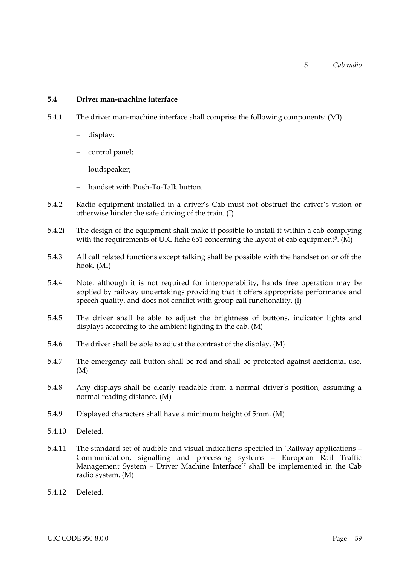# **5.4 Driver man-machine interface**

- 5.4.1 The driver man-machine interface shall comprise the following components: (MI)
	- display;
	- control panel;
	- loudspeaker;
	- handset with Push-To-Talk button.
- 5.4.2 Radio equipment installed in a driver's Cab must not obstruct the driver's vision or otherwise hinder the safe driving of the train. (I)
- 5.4.2i The design of the equipment shall make it possible to install it within a cab complying with the requirements of UIC fiche 651 concerning the layout of cab equipment<sup>5</sup>. (M)
- 5.4.3 All call related functions except talking shall be possible with the handset on or off the hook. (MI)
- 5.4.4 Note: although it is not required for interoperability, hands free operation may be applied by railway undertakings providing that it offers appropriate performance and speech quality, and does not conflict with group call functionality. (I)
- 5.4.5 The driver shall be able to adjust the brightness of buttons, indicator lights and displays according to the ambient lighting in the cab. (M)
- 5.4.6 The driver shall be able to adjust the contrast of the display. (M)
- 5.4.7 The emergency call button shall be red and shall be protected against accidental use. (M)
- 5.4.8 Any displays shall be clearly readable from a normal driver's position, assuming a normal reading distance. (M)
- 5.4.9 Displayed characters shall have a minimum height of 5mm. (M)
- 5.4.10 Deleted.
- 5.4.11 The standard set of audible and visual indications specified in 'Railway applications Communication, signalling and processing systems – European Rail Traffic Management System – Driver Machine Interface'<sup>7</sup> shall be implemented in the Cab radio system. (M)
- 5.4.12 Deleted.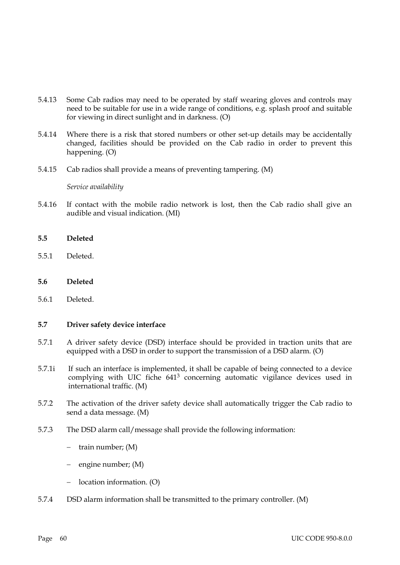- 5.4.13 Some Cab radios may need to be operated by staff wearing gloves and controls may need to be suitable for use in a wide range of conditions, e.g. splash proof and suitable for viewing in direct sunlight and in darkness. (O)
- 5.4.14 Where there is a risk that stored numbers or other set-up details may be accidentally changed, facilities should be provided on the Cab radio in order to prevent this happening. (O)
- 5.4.15 Cab radios shall provide a means of preventing tampering. (M)

*Service availability*

- 5.4.16 If contact with the mobile radio network is lost, then the Cab radio shall give an audible and visual indication. (MI)
- **5.5 Deleted**
- 5.5.1 Deleted.
- **5.6 Deleted**
- 5.6.1 Deleted.

## **5.7 Driver safety device interface**

- 5.7.1 A driver safety device (DSD) interface should be provided in traction units that are equipped with a DSD in order to support the transmission of a DSD alarm. (O)
- 5.7.1i If such an interface is implemented, it shall be capable of being connected to a device complying with UIC fiche 641<sup>3</sup> concerning automatic vigilance devices used in international traffic. (M)
- 5.7.2 The activation of the driver safety device shall automatically trigger the Cab radio to send a data message. (M)
- 5.7.3 The DSD alarm call/message shall provide the following information:
	- train number; (M)
	- engine number; (M)
	- location information. (O)
- 5.7.4 DSD alarm information shall be transmitted to the primary controller. (M)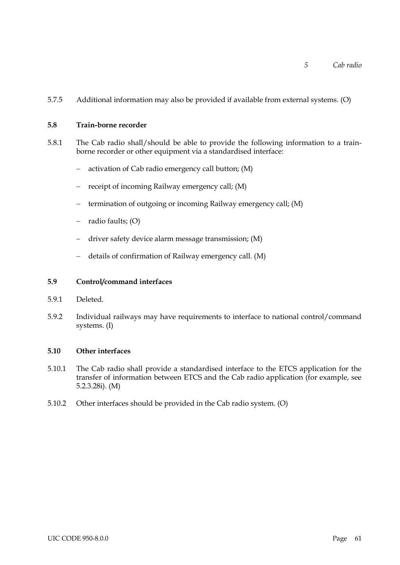5.7.5 Additional information may also be provided if available from external systems. (O)

# **5.8 Train-borne recorder**

- 5.8.1 The Cab radio shall/should be able to provide the following information to a trainborne recorder or other equipment via a standardised interface:
	- activation of Cab radio emergency call button; (M)
	- receipt of incoming Railway emergency call; (M)
	- termination of outgoing or incoming Railway emergency call; (M)
	- $-$  radio faults; (O)
	- driver safety device alarm message transmission; (M)
	- details of confirmation of Railway emergency call. (M)

#### **5.9 Control/command interfaces**

- 5.9.1 Deleted.
- 5.9.2 Individual railways may have requirements to interface to national control/command systems. (I)

## **5.10 Other interfaces**

- 5.10.1 The Cab radio shall provide a standardised interface to the ETCS application for the transfer of information between ETCS and the Cab radio application (for example, see 5.2.3.28i). (M)
- 5.10.2 Other interfaces should be provided in the Cab radio system. (O)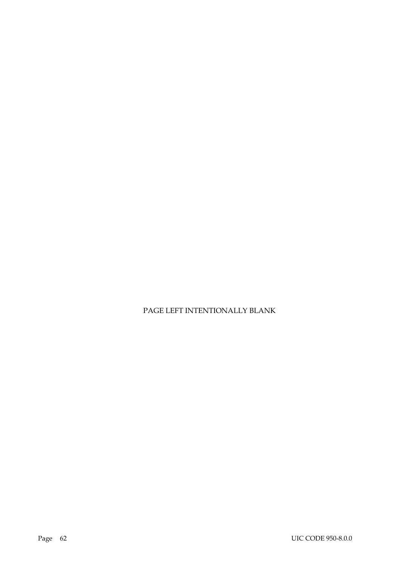PAGE LEFT INTENTIONALLY BLANK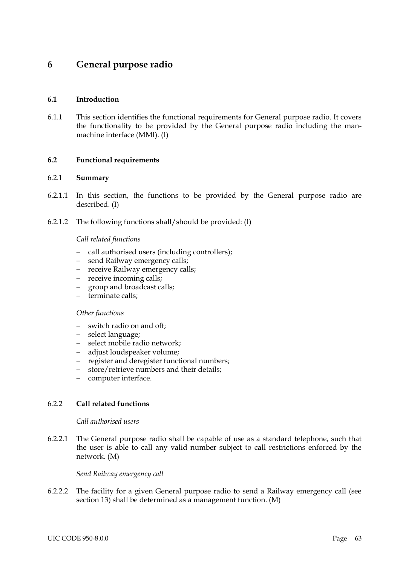# **6 General purpose radio**

# **6.1 Introduction**

6.1.1 This section identifies the functional requirements for General purpose radio. It covers the functionality to be provided by the General purpose radio including the manmachine interface (MMI). (I)

# **6.2 Functional requirements**

## 6.2.1 **Summary**

- 6.2.1.1 In this section, the functions to be provided by the General purpose radio are described. (I)
- 6.2.1.2 The following functions shall/should be provided: (I)

## *Call related functions*

- call authorised users (including controllers);
- send Railway emergency calls;
- receive Railway emergency calls;
- receive incoming calls;
- group and broadcast calls;
- terminate calls;

# *Other functions*

- switch radio on and off;
- select language;
- select mobile radio network;
- adjust loudspeaker volume;
- register and deregister functional numbers;
- store/retrieve numbers and their details;
- computer interface.

# 6.2.2 **Call related functions**

# *Call authorised users*

6.2.2.1 The General purpose radio shall be capable of use as a standard telephone, such that the user is able to call any valid number subject to call restrictions enforced by the network. (M)

## *Send Railway emergency call*

6.2.2.2 The facility for a given General purpose radio to send a Railway emergency call (see section 13) shall be determined as a management function. (M)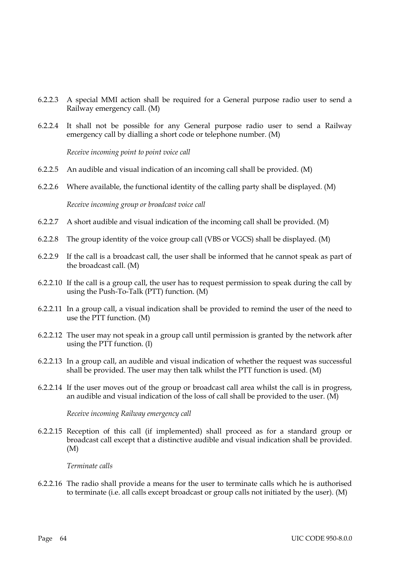- 6.2.2.3 A special MMI action shall be required for a General purpose radio user to send a Railway emergency call. (M)
- 6.2.2.4 It shall not be possible for any General purpose radio user to send a Railway emergency call by dialling a short code or telephone number. (M)

*Receive incoming point to point voice call*

- 6.2.2.5 An audible and visual indication of an incoming call shall be provided. (M)
- 6.2.2.6 Where available, the functional identity of the calling party shall be displayed. (M)

*Receive incoming group or broadcast voice call*

- 6.2.2.7 A short audible and visual indication of the incoming call shall be provided. (M)
- 6.2.2.8 The group identity of the voice group call (VBS or VGCS) shall be displayed. (M)
- 6.2.2.9 If the call is a broadcast call, the user shall be informed that he cannot speak as part of the broadcast call. (M)
- 6.2.2.10 If the call is a group call, the user has to request permission to speak during the call by using the Push-To-Talk (PTT) function. (M)
- 6.2.2.11 In a group call, a visual indication shall be provided to remind the user of the need to use the PTT function. (M)
- 6.2.2.12 The user may not speak in a group call until permission is granted by the network after using the PTT function. (I)
- 6.2.2.13 In a group call, an audible and visual indication of whether the request was successful shall be provided. The user may then talk whilst the PTT function is used. (M)
- 6.2.2.14 If the user moves out of the group or broadcast call area whilst the call is in progress, an audible and visual indication of the loss of call shall be provided to the user. (M)

*Receive incoming Railway emergency call*

6.2.2.15 Reception of this call (if implemented) shall proceed as for a standard group or broadcast call except that a distinctive audible and visual indication shall be provided. (M)

#### *Terminate calls*

6.2.2.16 The radio shall provide a means for the user to terminate calls which he is authorised to terminate (i.e. all calls except broadcast or group calls not initiated by the user). (M)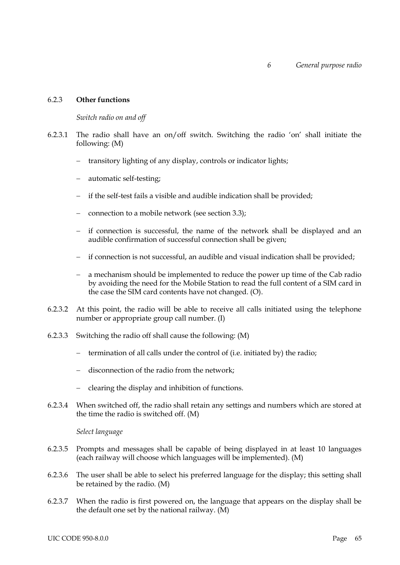# 6.2.3 **Other functions**

# *Switch radio on and off*

- 6.2.3.1 The radio shall have an on/off switch. Switching the radio 'on' shall initiate the following: (M)
	- transitory lighting of any display, controls or indicator lights;
	- automatic self-testing;
	- if the self-test fails a visible and audible indication shall be provided;
	- connection to a mobile network (see section 3.3);
	- if connection is successful, the name of the network shall be displayed and an audible confirmation of successful connection shall be given;
	- if connection is not successful, an audible and visual indication shall be provided;
	- a mechanism should be implemented to reduce the power up time of the Cab radio by avoiding the need for the Mobile Station to read the full content of a SIM card in the case the SIM card contents have not changed. (O).
- 6.2.3.2 At this point, the radio will be able to receive all calls initiated using the telephone number or appropriate group call number. (I)
- 6.2.3.3 Switching the radio off shall cause the following: (M)
	- termination of all calls under the control of (i.e. initiated by) the radio;
	- disconnection of the radio from the network;
	- clearing the display and inhibition of functions.
- 6.2.3.4 When switched off, the radio shall retain any settings and numbers which are stored at the time the radio is switched off. (M)

## *Select language*

- 6.2.3.5 Prompts and messages shall be capable of being displayed in at least 10 languages (each railway will choose which languages will be implemented). (M)
- 6.2.3.6 The user shall be able to select his preferred language for the display; this setting shall be retained by the radio. (M)
- 6.2.3.7 When the radio is first powered on, the language that appears on the display shall be the default one set by the national railway. (M)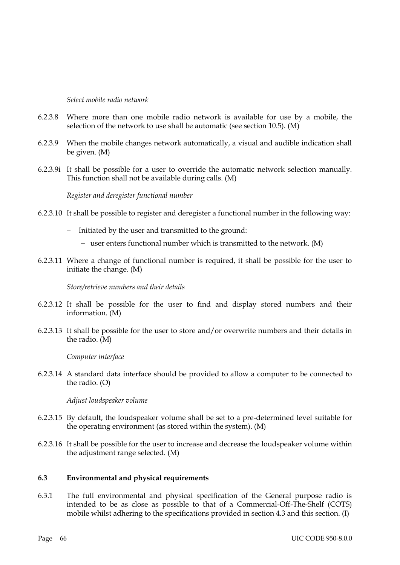#### *Select mobile radio network*

- 6.2.3.8 Where more than one mobile radio network is available for use by a mobile, the selection of the network to use shall be automatic (see section 10.5). (M)
- 6.2.3.9 When the mobile changes network automatically, a visual and audible indication shall be given. (M)
- 6.2.3.9i It shall be possible for a user to override the automatic network selection manually. This function shall not be available during calls. (M)

*Register and deregister functional number*

- 6.2.3.10 It shall be possible to register and deregister a functional number in the following way:
	- Initiated by the user and transmitted to the ground:
		- user enters functional number which is transmitted to the network. (M)
- 6.2.3.11 Where a change of functional number is required, it shall be possible for the user to initiate the change. (M)

*Store/retrieve numbers and their details*

- 6.2.3.12 It shall be possible for the user to find and display stored numbers and their information. (M)
- 6.2.3.13 It shall be possible for the user to store and/or overwrite numbers and their details in the radio. (M)

*Computer interface*

6.2.3.14 A standard data interface should be provided to allow a computer to be connected to the radio. (O)

*Adjust loudspeaker volume*

- 6.2.3.15 By default, the loudspeaker volume shall be set to a pre-determined level suitable for the operating environment (as stored within the system). (M)
- 6.2.3.16 It shall be possible for the user to increase and decrease the loudspeaker volume within the adjustment range selected. (M)

#### **6.3 Environmental and physical requirements**

6.3.1 The full environmental and physical specification of the General purpose radio is intended to be as close as possible to that of a Commercial-Off-The-Shelf (COTS) mobile whilst adhering to the specifications provided in section 4.3 and this section. (I)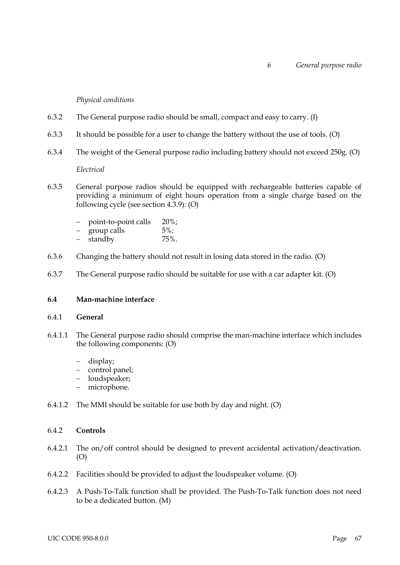#### *6 General purpose radio*

# *Physical conditions*

- 6.3.2 The General purpose radio should be small, compact and easy to carry. (I)
- 6.3.3 It should be possible for a user to change the battery without the use of tools. (O)
- 6.3.4 The weight of the General purpose radio including battery should not exceed 250g. (O)

*Electrical*

- 6.3.5 General purpose radios should be equipped with rechargeable batteries capable of providing a minimum of eight hours operation from a single charge based on the following cycle (see section 4.3.9): (O)
	- point-to-point calls 20%; group calls 5%;
	- standby 75%.
- 6.3.6 Changing the battery should not result in losing data stored in the radio. (O)
- 6.3.7 The General purpose radio should be suitable for use with a car adapter kit. (O)

# **6.4 Man-machine interface**

## 6.4.1 **General**

- 6.4.1.1 The General purpose radio should comprise the man-machine interface which includes the following components: (O)
	- display;
	- control panel;
	- loudspeaker;
	- microphone.
- 6.4.1.2 The MMI should be suitable for use both by day and night. (O)

# 6.4.2 **Controls**

- 6.4.2.1 The on/off control should be designed to prevent accidental activation/deactivation. (O)
- 6.4.2.2 Facilities should be provided to adjust the loudspeaker volume. (O)
- 6.4.2.3 A Push-To-Talk function shall be provided. The Push-To-Talk function does not need to be a dedicated button. (M)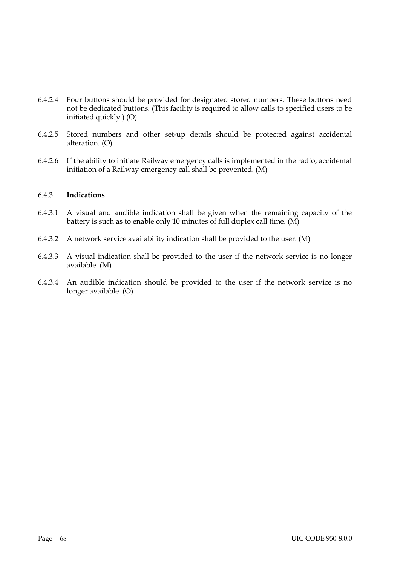- 6.4.2.4 Four buttons should be provided for designated stored numbers. These buttons need not be dedicated buttons. (This facility is required to allow calls to specified users to be initiated quickly.) (O)
- 6.4.2.5 Stored numbers and other set-up details should be protected against accidental alteration. (O)
- 6.4.2.6 If the ability to initiate Railway emergency calls is implemented in the radio, accidental initiation of a Railway emergency call shall be prevented. (M)

## 6.4.3 **Indications**

- 6.4.3.1 A visual and audible indication shall be given when the remaining capacity of the battery is such as to enable only 10 minutes of full duplex call time. (M)
- 6.4.3.2 A network service availability indication shall be provided to the user. (M)
- 6.4.3.3 A visual indication shall be provided to the user if the network service is no longer available. (M)
- 6.4.3.4 An audible indication should be provided to the user if the network service is no longer available. (O)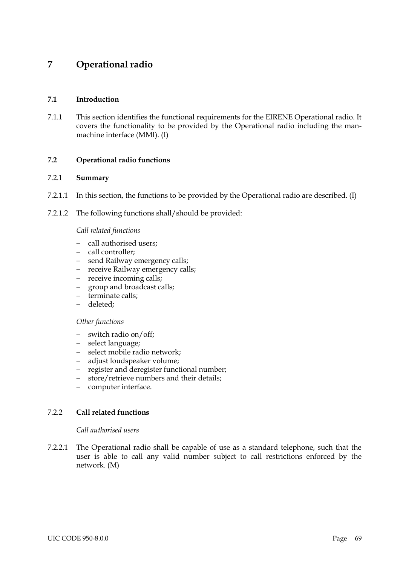# **7 Operational radio**

# **7.1 Introduction**

7.1.1 This section identifies the functional requirements for the EIRENE Operational radio. It covers the functionality to be provided by the Operational radio including the manmachine interface (MMI). (I)

# **7.2 Operational radio functions**

## 7.2.1 **Summary**

- 7.2.1.1 In this section, the functions to be provided by the Operational radio are described. (I)
- 7.2.1.2 The following functions shall/should be provided:

# *Call related functions*

- call authorised users;
- call controller;
- send Railway emergency calls;
- receive Railway emergency calls;
- receive incoming calls;
- group and broadcast calls;
- terminate calls;
- deleted;

## *Other functions*

- switch radio on/off;
- select language;
- select mobile radio network;
- adjust loudspeaker volume;
- register and deregister functional number;
- store/retrieve numbers and their details;
- computer interface.

# 7.2.2 **Call related functions**

## *Call authorised users*

7.2.2.1 The Operational radio shall be capable of use as a standard telephone, such that the user is able to call any valid number subject to call restrictions enforced by the network. (M)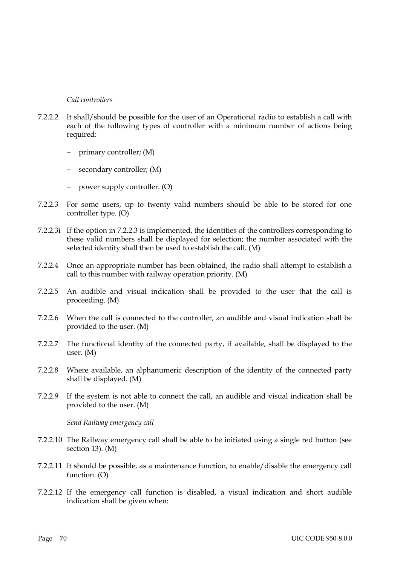## *Call controllers*

- 7.2.2.2 It shall/should be possible for the user of an Operational radio to establish a call with each of the following types of controller with a minimum number of actions being required:
	- primary controller; (M)
	- secondary controller; (M)
	- power supply controller. (O)
- 7.2.2.3 For some users, up to twenty valid numbers should be able to be stored for one controller type. (O)
- 7.2.2.3i If the option in 7.2.2.3 is implemented, the identities of the controllers corresponding to these valid numbers shall be displayed for selection; the number associated with the selected identity shall then be used to establish the call. (M)
- 7.2.2.4 Once an appropriate number has been obtained, the radio shall attempt to establish a call to this number with railway operation priority. (M)
- 7.2.2.5 An audible and visual indication shall be provided to the user that the call is proceeding. (M)
- 7.2.2.6 When the call is connected to the controller, an audible and visual indication shall be provided to the user. (M)
- 7.2.2.7 The functional identity of the connected party, if available, shall be displayed to the user. (M)
- 7.2.2.8 Where available, an alphanumeric description of the identity of the connected party shall be displayed. (M)
- 7.2.2.9 If the system is not able to connect the call, an audible and visual indication shall be provided to the user. (M)

*Send Railway emergency call*

- 7.2.2.10 The Railway emergency call shall be able to be initiated using a single red button (see section 13). (M)
- 7.2.2.11 It should be possible, as a maintenance function, to enable/disable the emergency call function. (O)
- 7.2.2.12 If the emergency call function is disabled, a visual indication and short audible indication shall be given when: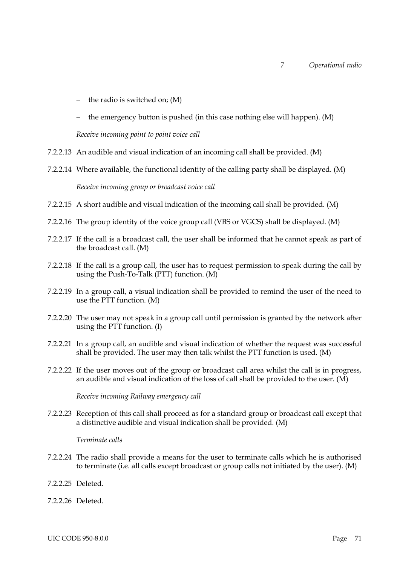#### *7 Operational radio*

- the radio is switched on;  $(M)$
- the emergency button is pushed (in this case nothing else will happen). (M)

*Receive incoming point to point voice call*

- 7.2.2.13 An audible and visual indication of an incoming call shall be provided. (M)
- 7.2.2.14 Where available, the functional identity of the calling party shall be displayed. (M) *Receive incoming group or broadcast voice call*
- 7.2.2.15 A short audible and visual indication of the incoming call shall be provided. (M)
- 7.2.2.16 The group identity of the voice group call (VBS or VGCS) shall be displayed. (M)
- 7.2.2.17 If the call is a broadcast call, the user shall be informed that he cannot speak as part of the broadcast call. (M)
- 7.2.2.18 If the call is a group call, the user has to request permission to speak during the call by using the Push-To-Talk (PTT) function. (M)
- 7.2.2.19 In a group call, a visual indication shall be provided to remind the user of the need to use the PTT function. (M)
- 7.2.2.20 The user may not speak in a group call until permission is granted by the network after using the PTT function. (I)
- 7.2.2.21 In a group call, an audible and visual indication of whether the request was successful shall be provided. The user may then talk whilst the PTT function is used. (M)
- 7.2.2.22 If the user moves out of the group or broadcast call area whilst the call is in progress, an audible and visual indication of the loss of call shall be provided to the user. (M)

*Receive incoming Railway emergency call*

7.2.2.23 Reception of this call shall proceed as for a standard group or broadcast call except that a distinctive audible and visual indication shall be provided. (M)

*Terminate calls*

- 7.2.2.24 The radio shall provide a means for the user to terminate calls which he is authorised to terminate (i.e. all calls except broadcast or group calls not initiated by the user). (M)
- 7.2.2.25 Deleted.

### 7.2.2.26 Deleted.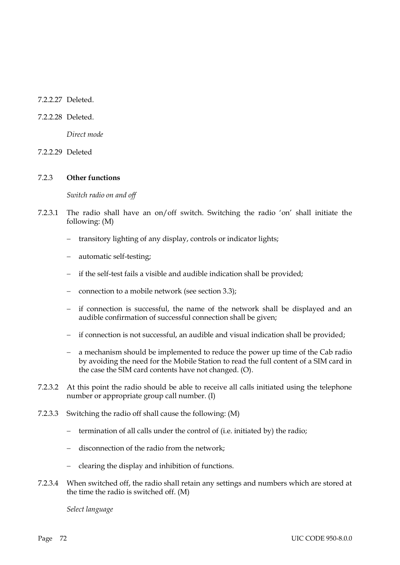7.2.2.27 Deleted.

7.2.2.28 Deleted.

*Direct mode*

7.2.2.29 Deleted

## 7.2.3 **Other functions**

*Switch radio on and off*

- 7.2.3.1 The radio shall have an on/off switch. Switching the radio 'on' shall initiate the following: (M)
	- transitory lighting of any display, controls or indicator lights;
	- automatic self-testing;
	- if the self-test fails a visible and audible indication shall be provided;
	- connection to a mobile network (see section 3.3);
	- if connection is successful, the name of the network shall be displayed and an audible confirmation of successful connection shall be given;
	- if connection is not successful, an audible and visual indication shall be provided;
	- a mechanism should be implemented to reduce the power up time of the Cab radio by avoiding the need for the Mobile Station to read the full content of a SIM card in the case the SIM card contents have not changed. (O).
- 7.2.3.2 At this point the radio should be able to receive all calls initiated using the telephone number or appropriate group call number. (I)
- 7.2.3.3 Switching the radio off shall cause the following: (M)
	- termination of all calls under the control of (i.e. initiated by) the radio;
	- disconnection of the radio from the network;
	- clearing the display and inhibition of functions.
- 7.2.3.4 When switched off, the radio shall retain any settings and numbers which are stored at the time the radio is switched off. (M)

*Select language*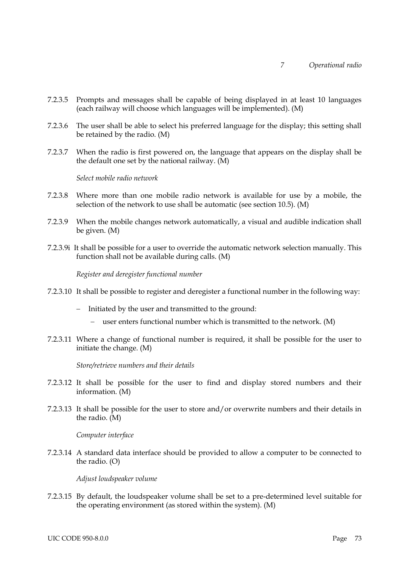- 7.2.3.5 Prompts and messages shall be capable of being displayed in at least 10 languages (each railway will choose which languages will be implemented). (M)
- 7.2.3.6 The user shall be able to select his preferred language for the display; this setting shall be retained by the radio. (M)
- 7.2.3.7 When the radio is first powered on, the language that appears on the display shall be the default one set by the national railway. (M)

*Select mobile radio network*

- 7.2.3.8 Where more than one mobile radio network is available for use by a mobile, the selection of the network to use shall be automatic (see section 10.5). (M)
- 7.2.3.9 When the mobile changes network automatically, a visual and audible indication shall be given. (M)
- 7.2.3.9i It shall be possible for a user to override the automatic network selection manually. This function shall not be available during calls. (M)

*Register and deregister functional number*

- 7.2.3.10 It shall be possible to register and deregister a functional number in the following way:
	- Initiated by the user and transmitted to the ground:
		- user enters functional number which is transmitted to the network. (M)
- 7.2.3.11 Where a change of functional number is required, it shall be possible for the user to initiate the change. (M)

*Store/retrieve numbers and their details*

- 7.2.3.12 It shall be possible for the user to find and display stored numbers and their information. (M)
- 7.2.3.13 It shall be possible for the user to store and/or overwrite numbers and their details in the radio. (M)

*Computer interface*

7.2.3.14 A standard data interface should be provided to allow a computer to be connected to the radio. (O)

*Adjust loudspeaker volume*

7.2.3.15 By default, the loudspeaker volume shall be set to a pre-determined level suitable for the operating environment (as stored within the system). (M)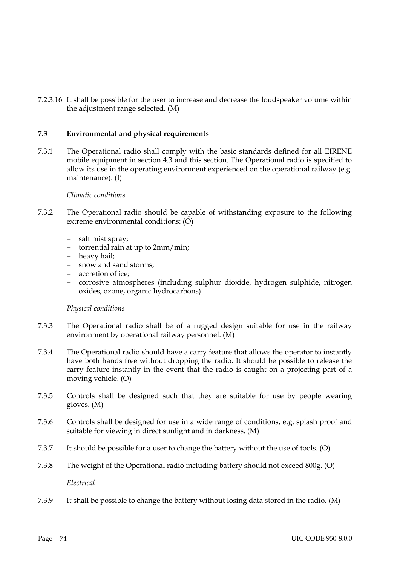7.2.3.16 It shall be possible for the user to increase and decrease the loudspeaker volume within the adjustment range selected. (M)

## **7.3 Environmental and physical requirements**

7.3.1 The Operational radio shall comply with the basic standards defined for all EIRENE mobile equipment in section 4.3 and this section. The Operational radio is specified to allow its use in the operating environment experienced on the operational railway (e.g. maintenance). (I)

### *Climatic conditions*

- 7.3.2 The Operational radio should be capable of withstanding exposure to the following extreme environmental conditions: (O)
	- salt mist spray;
	- $-$  torrential rain at up to  $2mm/min;$
	- heavy hail;
	- snow and sand storms;
	- accretion of ice:
	- corrosive atmospheres (including sulphur dioxide, hydrogen sulphide, nitrogen oxides, ozone, organic hydrocarbons).

### *Physical conditions*

- 7.3.3 The Operational radio shall be of a rugged design suitable for use in the railway environment by operational railway personnel. (M)
- 7.3.4 The Operational radio should have a carry feature that allows the operator to instantly have both hands free without dropping the radio. It should be possible to release the carry feature instantly in the event that the radio is caught on a projecting part of a moving vehicle. (O)
- 7.3.5 Controls shall be designed such that they are suitable for use by people wearing gloves. (M)
- 7.3.6 Controls shall be designed for use in a wide range of conditions, e.g. splash proof and suitable for viewing in direct sunlight and in darkness. (M)
- 7.3.7 It should be possible for a user to change the battery without the use of tools. (O)
- 7.3.8 The weight of the Operational radio including battery should not exceed 800g. (O)

*Electrical*

7.3.9 It shall be possible to change the battery without losing data stored in the radio. (M)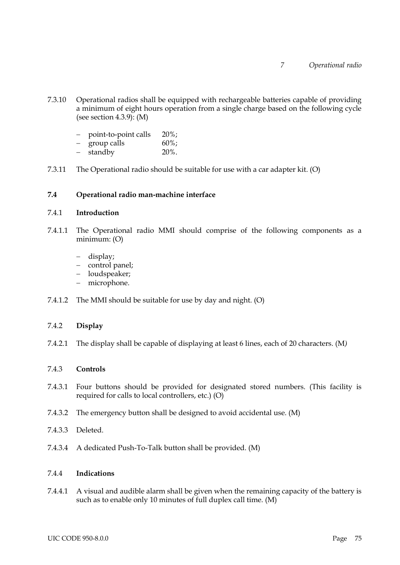7.3.10 Operational radios shall be equipped with rechargeable batteries capable of providing a minimum of eight hours operation from a single charge based on the following cycle (see section 4.3.9): (M)

| point-to-point calls | $20\%$ ; |
|----------------------|----------|
| group calls          | $60\%$ ; |
| standby              | 20%.     |

7.3.11 The Operational radio should be suitable for use with a car adapter kit. (O)

### **7.4 Operational radio man-machine interface**

### 7.4.1 **Introduction**

- 7.4.1.1 The Operational radio MMI should comprise of the following components as a minimum: (O)
	- display;
	- control panel;
	- loudspeaker;
	- microphone.
- 7.4.1.2 The MMI should be suitable for use by day and night. (O)

### 7.4.2 **Display**

7.4.2.1 The display shall be capable of displaying at least 6 lines, each of 20 characters. (M*)*

### 7.4.3 **Controls**

- 7.4.3.1 Four buttons should be provided for designated stored numbers. (This facility is required for calls to local controllers, etc.) (O)
- 7.4.3.2 The emergency button shall be designed to avoid accidental use. (M)
- 7.4.3.3 Deleted.
- 7.4.3.4 A dedicated Push-To-Talk button shall be provided. (M)

# 7.4.4 **Indications**

7.4.4.1 A visual and audible alarm shall be given when the remaining capacity of the battery is such as to enable only 10 minutes of full duplex call time. (M)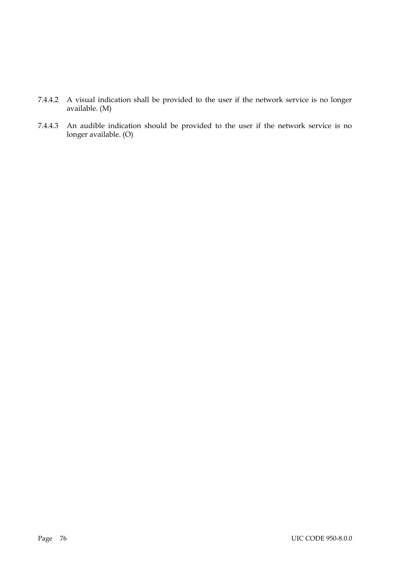- 7.4.4.2 A visual indication shall be provided to the user if the network service is no longer available. (M)
- 7.4.4.3 An audible indication should be provided to the user if the network service is no longer available. (O)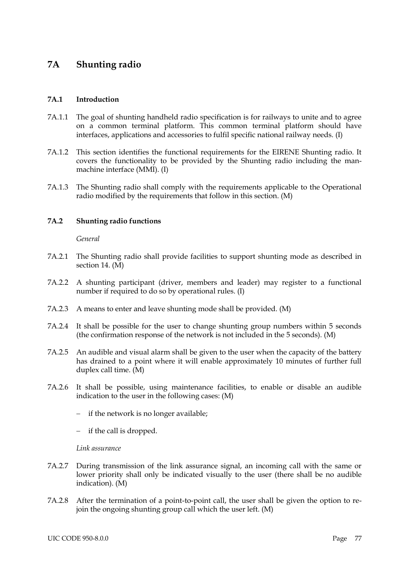# **7A Shunting radio**

## **7A.1 Introduction**

- 7A.1.1 The goal of shunting handheld radio specification is for railways to unite and to agree on a common terminal platform. This common terminal platform should have interfaces, applications and accessories to fulfil specific national railway needs. (I)
- 7A.1.2 This section identifies the functional requirements for the EIRENE Shunting radio. It covers the functionality to be provided by the Shunting radio including the manmachine interface (MMI). (I)
- 7A.1.3 The Shunting radio shall comply with the requirements applicable to the Operational radio modified by the requirements that follow in this section. (M)

## **7A.2 Shunting radio functions**

*General*

- 7A.2.1 The Shunting radio shall provide facilities to support shunting mode as described in section 14. (M)
- 7A.2.2 A shunting participant (driver, members and leader) may register to a functional number if required to do so by operational rules. (I)
- 7A.2.3 A means to enter and leave shunting mode shall be provided. (M)
- 7A.2.4 It shall be possible for the user to change shunting group numbers within 5 seconds (the confirmation response of the network is not included in the 5 seconds). (M)
- 7A.2.5 An audible and visual alarm shall be given to the user when the capacity of the battery has drained to a point where it will enable approximately 10 minutes of further full duplex call time. (M)
- 7A.2.6 It shall be possible, using maintenance facilities, to enable or disable an audible indication to the user in the following cases: (M)
	- if the network is no longer available;
	- $-$  if the call is dropped.

### *Link assurance*

- 7A.2.7 During transmission of the link assurance signal, an incoming call with the same or lower priority shall only be indicated visually to the user (there shall be no audible indication). (M)
- 7A.2.8 After the termination of a point-to-point call, the user shall be given the option to rejoin the ongoing shunting group call which the user left. (M)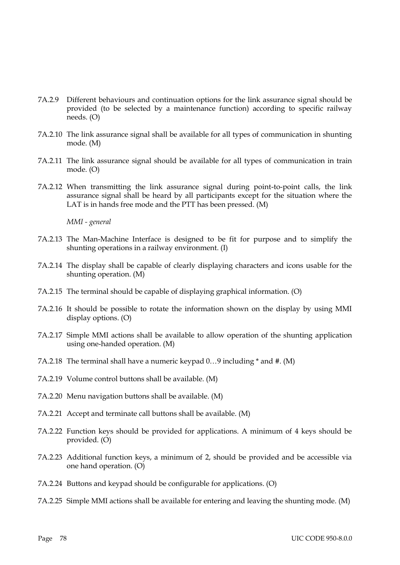- 7A.2.9 Different behaviours and continuation options for the link assurance signal should be provided (to be selected by a maintenance function) according to specific railway needs. (O)
- 7A.2.10 The link assurance signal shall be available for all types of communication in shunting mode. (M)
- 7A.2.11 The link assurance signal should be available for all types of communication in train mode. (O)
- 7A.2.12 When transmitting the link assurance signal during point-to-point calls, the link assurance signal shall be heard by all participants except for the situation where the LAT is in hands free mode and the PTT has been pressed. (M)

*MMI - general*

- 7A.2.13 The Man-Machine Interface is designed to be fit for purpose and to simplify the shunting operations in a railway environment. (I)
- 7A.2.14 The display shall be capable of clearly displaying characters and icons usable for the shunting operation. (M)
- 7A.2.15 The terminal should be capable of displaying graphical information. (O)
- 7A.2.16 It should be possible to rotate the information shown on the display by using MMI display options. (O)
- 7A.2.17 Simple MMI actions shall be available to allow operation of the shunting application using one-handed operation. (M)
- 7A.2.18 The terminal shall have a numeric keypad 0…9 including \* and #. (M)
- 7A.2.19 Volume control buttons shall be available. (M)
- 7A.2.20 Menu navigation buttons shall be available. (M)
- 7A.2.21 Accept and terminate call buttons shall be available. (M)
- 7A.2.22 Function keys should be provided for applications. A minimum of 4 keys should be provided. (O)
- 7A.2.23 Additional function keys, a minimum of 2, should be provided and be accessible via one hand operation. (O)
- 7A.2.24 Buttons and keypad should be configurable for applications. (O)
- 7A.2.25 Simple MMI actions shall be available for entering and leaving the shunting mode. (M)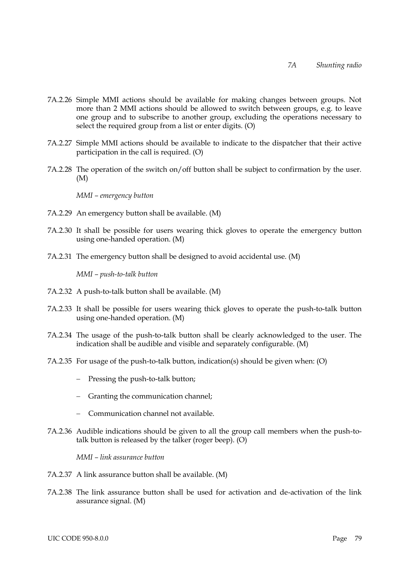- 7A.2.26 Simple MMI actions should be available for making changes between groups. Not more than 2 MMI actions should be allowed to switch between groups, e.g. to leave one group and to subscribe to another group, excluding the operations necessary to select the required group from a list or enter digits. (O)
- 7A.2.27 Simple MMI actions should be available to indicate to the dispatcher that their active participation in the call is required. (O)
- 7A.2.28 The operation of the switch on/off button shall be subject to confirmation by the user. (M)

*MMI – emergency button*

- 7A.2.29 An emergency button shall be available. (M)
- 7A.2.30 It shall be possible for users wearing thick gloves to operate the emergency button using one-handed operation. (M)
- 7A.2.31 The emergency button shall be designed to avoid accidental use. (M)

*MMI – push-to-talk button*

- 7A.2.32 A push-to-talk button shall be available. (M)
- 7A.2.33 It shall be possible for users wearing thick gloves to operate the push-to-talk button using one-handed operation. (M)
- 7A.2.34 The usage of the push-to-talk button shall be clearly acknowledged to the user. The indication shall be audible and visible and separately configurable. (M)
- 7A.2.35 For usage of the push-to-talk button, indication(s) should be given when: (O)
	- Pressing the push-to-talk button;
	- Granting the communication channel;
	- Communication channel not available.
- 7A.2.36 Audible indications should be given to all the group call members when the push-totalk button is released by the talker (roger beep). (O)

*MMI – link assurance button*

- 7A.2.37 A link assurance button shall be available. (M)
- 7A.2.38 The link assurance button shall be used for activation and de-activation of the link assurance signal. (M)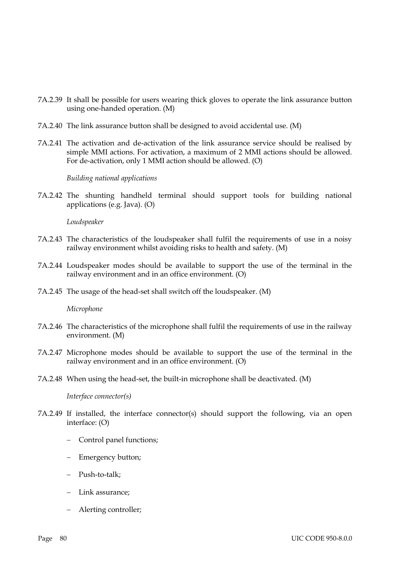- 7A.2.39 It shall be possible for users wearing thick gloves to operate the link assurance button using one-handed operation. (M)
- 7A.2.40 The link assurance button shall be designed to avoid accidental use. (M)
- 7A.2.41 The activation and de-activation of the link assurance service should be realised by simple MMI actions. For activation, a maximum of 2 MMI actions should be allowed. For de-activation, only 1 MMI action should be allowed. (O)

*Building national applications*

7A.2.42 The shunting handheld terminal should support tools for building national applications (e.g. Java). (O)

*Loudspeaker*

- 7A.2.43 The characteristics of the loudspeaker shall fulfil the requirements of use in a noisy railway environment whilst avoiding risks to health and safety. (M)
- 7A.2.44 Loudspeaker modes should be available to support the use of the terminal in the railway environment and in an office environment. (O)
- 7A.2.45 The usage of the head-set shall switch off the loudspeaker. (M)

*Microphone*

- 7A.2.46 The characteristics of the microphone shall fulfil the requirements of use in the railway environment. (M)
- 7A.2.47 Microphone modes should be available to support the use of the terminal in the railway environment and in an office environment. (O)
- 7A.2.48 When using the head-set, the built-in microphone shall be deactivated. (M)

*Interface connector(s)*

- 7A.2.49 If installed, the interface connector(s) should support the following, via an open interface: (O)
	- Control panel functions;
	- Emergency button;
	- Push-to-talk;
	- Link assurance;
	- Alerting controller;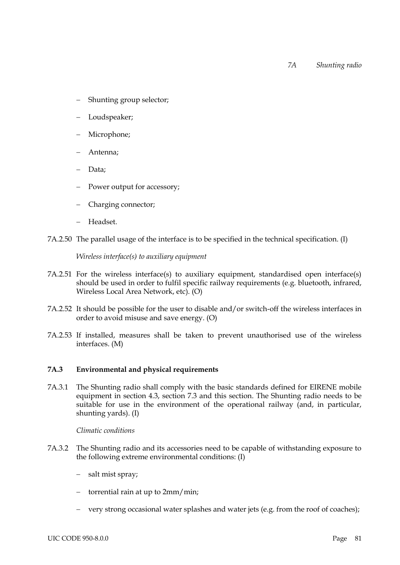*7A Shunting radio*

- Shunting group selector;
- Loudspeaker;
- Microphone;
- Antenna;
- Data;
- Power output for accessory;
- Charging connector;
- Headset.
- 7A.2.50 The parallel usage of the interface is to be specified in the technical specification. (I)

*Wireless interface(s) to auxiliary equipment*

- 7A.2.51 For the wireless interface(s) to auxiliary equipment, standardised open interface(s) should be used in order to fulfil specific railway requirements (e.g. bluetooth, infrared, Wireless Local Area Network, etc). (O)
- 7A.2.52 It should be possible for the user to disable and/or switch-off the wireless interfaces in order to avoid misuse and save energy. (O)
- 7A.2.53 If installed, measures shall be taken to prevent unauthorised use of the wireless interfaces. (M)

# **7A.3 Environmental and physical requirements**

7A.3.1 The Shunting radio shall comply with the basic standards defined for EIRENE mobile equipment in section 4.3, section 7.3 and this section. The Shunting radio needs to be suitable for use in the environment of the operational railway (and, in particular, shunting yards). (I)

*Climatic conditions*

- 7A.3.2 The Shunting radio and its accessories need to be capable of withstanding exposure to the following extreme environmental conditions: (I)
	- salt mist spray;
	- torrential rain at up to 2mm/min;
	- very strong occasional water splashes and water jets (e.g. from the roof of coaches);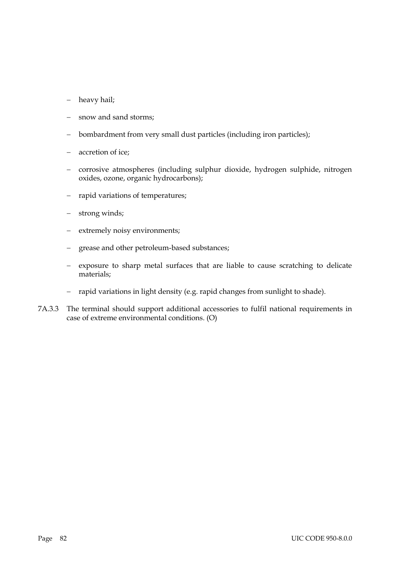- heavy hail;
- snow and sand storms;
- bombardment from very small dust particles (including iron particles);
- accretion of ice;
- corrosive atmospheres (including sulphur dioxide, hydrogen sulphide, nitrogen oxides, ozone, organic hydrocarbons);
- rapid variations of temperatures;
- strong winds;
- extremely noisy environments;
- grease and other petroleum-based substances;
- exposure to sharp metal surfaces that are liable to cause scratching to delicate materials;
- rapid variations in light density (e.g. rapid changes from sunlight to shade).
- 7A.3.3 The terminal should support additional accessories to fulfil national requirements in case of extreme environmental conditions. (O)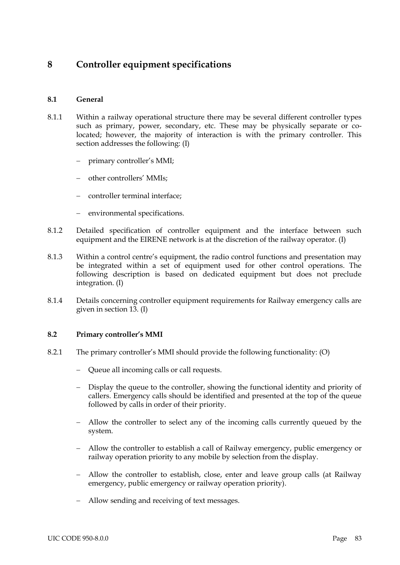# **8 Controller equipment specifications**

## **8.1 General**

- 8.1.1 Within a railway operational structure there may be several different controller types such as primary, power, secondary, etc. These may be physically separate or colocated; however, the majority of interaction is with the primary controller. This section addresses the following: (I)
	- primary controller's MMI;
	- other controllers' MMIs;
	- controller terminal interface;
	- environmental specifications.
- 8.1.2 Detailed specification of controller equipment and the interface between such equipment and the EIRENE network is at the discretion of the railway operator. (I)
- 8.1.3 Within a control centre's equipment, the radio control functions and presentation may be integrated within a set of equipment used for other control operations. The following description is based on dedicated equipment but does not preclude integration. (I)
- 8.1.4 Details concerning controller equipment requirements for Railway emergency calls are given in section 13. (I)

### **8.2 Primary controller's MMI**

- 8.2.1 The primary controller's MMI should provide the following functionality: (O)
	- Queue all incoming calls or call requests.
	- Display the queue to the controller, showing the functional identity and priority of callers. Emergency calls should be identified and presented at the top of the queue followed by calls in order of their priority.
	- Allow the controller to select any of the incoming calls currently queued by the system.
	- Allow the controller to establish a call of Railway emergency, public emergency or railway operation priority to any mobile by selection from the display.
	- Allow the controller to establish, close, enter and leave group calls (at Railway emergency, public emergency or railway operation priority).
	- Allow sending and receiving of text messages.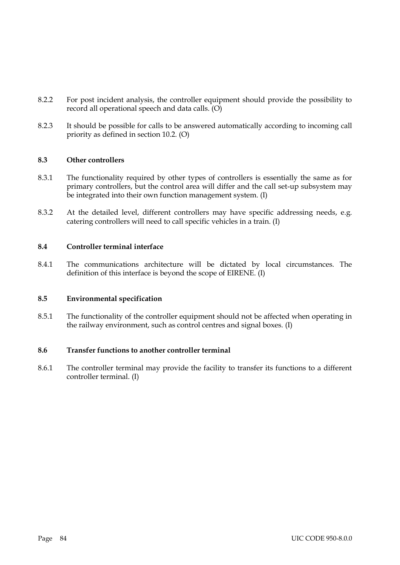- 8.2.2 For post incident analysis, the controller equipment should provide the possibility to record all operational speech and data calls. (O)
- 8.2.3 It should be possible for calls to be answered automatically according to incoming call priority as defined in section 10.2. (O)

# **8.3 Other controllers**

- 8.3.1 The functionality required by other types of controllers is essentially the same as for primary controllers, but the control area will differ and the call set-up subsystem may be integrated into their own function management system. (I)
- 8.3.2 At the detailed level, different controllers may have specific addressing needs, e.g. catering controllers will need to call specific vehicles in a train. (I)

# **8.4 Controller terminal interface**

8.4.1 The communications architecture will be dictated by local circumstances. The definition of this interface is beyond the scope of EIRENE. (I)

# **8.5 Environmental specification**

8.5.1 The functionality of the controller equipment should not be affected when operating in the railway environment, such as control centres and signal boxes. (I)

### **8.6 Transfer functions to another controller terminal**

8.6.1 The controller terminal may provide the facility to transfer its functions to a different controller terminal. (I)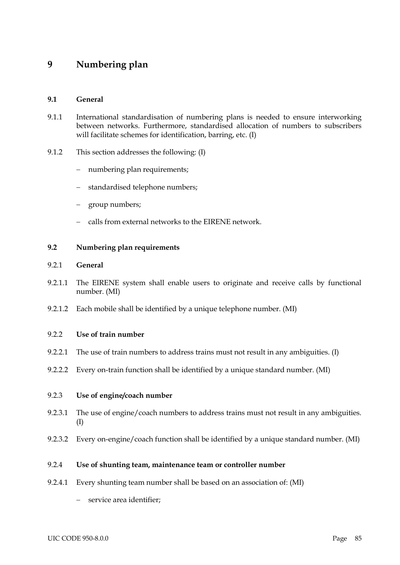# **9 Numbering plan**

## **9.1 General**

- 9.1.1 International standardisation of numbering plans is needed to ensure interworking between networks. Furthermore, standardised allocation of numbers to subscribers will facilitate schemes for identification, barring, etc. (I)
- 9.1.2 This section addresses the following: (I)
	- numbering plan requirements;
	- standardised telephone numbers;
	- group numbers;
	- calls from external networks to the EIRENE network.

# **9.2 Numbering plan requirements**

### 9.2.1 **General**

- 9.2.1.1 The EIRENE system shall enable users to originate and receive calls by functional number. (MI)
- 9.2.1.2 Each mobile shall be identified by a unique telephone number. (MI)

### 9.2.2 **Use of train number**

- 9.2.2.1 The use of train numbers to address trains must not result in any ambiguities. (I)
- 9.2.2.2 Every on-train function shall be identified by a unique standard number. (MI)

## 9.2.3 **Use of engine/coach number**

- 9.2.3.1 The use of engine/coach numbers to address trains must not result in any ambiguities. (I)
- 9.2.3.2 Every on-engine/coach function shall be identified by a unique standard number. (MI)

### 9.2.4 **Use of shunting team, maintenance team or controller number**

- 9.2.4.1 Every shunting team number shall be based on an association of: (MI)
	- service area identifier;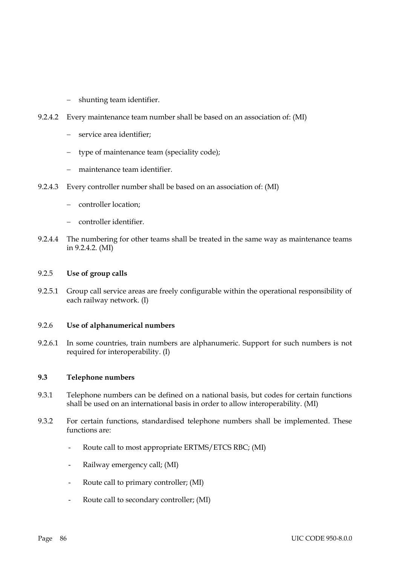- shunting team identifier.
- <span id="page-87-0"></span>9.2.4.2 Every maintenance team number shall be based on an association of: (MI)
	- service area identifier;
	- type of maintenance team (speciality code);
	- maintenance team identifier.
- 9.2.4.3 Every controller number shall be based on an association of: (MI)
	- controller location;
	- controller identifier.
- 9.2.4.4 The numbering for other teams shall be treated in the same way as maintenance teams in [9.2.4.2.](#page-87-0) (MI)

### 9.2.5 **Use of group calls**

9.2.5.1 Group call service areas are freely configurable within the operational responsibility of each railway network. (I)

### 9.2.6 **Use of alphanumerical numbers**

9.2.6.1 In some countries, train numbers are alphanumeric. Support for such numbers is not required for interoperability. (I)

### **9.3 Telephone numbers**

- 9.3.1 Telephone numbers can be defined on a national basis, but codes for certain functions shall be used on an international basis in order to allow interoperability. (MI)
- 9.3.2 For certain functions, standardised telephone numbers shall be implemented. These functions are:
	- Route call to most appropriate ERTMS/ETCS RBC; (MI)
	- Railway emergency call; (MI)
	- Route call to primary controller; (MI)
	- Route call to secondary controller; (MI)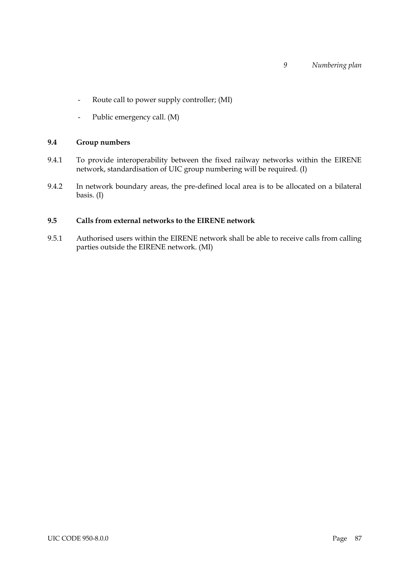*9 Numbering plan*

- Route call to power supply controller; (MI)
- Public emergency call. (M)

# **9.4 Group numbers**

- 9.4.1 To provide interoperability between the fixed railway networks within the EIRENE network, standardisation of UIC group numbering will be required. (I)
- 9.4.2 In network boundary areas, the pre-defined local area is to be allocated on a bilateral basis. (I)

# **9.5 Calls from external networks to the EIRENE network**

9.5.1 Authorised users within the EIRENE network shall be able to receive calls from calling parties outside the EIRENE network. (MI)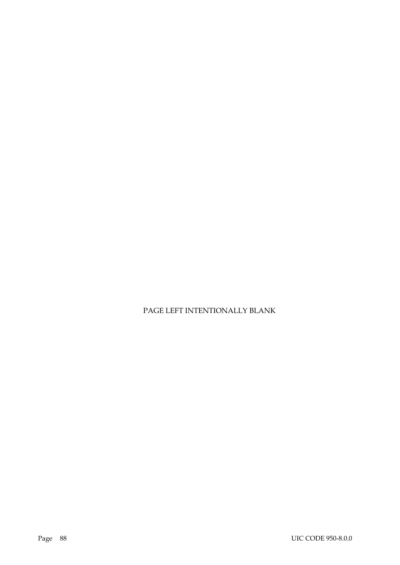PAGE LEFT INTENTIONALLY BLANK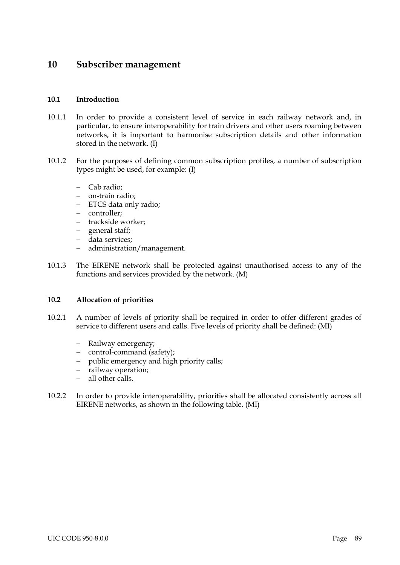# **10 Subscriber management**

## **10.1 Introduction**

- 10.1.1 In order to provide a consistent level of service in each railway network and, in particular, to ensure interoperability for train drivers and other users roaming between networks, it is important to harmonise subscription details and other information stored in the network. (I)
- 10.1.2 For the purposes of defining common subscription profiles, a number of subscription types might be used, for example: (I)
	- Cab radio;
	- on-train radio;
	- ETCS data only radio;
	- controller;
	- trackside worker;
	- general staff;
	- data services;
	- administration/management.
- 10.1.3 The EIRENE network shall be protected against unauthorised access to any of the functions and services provided by the network. (M)

# **10.2 Allocation of priorities**

- 10.2.1 A number of levels of priority shall be required in order to offer different grades of service to different users and calls. Five levels of priority shall be defined: (MI)
	- Railway emergency;
	- control-command (safety);
	- public emergency and high priority calls;
	- railway operation;
	- all other calls.
- 10.2.2 In order to provide interoperability, priorities shall be allocated consistently across all EIRENE networks, as shown in the following table. (MI)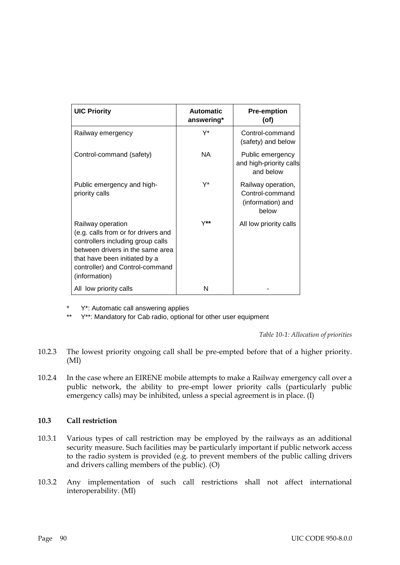| <b>UIC Priority</b>                                                                                                                                                                                                    | <b>Automatic</b><br>answering* | <b>Pre-emption</b><br>(of)                                          |
|------------------------------------------------------------------------------------------------------------------------------------------------------------------------------------------------------------------------|--------------------------------|---------------------------------------------------------------------|
| Railway emergency                                                                                                                                                                                                      | Y*                             | Control-command<br>(safety) and below                               |
| Control-command (safety)                                                                                                                                                                                               | NA.                            | Public emergency<br>and high-priority calls<br>and below            |
| Public emergency and high-<br>priority calls                                                                                                                                                                           | Y*                             | Railway operation,<br>Control-command<br>(information) and<br>below |
| Railway operation<br>(e.g. calls from or for drivers and<br>controllers including group calls<br>between drivers in the same area<br>that have been initiated by a<br>controller) and Control-command<br>(information) | ∨**                            | All low priority calls                                              |
| All low priority calls                                                                                                                                                                                                 | N                              |                                                                     |

Y\*: Automatic call answering applies

\*\* Y\*\*: Mandatory for Cab radio, optional for other user equipment

*Table 10-1: Allocation of priorities*

- 10.2.3 The lowest priority ongoing call shall be pre-empted before that of a higher priority. (MI)
- 10.2.4 In the case where an EIRENE mobile attempts to make a Railway emergency call over a public network, the ability to pre-empt lower priority calls (particularly public emergency calls) may be inhibited, unless a special agreement is in place. (I)

# **10.3 Call restriction**

- 10.3.1 Various types of call restriction may be employed by the railways as an additional security measure. Such facilities may be particularly important if public network access to the radio system is provided (e.g. to prevent members of the public calling drivers and drivers calling members of the public). (O)
- 10.3.2 Any implementation of such call restrictions shall not affect international interoperability. (MI)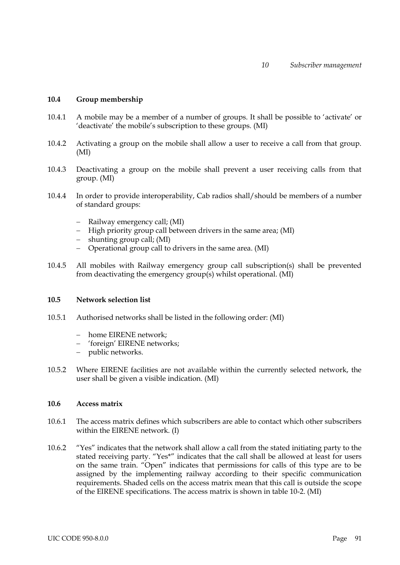## **10.4 Group membership**

- 10.4.1 A mobile may be a member of a number of groups. It shall be possible to 'activate' or 'deactivate' the mobile's subscription to these groups. (MI)
- 10.4.2 Activating a group on the mobile shall allow a user to receive a call from that group. (MI)
- 10.4.3 Deactivating a group on the mobile shall prevent a user receiving calls from that group. (MI)
- 10.4.4 In order to provide interoperability, Cab radios shall/should be members of a number of standard groups:
	- Railway emergency call; (MI)
	- High priority group call between drivers in the same area; (MI)
	- shunting group call; (MI)
	- Operational group call to drivers in the same area. (MI)
- 10.4.5 All mobiles with Railway emergency group call subscription(s) shall be prevented from deactivating the emergency group(s) whilst operational. (MI)

### **10.5 Network selection list**

- 10.5.1 Authorised networks shall be listed in the following order: (MI)
	- home EIRENE network;
	- 'foreign' EIRENE networks;
	- public networks.
- 10.5.2 Where EIRENE facilities are not available within the currently selected network, the user shall be given a visible indication. (MI)

### **10.6 Access matrix**

- 10.6.1 The access matrix defines which subscribers are able to contact which other subscribers within the EIRENE network. (I)
- 10.6.2 "Yes" indicates that the network shall allow a call from the stated initiating party to the stated receiving party. "Yes\*" indicates that the call shall be allowed at least for users on the same train. "Open" indicates that permissions for calls of this type are to be assigned by the implementing railway according to their specific communication requirements. Shaded cells on the access matrix mean that this call is outside the scope of the EIRENE specifications. The access matrix is shown in table 10-2. (MI)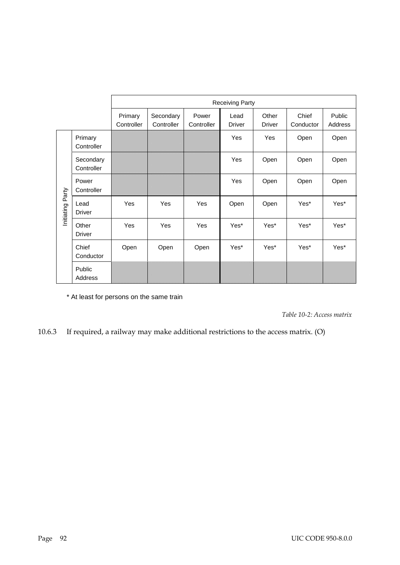|                     |                         | <b>Receiving Party</b> |                         |                     |                       |                        |                    |                   |  |
|---------------------|-------------------------|------------------------|-------------------------|---------------------|-----------------------|------------------------|--------------------|-------------------|--|
|                     |                         | Primary<br>Controller  | Secondary<br>Controller | Power<br>Controller | Lead<br><b>Driver</b> | Other<br><b>Driver</b> | Chief<br>Conductor | Public<br>Address |  |
| Party<br>Initiating | Primary<br>Controller   |                        |                         |                     | Yes                   | Yes                    | Open               | Open              |  |
|                     | Secondary<br>Controller |                        |                         |                     | <b>Yes</b>            | Open                   | Open               | Open              |  |
|                     | Power<br>Controller     |                        |                         |                     | Yes                   | Open                   | Open               | Open              |  |
|                     | Lead<br><b>Driver</b>   | Yes                    | Yes                     | Yes                 | Open                  | Open                   | Yes*               | Yes*              |  |
|                     | Other<br><b>Driver</b>  | Yes                    | Yes                     | Yes                 | Yes*                  | Yes*                   | Yes*               | Yes*              |  |
|                     | Chief<br>Conductor      | Open                   | Open                    | Open                | Yes*                  | Yes*                   | Yes*               | Yes*              |  |
|                     | Public<br>Address       |                        |                         |                     |                       |                        |                    |                   |  |

\* At least for persons on the same train

*Table 10-2: Access matrix*

10.6.3 If required, a railway may make additional restrictions to the access matrix. (O)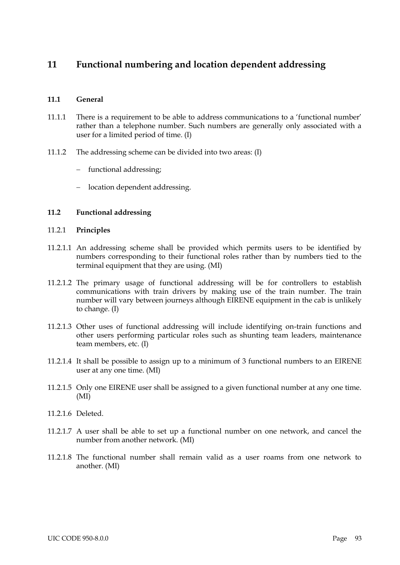# **11 Functional numbering and location dependent addressing**

## **11.1 General**

- 11.1.1 There is a requirement to be able to address communications to a 'functional number' rather than a telephone number. Such numbers are generally only associated with a user for a limited period of time. (I)
- 11.1.2 The addressing scheme can be divided into two areas: (I)
	- functional addressing;
	- location dependent addressing.

## **11.2 Functional addressing**

## 11.2.1 **Principles**

- 11.2.1.1 An addressing scheme shall be provided which permits users to be identified by numbers corresponding to their functional roles rather than by numbers tied to the terminal equipment that they are using. (MI)
- 11.2.1.2 The primary usage of functional addressing will be for controllers to establish communications with train drivers by making use of the train number. The train number will vary between journeys although EIRENE equipment in the cab is unlikely to change. (I)
- 11.2.1.3 Other uses of functional addressing will include identifying on-train functions and other users performing particular roles such as shunting team leaders, maintenance team members, etc. (I)
- 11.2.1.4 It shall be possible to assign up to a minimum of 3 functional numbers to an EIRENE user at any one time. (MI)
- 11.2.1.5 Only one EIRENE user shall be assigned to a given functional number at any one time. (MI)
- 11.2.1.6 Deleted.
- 11.2.1.7 A user shall be able to set up a functional number on one network, and cancel the number from another network. (MI)
- 11.2.1.8 The functional number shall remain valid as a user roams from one network to another. (MI)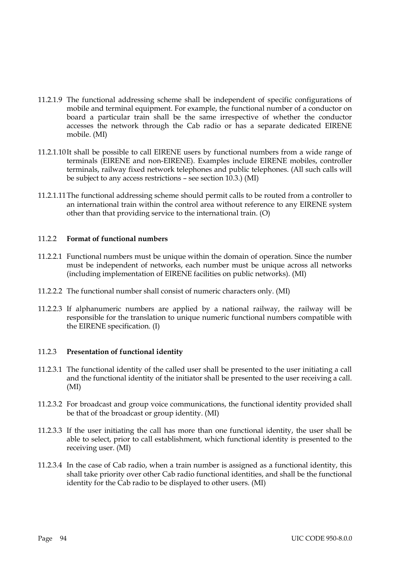- 11.2.1.9 The functional addressing scheme shall be independent of specific configurations of mobile and terminal equipment. For example, the functional number of a conductor on board a particular train shall be the same irrespective of whether the conductor accesses the network through the Cab radio or has a separate dedicated EIRENE mobile. (MI)
- 11.2.1.10It shall be possible to call EIRENE users by functional numbers from a wide range of terminals (EIRENE and non-EIRENE). Examples include EIRENE mobiles, controller terminals, railway fixed network telephones and public telephones. (All such calls will be subject to any access restrictions – see section 10.3.) (MI)
- 11.2.1.11The functional addressing scheme should permit calls to be routed from a controller to an international train within the control area without reference to any EIRENE system other than that providing service to the international train. (O)

## 11.2.2 **Format of functional numbers**

- 11.2.2.1 Functional numbers must be unique within the domain of operation. Since the number must be independent of networks, each number must be unique across all networks (including implementation of EIRENE facilities on public networks). (MI)
- 11.2.2.2 The functional number shall consist of numeric characters only. (MI)
- 11.2.2.3 If alphanumeric numbers are applied by a national railway, the railway will be responsible for the translation to unique numeric functional numbers compatible with the EIRENE specification. (I)

### 11.2.3 **Presentation of functional identity**

- 11.2.3.1 The functional identity of the called user shall be presented to the user initiating a call and the functional identity of the initiator shall be presented to the user receiving a call. (MI)
- 11.2.3.2 For broadcast and group voice communications, the functional identity provided shall be that of the broadcast or group identity. (MI)
- 11.2.3.3 If the user initiating the call has more than one functional identity, the user shall be able to select, prior to call establishment, which functional identity is presented to the receiving user. (MI)
- 11.2.3.4 In the case of Cab radio, when a train number is assigned as a functional identity, this shall take priority over other Cab radio functional identities, and shall be the functional identity for the Cab radio to be displayed to other users. (MI)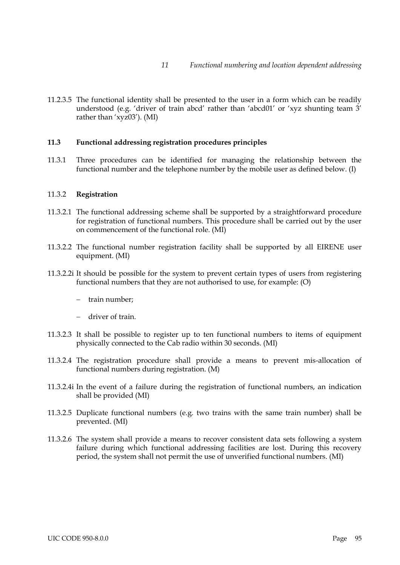11.2.3.5 The functional identity shall be presented to the user in a form which can be readily understood (e.g. 'driver of train abcd' rather than 'abcd01' or 'xyz shunting team 3' rather than 'xyz03'). (MI)

# **11.3 Functional addressing registration procedures principles**

11.3.1 Three procedures can be identified for managing the relationship between the functional number and the telephone number by the mobile user as defined below. (I)

# 11.3.2 **Registration**

- 11.3.2.1 The functional addressing scheme shall be supported by a straightforward procedure for registration of functional numbers. This procedure shall be carried out by the user on commencement of the functional role. (MI)
- 11.3.2.2 The functional number registration facility shall be supported by all EIRENE user equipment. (MI)
- 11.3.2.2i It should be possible for the system to prevent certain types of users from registering functional numbers that they are not authorised to use, for example: (O)
	- train number:
	- driver of train.
- 11.3.2.3 It shall be possible to register up to ten functional numbers to items of equipment physically connected to the Cab radio within 30 seconds. (MI)
- 11.3.2.4 The registration procedure shall provide a means to prevent mis-allocation of functional numbers during registration. (M)
- 11.3.2.4i In the event of a failure during the registration of functional numbers, an indication shall be provided (MI)
- 11.3.2.5 Duplicate functional numbers (e.g. two trains with the same train number) shall be prevented. (MI)
- 11.3.2.6 The system shall provide a means to recover consistent data sets following a system failure during which functional addressing facilities are lost. During this recovery period, the system shall not permit the use of unverified functional numbers. (MI)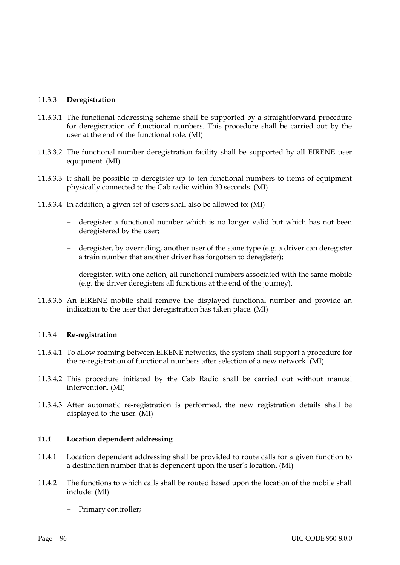## 11.3.3 **Deregistration**

- 11.3.3.1 The functional addressing scheme shall be supported by a straightforward procedure for deregistration of functional numbers. This procedure shall be carried out by the user at the end of the functional role. (MI)
- 11.3.3.2 The functional number deregistration facility shall be supported by all EIRENE user equipment. (MI)
- 11.3.3.3 It shall be possible to deregister up to ten functional numbers to items of equipment physically connected to the Cab radio within 30 seconds. (MI)
- 11.3.3.4 In addition, a given set of users shall also be allowed to: (MI)
	- deregister a functional number which is no longer valid but which has not been deregistered by the user;
	- deregister, by overriding, another user of the same type (e.g. a driver can deregister a train number that another driver has forgotten to deregister);
	- deregister, with one action, all functional numbers associated with the same mobile (e.g. the driver deregisters all functions at the end of the journey).
- 11.3.3.5 An EIRENE mobile shall remove the displayed functional number and provide an indication to the user that deregistration has taken place. (MI)

# 11.3.4 **Re-registration**

- 11.3.4.1 To allow roaming between EIRENE networks, the system shall support a procedure for the re-registration of functional numbers after selection of a new network. (MI)
- 11.3.4.2 This procedure initiated by the Cab Radio shall be carried out without manual intervention. (MI)
- 11.3.4.3 After automatic re-registration is performed, the new registration details shall be displayed to the user. (MI)

### **11.4 Location dependent addressing**

- 11.4.1 Location dependent addressing shall be provided to route calls for a given function to a destination number that is dependent upon the user's location. (MI)
- 11.4.2 The functions to which calls shall be routed based upon the location of the mobile shall include: (MI)
	- Primary controller;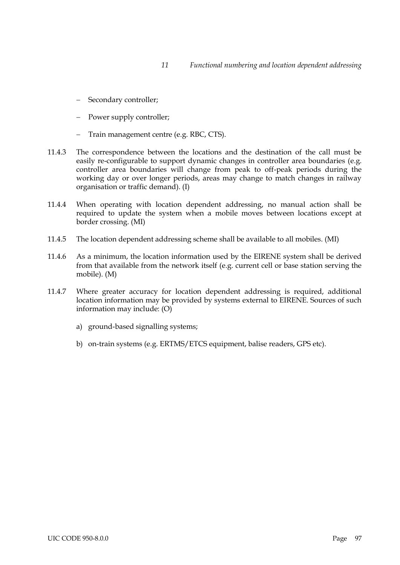- Secondary controller;
- Power supply controller;
- Train management centre (e.g. RBC, CTS).
- 11.4.3 The correspondence between the locations and the destination of the call must be easily re-configurable to support dynamic changes in controller area boundaries (e.g. controller area boundaries will change from peak to off-peak periods during the working day or over longer periods, areas may change to match changes in railway organisation or traffic demand). (I)
- 11.4.4 When operating with location dependent addressing, no manual action shall be required to update the system when a mobile moves between locations except at border crossing. (MI)
- 11.4.5 The location dependent addressing scheme shall be available to all mobiles. (MI)
- 11.4.6 As a minimum, the location information used by the EIRENE system shall be derived from that available from the network itself (e.g. current cell or base station serving the mobile). (M)
- 11.4.7 Where greater accuracy for location dependent addressing is required, additional location information may be provided by systems external to EIRENE. Sources of such information may include: (O)
	- a) ground-based signalling systems;
	- b) on-train systems (e.g. ERTMS/ETCS equipment, balise readers, GPS etc).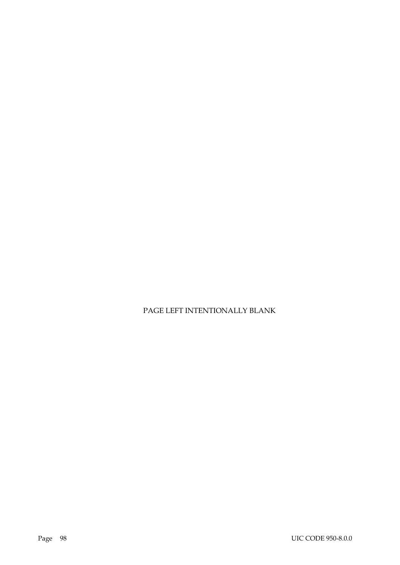PAGE LEFT INTENTIONALLY BLANK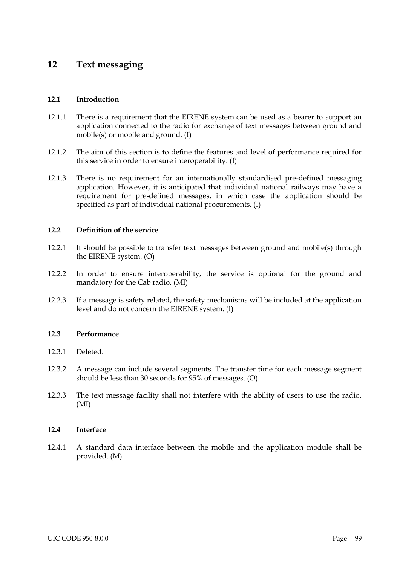# **12 Text messaging**

## **12.1 Introduction**

- 12.1.1 There is a requirement that the EIRENE system can be used as a bearer to support an application connected to the radio for exchange of text messages between ground and mobile(s) or mobile and ground. (I)
- 12.1.2 The aim of this section is to define the features and level of performance required for this service in order to ensure interoperability. (I)
- 12.1.3 There is no requirement for an internationally standardised pre-defined messaging application. However, it is anticipated that individual national railways may have a requirement for pre-defined messages, in which case the application should be specified as part of individual national procurements. (I)

## **12.2 Definition of the service**

- 12.2.1 It should be possible to transfer text messages between ground and mobile(s) through the EIRENE system. (O)
- 12.2.2 In order to ensure interoperability, the service is optional for the ground and mandatory for the Cab radio. (MI)
- 12.2.3 If a message is safety related, the safety mechanisms will be included at the application level and do not concern the EIRENE system. (I)

# **12.3 Performance**

- 12.3.1 Deleted.
- 12.3.2 A message can include several segments. The transfer time for each message segment should be less than 30 seconds for 95% of messages. (O)
- 12.3.3 The text message facility shall not interfere with the ability of users to use the radio. (MI)

### **12.4 Interface**

12.4.1 A standard data interface between the mobile and the application module shall be provided. (M)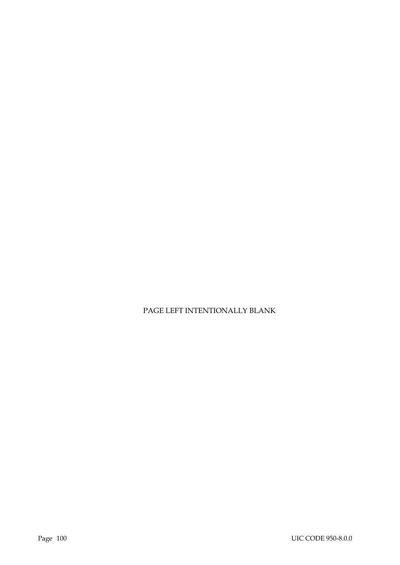PAGE LEFT INTENTIONALLY BLANK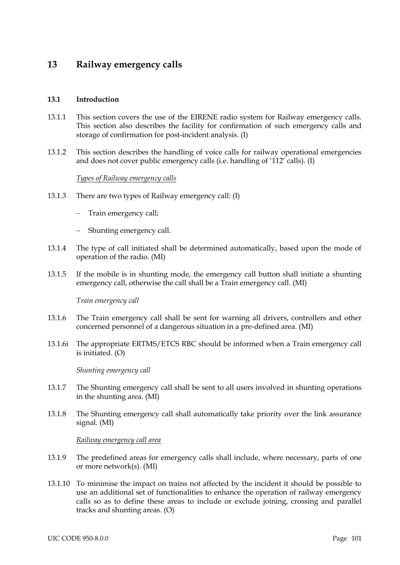# **13 Railway emergency calls**

## **13.1 Introduction**

- 13.1.1 This section covers the use of the EIRENE radio system for Railway emergency calls. This section also describes the facility for confirmation of such emergency calls and storage of confirmation for post-incident analysis. (I)
- 13.1.2 This section describes the handling of voice calls for railway operational emergencies and does not cover public emergency calls (i.e. handling of '112' calls). (I)

*Types of Railway emergency calls*

- 13.1.3 There are two types of Railway emergency call: (I)
	- Train emergency call;
	- Shunting emergency call.
- 13.1.4 The type of call initiated shall be determined automatically, based upon the mode of operation of the radio. (MI)
- 13.1.5 If the mobile is in shunting mode, the emergency call button shall initiate a shunting emergency call, otherwise the call shall be a Train emergency call. (MI)

*Train emergency call*

- 13.1.6 The Train emergency call shall be sent for warning all drivers, controllers and other concerned personnel of a dangerous situation in a pre-defined area. (MI)
- 13.1.6i The appropriate ERTMS/ETCS RBC should be informed when a Train emergency call is initiated. (O)

*Shunting emergency call*

- 13.1.7 The Shunting emergency call shall be sent to all users involved in shunting operations in the shunting area. (MI)
- 13.1.8 The Shunting emergency call shall automatically take priority over the link assurance signal. (MI)

### *Railway emergency call area*

- 13.1.9 The predefined areas for emergency calls shall include, where necessary, parts of one or more network(s). (MI)
- 13.1.10 To minimise the impact on trains not affected by the incident it should be possible to use an additional set of functionalities to enhance the operation of railway emergency calls so as to define these areas to include or exclude joining, crossing and parallel tracks and shunting areas. (O)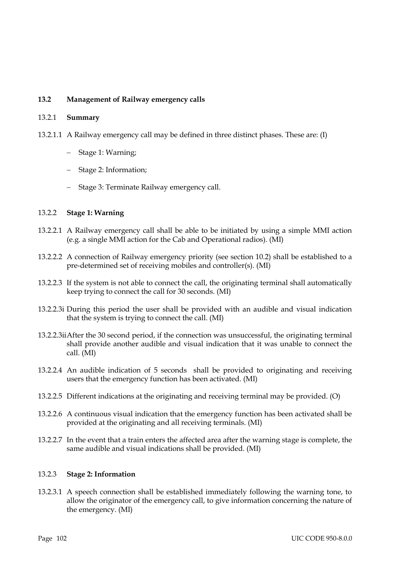# **13.2 Management of Railway emergency calls**

### 13.2.1 **Summary**

- 13.2.1.1 A Railway emergency call may be defined in three distinct phases. These are: (I)
	- Stage 1: Warning;
	- Stage 2: Information;
	- Stage 3: Terminate Railway emergency call.

# 13.2.2 **Stage 1: Warning**

- 13.2.2.1 A Railway emergency call shall be able to be initiated by using a simple MMI action (e.g. a single MMI action for the Cab and Operational radios). (MI)
- 13.2.2.2 A connection of Railway emergency priority (see section 10.2) shall be established to a pre-determined set of receiving mobiles and controller(s). (MI)
- 13.2.2.3 If the system is not able to connect the call, the originating terminal shall automatically keep trying to connect the call for 30 seconds. (MI)
- 13.2.2.3i During this period the user shall be provided with an audible and visual indication that the system is trying to connect the call. (MI)
- 13.2.2.3iiAfter the 30 second period, if the connection was unsuccessful, the originating terminal shall provide another audible and visual indication that it was unable to connect the call. (MI)
- 13.2.2.4 An audible indication of 5 seconds shall be provided to originating and receiving users that the emergency function has been activated. (MI)
- 13.2.2.5 Different indications at the originating and receiving terminal may be provided. (O)
- 13.2.2.6 A continuous visual indication that the emergency function has been activated shall be provided at the originating and all receiving terminals. (MI)
- 13.2.2.7 In the event that a train enters the affected area after the warning stage is complete, the same audible and visual indications shall be provided. (MI)

# 13.2.3 **Stage 2: Information**

13.2.3.1 A speech connection shall be established immediately following the warning tone, to allow the originator of the emergency call, to give information concerning the nature of the emergency. (MI)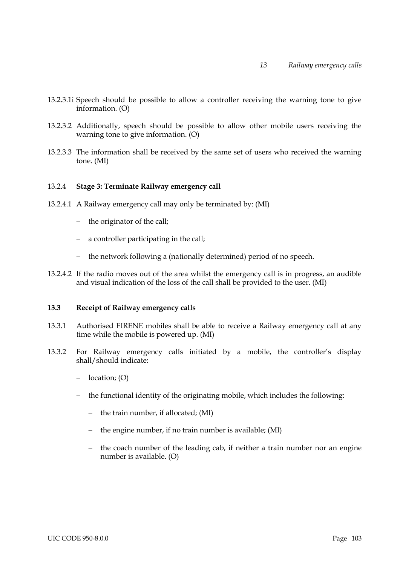- 13.2.3.1i Speech should be possible to allow a controller receiving the warning tone to give information. (O)
- 13.2.3.2 Additionally, speech should be possible to allow other mobile users receiving the warning tone to give information. (O)
- 13.2.3.3 The information shall be received by the same set of users who received the warning tone. (MI)

### 13.2.4 **Stage 3: Terminate Railway emergency call**

- 13.2.4.1 A Railway emergency call may only be terminated by: (MI)
	- the originator of the call;
	- a controller participating in the call;
	- the network following a (nationally determined) period of no speech.
- 13.2.4.2 If the radio moves out of the area whilst the emergency call is in progress, an audible and visual indication of the loss of the call shall be provided to the user. (MI)

#### **13.3 Receipt of Railway emergency calls**

- 13.3.1 Authorised EIRENE mobiles shall be able to receive a Railway emergency call at any time while the mobile is powered up. (MI)
- 13.3.2 For Railway emergency calls initiated by a mobile, the controller's display shall/should indicate:
	- location; (O)
	- the functional identity of the originating mobile, which includes the following:
		- the train number, if allocated; (MI)
		- the engine number, if no train number is available; (MI)
		- the coach number of the leading cab, if neither a train number nor an engine number is available. (O)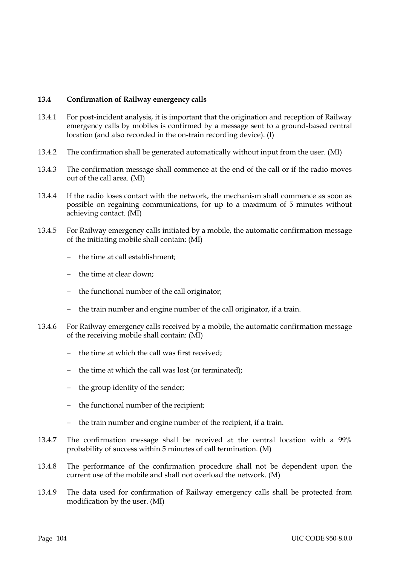## **13.4 Confirmation of Railway emergency calls**

- 13.4.1 For post-incident analysis, it is important that the origination and reception of Railway emergency calls by mobiles is confirmed by a message sent to a ground-based central location (and also recorded in the on-train recording device). (I)
- 13.4.2 The confirmation shall be generated automatically without input from the user. (MI)
- 13.4.3 The confirmation message shall commence at the end of the call or if the radio moves out of the call area. (MI)
- 13.4.4 If the radio loses contact with the network, the mechanism shall commence as soon as possible on regaining communications, for up to a maximum of 5 minutes without achieving contact. (MI)
- 13.4.5 For Railway emergency calls initiated by a mobile, the automatic confirmation message of the initiating mobile shall contain: (MI)
	- the time at call establishment;
	- the time at clear down;
	- the functional number of the call originator;
	- the train number and engine number of the call originator, if a train.
- 13.4.6 For Railway emergency calls received by a mobile, the automatic confirmation message of the receiving mobile shall contain: (MI)
	- the time at which the call was first received;
	- the time at which the call was lost (or terminated);
	- the group identity of the sender;
	- the functional number of the recipient;
	- the train number and engine number of the recipient, if a train.
- 13.4.7 The confirmation message shall be received at the central location with a 99% probability of success within 5 minutes of call termination. (M)
- 13.4.8 The performance of the confirmation procedure shall not be dependent upon the current use of the mobile and shall not overload the network. (M)
- 13.4.9 The data used for confirmation of Railway emergency calls shall be protected from modification by the user. (MI)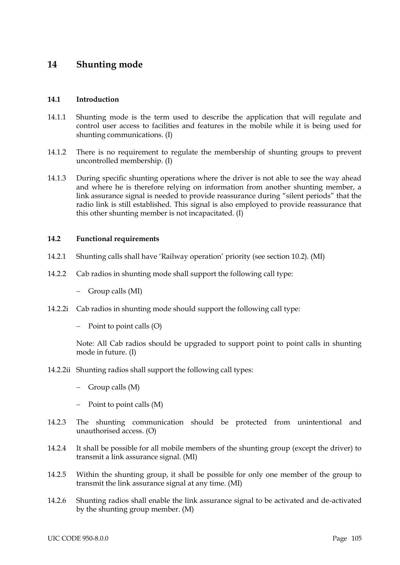# **14 Shunting mode**

## **14.1 Introduction**

- 14.1.1 Shunting mode is the term used to describe the application that will regulate and control user access to facilities and features in the mobile while it is being used for shunting communications. (I)
- 14.1.2 There is no requirement to regulate the membership of shunting groups to prevent uncontrolled membership. (I)
- 14.1.3 During specific shunting operations where the driver is not able to see the way ahead and where he is therefore relying on information from another shunting member, a link assurance signal is needed to provide reassurance during "silent periods" that the radio link is still established. This signal is also employed to provide reassurance that this other shunting member is not incapacitated. (I)

# **14.2 Functional requirements**

- 14.2.1 Shunting calls shall have 'Railway operation' priority (see section 10.2). (MI)
- 14.2.2 Cab radios in shunting mode shall support the following call type:
	- Group calls (MI)
- 14.2.2i Cab radios in shunting mode should support the following call type:
	- $-$  Point to point calls  $(O)$

Note: All Cab radios should be upgraded to support point to point calls in shunting mode in future. (I)

- 14.2.2ii Shunting radios shall support the following call types:
	- Group calls (M)
	- Point to point calls (M)
- 14.2.3 The shunting communication should be protected from unintentional and unauthorised access. (O)
- 14.2.4 It shall be possible for all mobile members of the shunting group (except the driver) to transmit a link assurance signal. (MI)
- 14.2.5 Within the shunting group, it shall be possible for only one member of the group to transmit the link assurance signal at any time. (MI)
- 14.2.6 Shunting radios shall enable the link assurance signal to be activated and de-activated by the shunting group member. (M)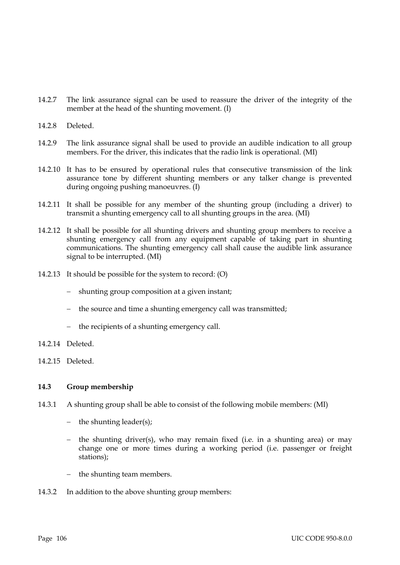- 14.2.7 The link assurance signal can be used to reassure the driver of the integrity of the member at the head of the shunting movement. (I)
- 14.2.8 Deleted.
- 14.2.9 The link assurance signal shall be used to provide an audible indication to all group members. For the driver, this indicates that the radio link is operational. (MI)
- 14.2.10 It has to be ensured by operational rules that consecutive transmission of the link assurance tone by different shunting members or any talker change is prevented during ongoing pushing manoeuvres. (I)
- 14.2.11 It shall be possible for any member of the shunting group (including a driver) to transmit a shunting emergency call to all shunting groups in the area. (MI)
- 14.2.12 It shall be possible for all shunting drivers and shunting group members to receive a shunting emergency call from any equipment capable of taking part in shunting communications. The shunting emergency call shall cause the audible link assurance signal to be interrupted. (MI)
- 14.2.13 It should be possible for the system to record: (O)
	- shunting group composition at a given instant;
	- the source and time a shunting emergency call was transmitted;
	- the recipients of a shunting emergency call.
- 14.2.14 Deleted.
- 14.2.15 Deleted.

# **14.3 Group membership**

- 14.3.1 A shunting group shall be able to consist of the following mobile members: (MI)
	- $-$  the shunting leader(s);
	- the shunting driver(s), who may remain fixed (i.e. in a shunting area) or may change one or more times during a working period (i.e. passenger or freight stations);
	- the shunting team members.
- 14.3.2 In addition to the above shunting group members: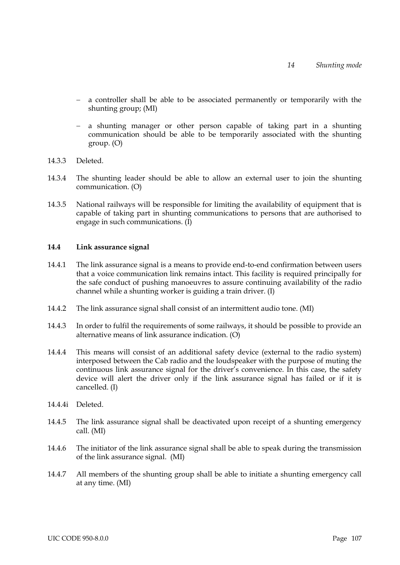- a controller shall be able to be associated permanently or temporarily with the shunting group; (MI)
- a shunting manager or other person capable of taking part in a shunting communication should be able to be temporarily associated with the shunting group. (O)
- 14.3.3 Deleted.
- 14.3.4 The shunting leader should be able to allow an external user to join the shunting communication. (O)
- 14.3.5 National railways will be responsible for limiting the availability of equipment that is capable of taking part in shunting communications to persons that are authorised to engage in such communications. (I)

#### **14.4 Link assurance signal**

- 14.4.1 The link assurance signal is a means to provide end-to-end confirmation between users that a voice communication link remains intact. This facility is required principally for the safe conduct of pushing manoeuvres to assure continuing availability of the radio channel while a shunting worker is guiding a train driver. (I)
- 14.4.2 The link assurance signal shall consist of an intermittent audio tone. (MI)
- 14.4.3 In order to fulfil the requirements of some railways, it should be possible to provide an alternative means of link assurance indication. (O)
- 14.4.4 This means will consist of an additional safety device (external to the radio system) interposed between the Cab radio and the loudspeaker with the purpose of muting the continuous link assurance signal for the driver's convenience. In this case, the safety device will alert the driver only if the link assurance signal has failed or if it is cancelled. (I)
- 14.4.4i Deleted.
- 14.4.5 The link assurance signal shall be deactivated upon receipt of a shunting emergency call. (MI)
- 14.4.6 The initiator of the link assurance signal shall be able to speak during the transmission of the link assurance signal. (MI)
- 14.4.7 All members of the shunting group shall be able to initiate a shunting emergency call at any time. (MI)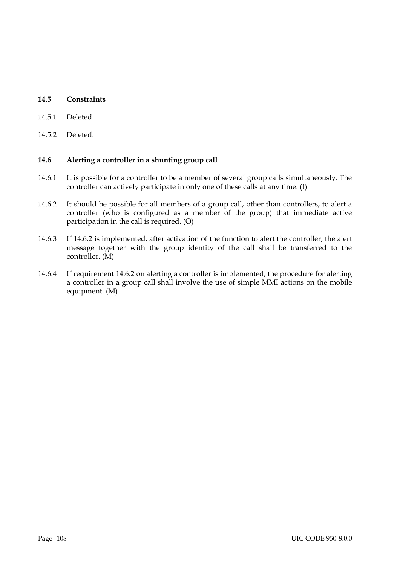## **14.5 Constraints**

- 14.5.1 Deleted.
- 14.5.2 Deleted.

### **14.6 Alerting a controller in a shunting group call**

- 14.6.1 It is possible for a controller to be a member of several group calls simultaneously. The controller can actively participate in only one of these calls at any time. (I)
- 14.6.2 It should be possible for all members of a group call, other than controllers, to alert a controller (who is configured as a member of the group) that immediate active participation in the call is required. (O)
- 14.6.3 If 14.6.2 is implemented, after activation of the function to alert the controller, the alert message together with the group identity of the call shall be transferred to the controller. (M)
- 14.6.4 If requirement 14.6.2 on alerting a controller is implemented, the procedure for alerting a controller in a group call shall involve the use of simple MMI actions on the mobile equipment. (M)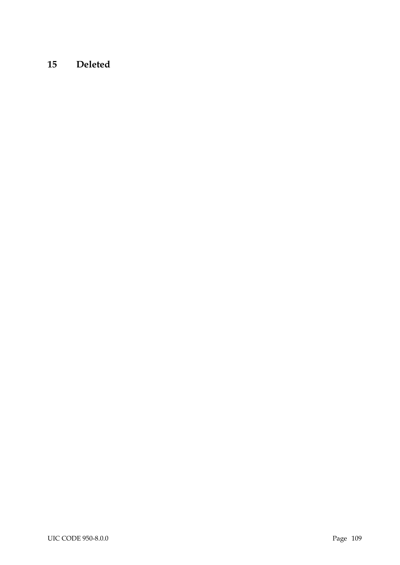# **15 Deleted**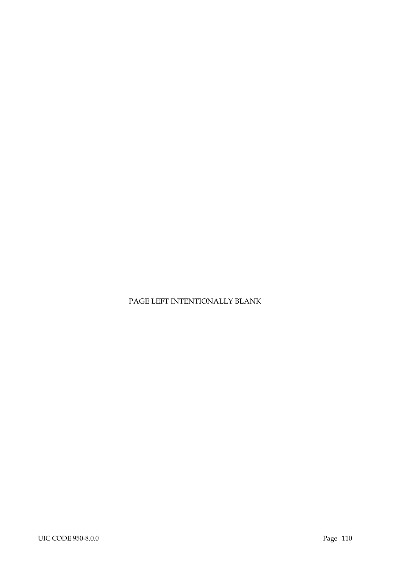PAGE LEFT INTENTIONALLY BLANK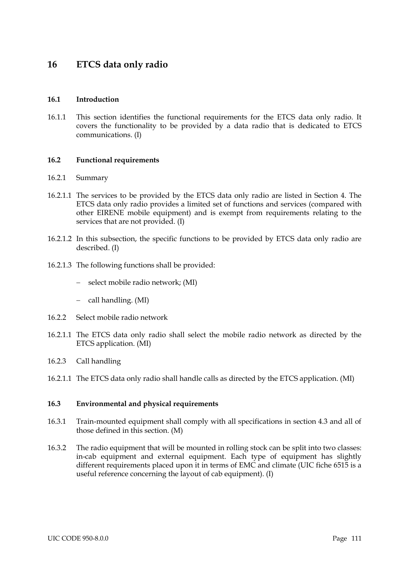# **16 ETCS data only radio**

#### **16.1 Introduction**

16.1.1 This section identifies the functional requirements for the ETCS data only radio. It covers the functionality to be provided by a data radio that is dedicated to ETCS communications. (I)

#### **16.2 Functional requirements**

- 16.2.1 Summary
- 16.2.1.1 The services to be provided by the ETCS data only radio are listed in Section 4. The ETCS data only radio provides a limited set of functions and services (compared with other EIRENE mobile equipment) and is exempt from requirements relating to the services that are not provided. (I)
- 16.2.1.2 In this subsection, the specific functions to be provided by ETCS data only radio are described. (I)
- 16.2.1.3 The following functions shall be provided:
	- select mobile radio network; (MI)
	- call handling. (MI)
- 16.2.2 Select mobile radio network
- 16.2.1.1 The ETCS data only radio shall select the mobile radio network as directed by the ETCS application. (MI)
- 16.2.3 Call handling
- 16.2.1.1 The ETCS data only radio shall handle calls as directed by the ETCS application. (MI)

#### **16.3 Environmental and physical requirements**

- 16.3.1 Train-mounted equipment shall comply with all specifications in section 4.3 and all of those defined in this section. (M)
- 16.3.2 The radio equipment that will be mounted in rolling stock can be split into two classes: in-cab equipment and external equipment. Each type of equipment has slightly different requirements placed upon it in terms of EMC and climate (UIC fiche 6515 is a useful reference concerning the layout of cab equipment). (I)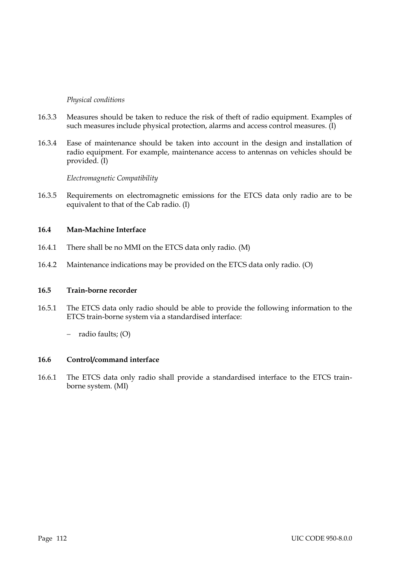#### *Physical conditions*

- 16.3.3 Measures should be taken to reduce the risk of theft of radio equipment. Examples of such measures include physical protection, alarms and access control measures. (I)
- 16.3.4 Ease of maintenance should be taken into account in the design and installation of radio equipment. For example, maintenance access to antennas on vehicles should be provided. (I)

*Electromagnetic Compatibility*

16.3.5 Requirements on electromagnetic emissions for the ETCS data only radio are to be equivalent to that of the Cab radio. (I)

#### **16.4 Man-Machine Interface**

- 16.4.1 There shall be no MMI on the ETCS data only radio. (M)
- 16.4.2 Maintenance indications may be provided on the ETCS data only radio. (O)

#### **16.5 Train-borne recorder**

- 16.5.1 The ETCS data only radio should be able to provide the following information to the ETCS train-borne system via a standardised interface:
	- $-$  radio faults; (O)

### **16.6 Control/command interface**

16.6.1 The ETCS data only radio shall provide a standardised interface to the ETCS trainborne system. (MI)